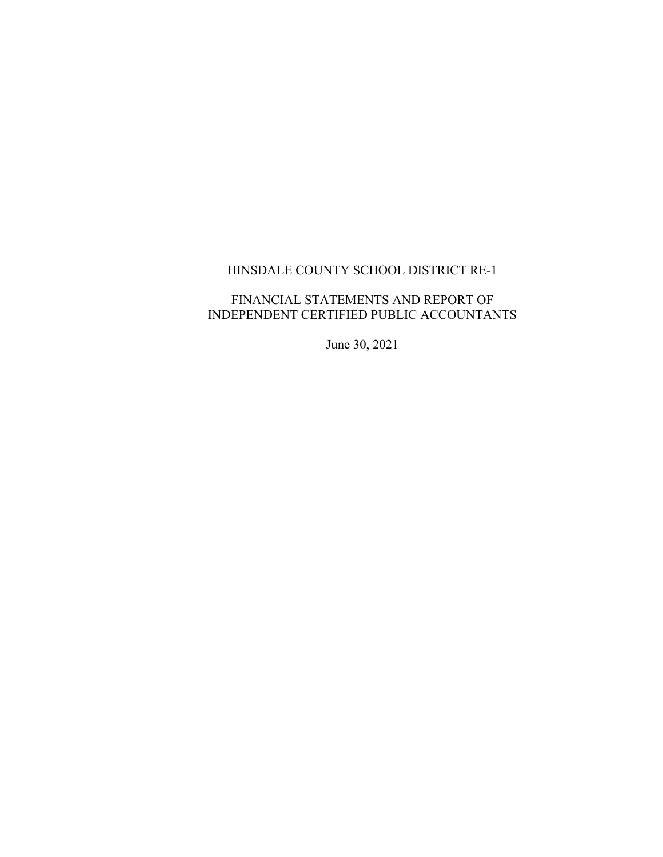## FINANCIAL STATEMENTS AND REPORT OF INDEPENDENT CERTIFIED PUBLIC ACCOUNTANTS

June 30, 2021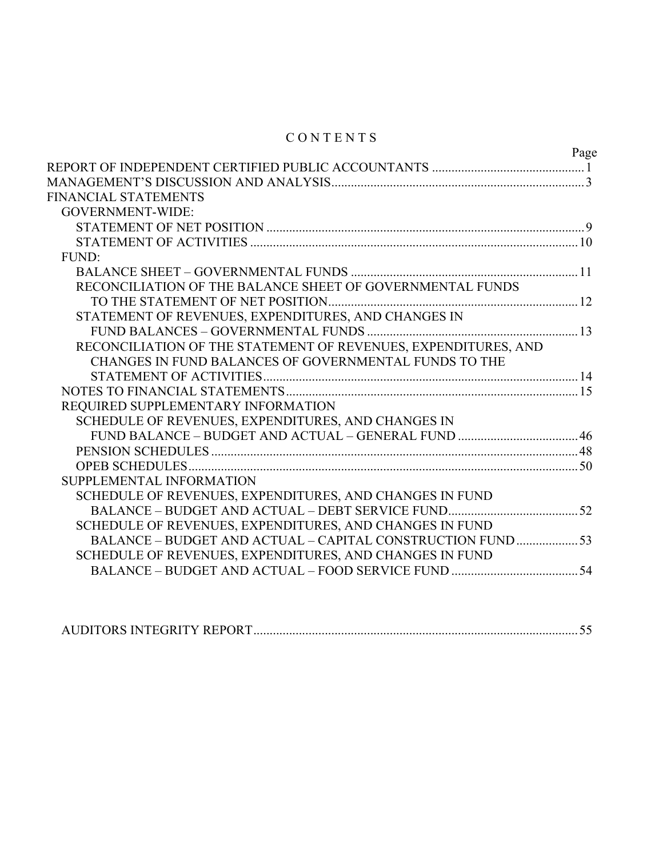# C O N T E N T S

|                                                                | Page |
|----------------------------------------------------------------|------|
|                                                                |      |
|                                                                |      |
| FINANCIAL STATEMENTS                                           |      |
| <b>GOVERNMENT-WIDE:</b>                                        |      |
|                                                                |      |
|                                                                |      |
| FUND:                                                          |      |
|                                                                |      |
| RECONCILIATION OF THE BALANCE SHEET OF GOVERNMENTAL FUNDS      |      |
|                                                                |      |
| STATEMENT OF REVENUES, EXPENDITURES, AND CHANGES IN            |      |
|                                                                |      |
| RECONCILIATION OF THE STATEMENT OF REVENUES, EXPENDITURES, AND |      |
| CHANGES IN FUND BALANCES OF GOVERNMENTAL FUNDS TO THE          |      |
|                                                                |      |
|                                                                |      |
| REQUIRED SUPPLEMENTARY INFORMATION                             |      |
| SCHEDULE OF REVENUES, EXPENDITURES, AND CHANGES IN             |      |
|                                                                |      |
|                                                                |      |
|                                                                |      |
| SUPPLEMENTAL INFORMATION                                       |      |
| SCHEDULE OF REVENUES, EXPENDITURES, AND CHANGES IN FUND        |      |
|                                                                |      |
| SCHEDULE OF REVENUES, EXPENDITURES, AND CHANGES IN FUND        |      |
| BALANCE - BUDGET AND ACTUAL - CAPITAL CONSTRUCTION FUND  53    |      |
| SCHEDULE OF REVENUES, EXPENDITURES, AND CHANGES IN FUND        |      |
|                                                                |      |
|                                                                |      |

|--|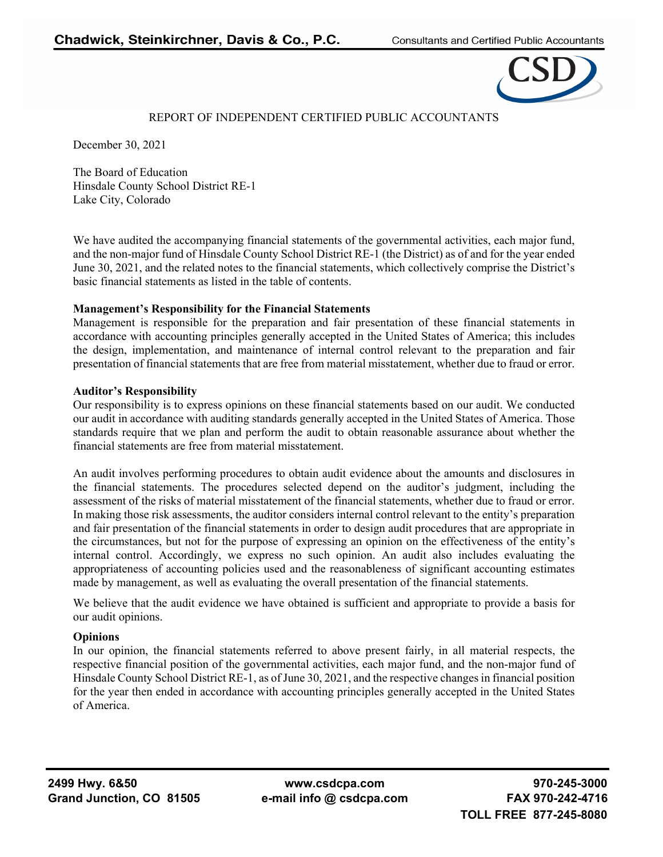

#### REPORT OF INDEPENDENT CERTIFIED PUBLIC ACCOUNTANTS

December 30, 2021

The Board of Education Hinsdale County School District RE-1 Lake City, Colorado

We have audited the accompanying financial statements of the governmental activities, each major fund, and the non-major fund of Hinsdale County School District RE-1 (the District) as of and for the year ended June 30, 2021, and the related notes to the financial statements, which collectively comprise the District's basic financial statements as listed in the table of contents.

#### **Management's Responsibility for the Financial Statements**

Management is responsible for the preparation and fair presentation of these financial statements in accordance with accounting principles generally accepted in the United States of America; this includes the design, implementation, and maintenance of internal control relevant to the preparation and fair presentation of financial statements that are free from material misstatement, whether due to fraud or error.

#### **Auditor's Responsibility**

Our responsibility is to express opinions on these financial statements based on our audit. We conducted our audit in accordance with auditing standards generally accepted in the United States of America. Those standards require that we plan and perform the audit to obtain reasonable assurance about whether the financial statements are free from material misstatement.

An audit involves performing procedures to obtain audit evidence about the amounts and disclosures in the financial statements. The procedures selected depend on the auditor's judgment, including the assessment of the risks of material misstatement of the financial statements, whether due to fraud or error. In making those risk assessments, the auditor considers internal control relevant to the entity's preparation and fair presentation of the financial statements in order to design audit procedures that are appropriate in the circumstances, but not for the purpose of expressing an opinion on the effectiveness of the entity's internal control. Accordingly, we express no such opinion. An audit also includes evaluating the appropriateness of accounting policies used and the reasonableness of significant accounting estimates made by management, as well as evaluating the overall presentation of the financial statements.

We believe that the audit evidence we have obtained is sufficient and appropriate to provide a basis for our audit opinions.

#### **Opinions**

In our opinion, the financial statements referred to above present fairly, in all material respects, the respective financial position of the governmental activities, each major fund, and the non-major fund of Hinsdale County School District RE-1, as of June 30, 2021, and the respective changes in financial position for the year then ended in accordance with accounting principles generally accepted in the United States of America.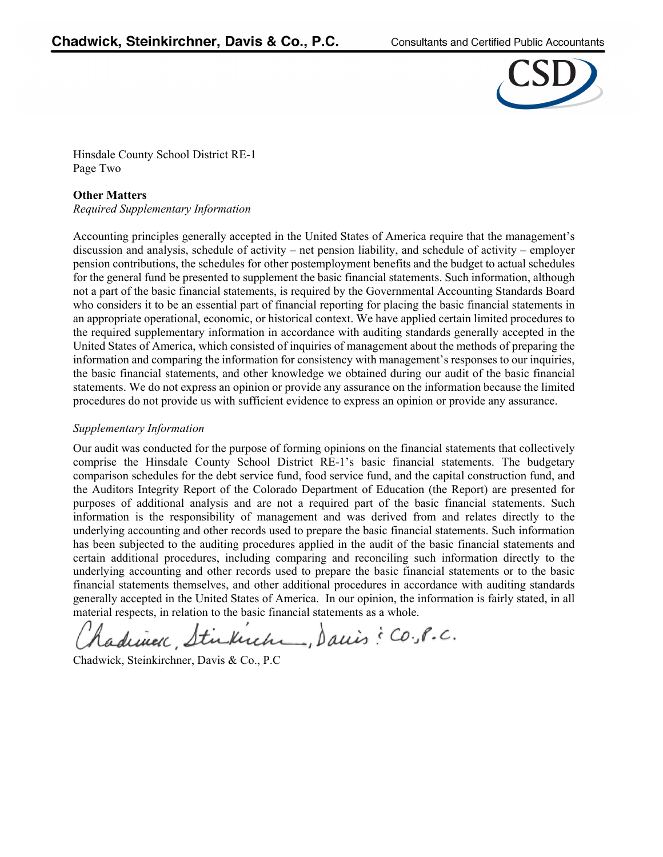

Hinsdale County School District RE-1 Page Two

#### **Other Matters**

*Required Supplementary Information* 

Accounting principles generally accepted in the United States of America require that the management's discussion and analysis, schedule of activity – net pension liability, and schedule of activity – employer pension contributions, the schedules for other postemployment benefits and the budget to actual schedules for the general fund be presented to supplement the basic financial statements. Such information, although not a part of the basic financial statements, is required by the Governmental Accounting Standards Board who considers it to be an essential part of financial reporting for placing the basic financial statements in an appropriate operational, economic, or historical context. We have applied certain limited procedures to the required supplementary information in accordance with auditing standards generally accepted in the United States of America, which consisted of inquiries of management about the methods of preparing the information and comparing the information for consistency with management's responses to our inquiries, the basic financial statements, and other knowledge we obtained during our audit of the basic financial statements. We do not express an opinion or provide any assurance on the information because the limited procedures do not provide us with sufficient evidence to express an opinion or provide any assurance.

#### *Supplementary Information*

Our audit was conducted for the purpose of forming opinions on the financial statements that collectively comprise the Hinsdale County School District RE-1's basic financial statements. The budgetary comparison schedules for the debt service fund, food service fund, and the capital construction fund, and the Auditors Integrity Report of the Colorado Department of Education (the Report) are presented for purposes of additional analysis and are not a required part of the basic financial statements. Such information is the responsibility of management and was derived from and relates directly to the underlying accounting and other records used to prepare the basic financial statements. Such information has been subjected to the auditing procedures applied in the audit of the basic financial statements and certain additional procedures, including comparing and reconciling such information directly to the underlying accounting and other records used to prepare the basic financial statements or to the basic financial statements themselves, and other additional procedures in accordance with auditing standards generally accepted in the United States of America. In our opinion, the information is fairly stated, in all material respects, in relation to the basic financial statements as a whole.

Rademore, Stukiche, Danis: CO.P.C.

Chadwick, Steinkirchner, Davis & Co., P.C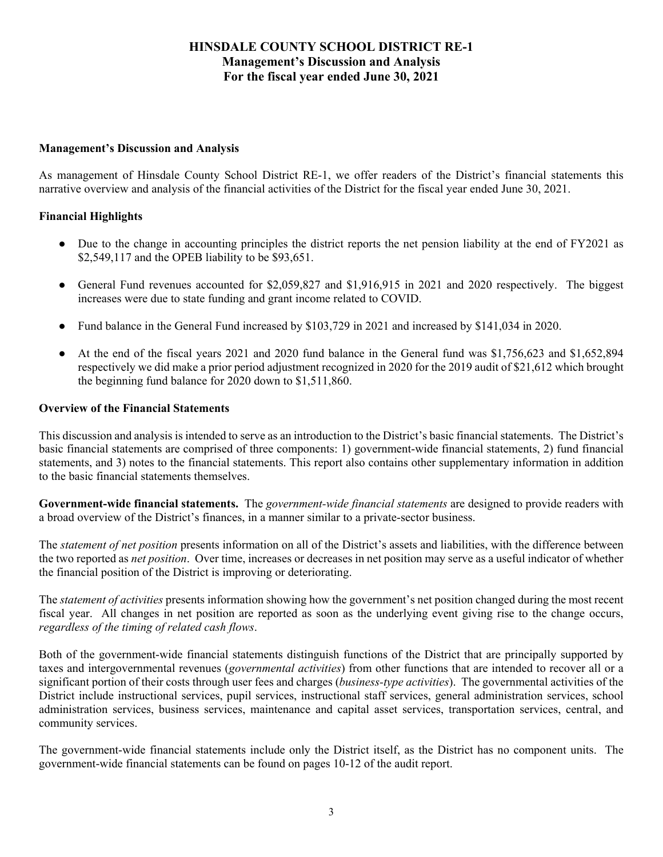#### **Management's Discussion and Analysis**

As management of Hinsdale County School District RE-1, we offer readers of the District's financial statements this narrative overview and analysis of the financial activities of the District for the fiscal year ended June 30, 2021.

#### **Financial Highlights**

- Due to the change in accounting principles the district reports the net pension liability at the end of FY2021 as \$2,549,117 and the OPEB liability to be \$93,651.
- General Fund revenues accounted for \$2,059,827 and \$1,916,915 in 2021 and 2020 respectively. The biggest increases were due to state funding and grant income related to COVID.
- Fund balance in the General Fund increased by \$103,729 in 2021 and increased by \$141,034 in 2020.
- At the end of the fiscal years 2021 and 2020 fund balance in the General fund was \$1,756,623 and \$1,652,894 respectively we did make a prior period adjustment recognized in 2020 for the 2019 audit of \$21,612 which brought the beginning fund balance for 2020 down to \$1,511,860.

#### **Overview of the Financial Statements**

This discussion and analysis is intended to serve as an introduction to the District's basic financial statements. The District's basic financial statements are comprised of three components: 1) government-wide financial statements, 2) fund financial statements, and 3) notes to the financial statements. This report also contains other supplementary information in addition to the basic financial statements themselves.

**Government-wide financial statements.** The *government-wide financial statements* are designed to provide readers with a broad overview of the District's finances, in a manner similar to a private-sector business.

The *statement of net position* presents information on all of the District's assets and liabilities, with the difference between the two reported as *net position*. Over time, increases or decreases in net position may serve as a useful indicator of whether the financial position of the District is improving or deteriorating.

The *statement of activities* presents information showing how the government's net position changed during the most recent fiscal year. All changes in net position are reported as soon as the underlying event giving rise to the change occurs, *regardless of the timing of related cash flows*.

Both of the government-wide financial statements distinguish functions of the District that are principally supported by taxes and intergovernmental revenues (*governmental activities*) from other functions that are intended to recover all or a significant portion of their costs through user fees and charges (*business-type activities*). The governmental activities of the District include instructional services, pupil services, instructional staff services, general administration services, school administration services, business services, maintenance and capital asset services, transportation services, central, and community services.

The government-wide financial statements include only the District itself, as the District has no component units. The government-wide financial statements can be found on pages 10-12 of the audit report.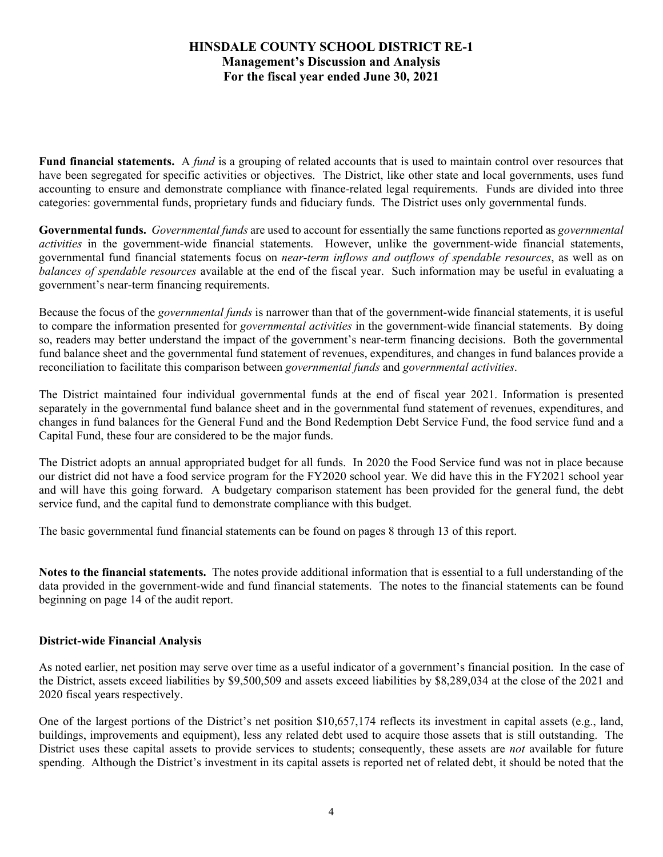**Fund financial statements.** A *fund* is a grouping of related accounts that is used to maintain control over resources that have been segregated for specific activities or objectives. The District, like other state and local governments, uses fund accounting to ensure and demonstrate compliance with finance-related legal requirements. Funds are divided into three categories: governmental funds, proprietary funds and fiduciary funds. The District uses only governmental funds.

**Governmental funds.** *Governmental funds* are used to account for essentially the same functions reported as *governmental activities* in the government-wide financial statements. However, unlike the government-wide financial statements, governmental fund financial statements focus on *near-term inflows and outflows of spendable resources*, as well as on *balances of spendable resources* available at the end of the fiscal year. Such information may be useful in evaluating a government's near-term financing requirements.

Because the focus of the *governmental funds* is narrower than that of the government-wide financial statements, it is useful to compare the information presented for *governmental activities* in the government-wide financial statements. By doing so, readers may better understand the impact of the government's near-term financing decisions. Both the governmental fund balance sheet and the governmental fund statement of revenues, expenditures, and changes in fund balances provide a reconciliation to facilitate this comparison between *governmental funds* and *governmental activities*.

The District maintained four individual governmental funds at the end of fiscal year 2021. Information is presented separately in the governmental fund balance sheet and in the governmental fund statement of revenues, expenditures, and changes in fund balances for the General Fund and the Bond Redemption Debt Service Fund, the food service fund and a Capital Fund, these four are considered to be the major funds.

The District adopts an annual appropriated budget for all funds. In 2020 the Food Service fund was not in place because our district did not have a food service program for the FY2020 school year. We did have this in the FY2021 school year and will have this going forward. A budgetary comparison statement has been provided for the general fund, the debt service fund, and the capital fund to demonstrate compliance with this budget.

The basic governmental fund financial statements can be found on pages 8 through 13 of this report.

**Notes to the financial statements.** The notes provide additional information that is essential to a full understanding of the data provided in the government-wide and fund financial statements. The notes to the financial statements can be found beginning on page 14 of the audit report.

#### **District-wide Financial Analysis**

As noted earlier, net position may serve over time as a useful indicator of a government's financial position. In the case of the District, assets exceed liabilities by \$9,500,509 and assets exceed liabilities by \$8,289,034 at the close of the 2021 and 2020 fiscal years respectively.

One of the largest portions of the District's net position \$10,657,174 reflects its investment in capital assets (e.g., land, buildings, improvements and equipment), less any related debt used to acquire those assets that is still outstanding. The District uses these capital assets to provide services to students; consequently, these assets are *not* available for future spending. Although the District's investment in its capital assets is reported net of related debt, it should be noted that the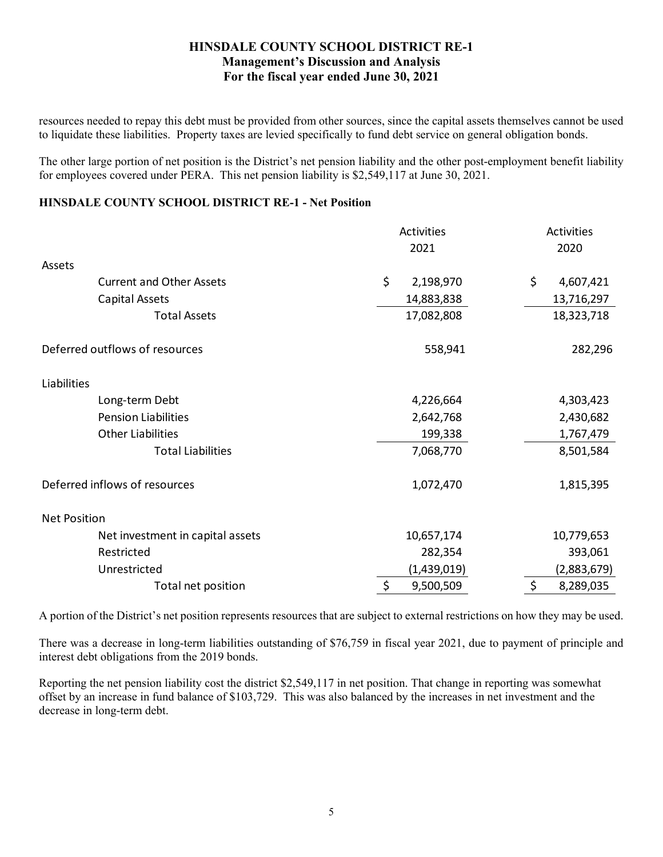resources needed to repay this debt must be provided from other sources, since the capital assets themselves cannot be used to liquidate these liabilities. Property taxes are levied specifically to fund debt service on general obligation bonds.

The other large portion of net position is the District's net pension liability and the other post-employment benefit liability for employees covered under PERA. This net pension liability is \$2,549,117 at June 30, 2021.

#### **HINSDALE COUNTY SCHOOL DISTRICT RE-1 - Net Position**

| 2020<br>2021<br>Assets<br>\$<br>\$<br>2,198,970<br><b>Current and Other Assets</b><br>13,716,297<br><b>Capital Assets</b><br>14,883,838<br><b>Total Assets</b><br>17,082,808<br>Deferred outflows of resources<br>558,941 | 4,607,421<br>18,323,718 |
|---------------------------------------------------------------------------------------------------------------------------------------------------------------------------------------------------------------------------|-------------------------|
|                                                                                                                                                                                                                           |                         |
|                                                                                                                                                                                                                           |                         |
|                                                                                                                                                                                                                           |                         |
|                                                                                                                                                                                                                           |                         |
|                                                                                                                                                                                                                           |                         |
|                                                                                                                                                                                                                           | 282,296                 |
| Liabilities                                                                                                                                                                                                               |                         |
| Long-term Debt<br>4,226,664                                                                                                                                                                                               | 4,303,423               |
| <b>Pension Liabilities</b><br>2,642,768                                                                                                                                                                                   | 2,430,682               |
| <b>Other Liabilities</b><br>199,338                                                                                                                                                                                       | 1,767,479               |
| 7,068,770<br><b>Total Liabilities</b>                                                                                                                                                                                     | 8,501,584               |
| Deferred inflows of resources<br>1,072,470                                                                                                                                                                                | 1,815,395               |
| <b>Net Position</b>                                                                                                                                                                                                       |                         |
| 10,779,653<br>Net investment in capital assets<br>10,657,174                                                                                                                                                              |                         |
| Restricted<br>282,354                                                                                                                                                                                                     | 393,061                 |
| Unrestricted<br>(1,439,019)                                                                                                                                                                                               | (2,883,679)             |
| \$<br>\$<br>9,500,509<br>8,289,035<br>Total net position                                                                                                                                                                  |                         |

A portion of the District's net position represents resources that are subject to external restrictions on how they may be used.

There was a decrease in long-term liabilities outstanding of \$76,759 in fiscal year 2021, due to payment of principle and interest debt obligations from the 2019 bonds.

Reporting the net pension liability cost the district \$2,549,117 in net position. That change in reporting was somewhat offset by an increase in fund balance of \$103,729. This was also balanced by the increases in net investment and the decrease in long-term debt.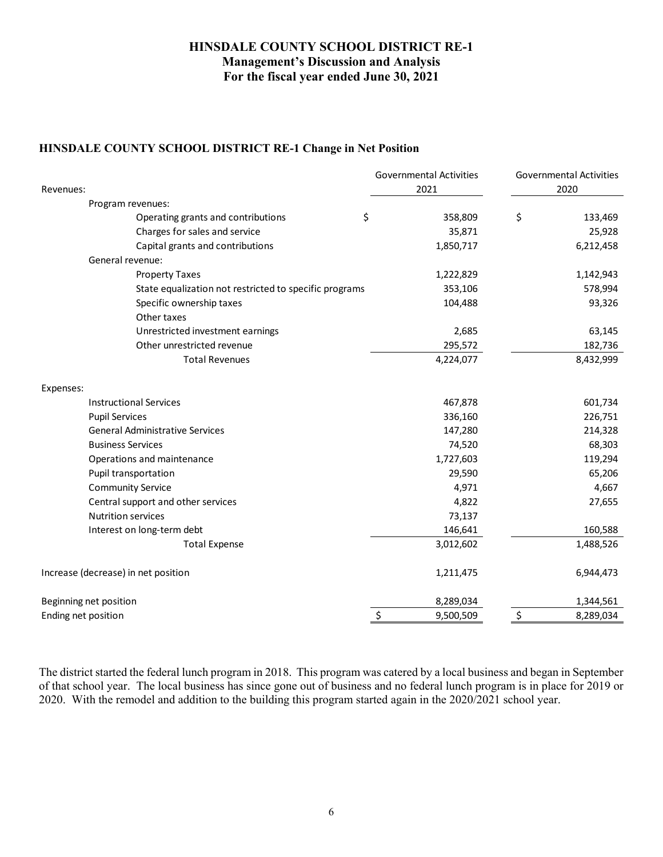### **HINSDALE COUNTY SCHOOL DISTRICT RE-1 Change in Net Position**

| Revenues:                                              | <b>Governmental Activities</b><br>2021 | <b>Governmental Activities</b><br>2020 |           |
|--------------------------------------------------------|----------------------------------------|----------------------------------------|-----------|
|                                                        |                                        |                                        |           |
| Program revenues:                                      |                                        |                                        |           |
| \$<br>Operating grants and contributions               | 358,809                                | \$                                     | 133,469   |
| Charges for sales and service                          | 35,871                                 |                                        | 25,928    |
| Capital grants and contributions                       | 1,850,717                              |                                        | 6,212,458 |
| General revenue:                                       |                                        |                                        |           |
| <b>Property Taxes</b>                                  | 1,222,829                              |                                        | 1,142,943 |
| State equalization not restricted to specific programs | 353,106                                |                                        | 578,994   |
| Specific ownership taxes                               | 104,488                                |                                        | 93,326    |
| Other taxes                                            |                                        |                                        |           |
| Unrestricted investment earnings                       | 2,685                                  |                                        | 63,145    |
| Other unrestricted revenue                             | 295,572                                |                                        | 182,736   |
| <b>Total Revenues</b>                                  | 4,224,077                              |                                        | 8,432,999 |
| Expenses:                                              |                                        |                                        |           |
| <b>Instructional Services</b>                          | 467,878                                |                                        | 601,734   |
| <b>Pupil Services</b>                                  | 336,160                                |                                        | 226,751   |
| <b>General Administrative Services</b>                 | 147,280                                |                                        | 214,328   |
| <b>Business Services</b>                               | 74,520                                 |                                        | 68,303    |
| Operations and maintenance                             | 1,727,603                              |                                        | 119,294   |
| Pupil transportation                                   | 29,590                                 |                                        | 65,206    |
| <b>Community Service</b>                               | 4,971                                  |                                        | 4,667     |
| Central support and other services                     | 4,822                                  |                                        | 27,655    |
| <b>Nutrition services</b>                              | 73,137                                 |                                        |           |
| Interest on long-term debt                             | 146,641                                |                                        | 160,588   |
| <b>Total Expense</b>                                   | 3,012,602                              |                                        | 1,488,526 |
| Increase (decrease) in net position                    | 1,211,475                              |                                        | 6,944,473 |
| Beginning net position                                 | 8,289,034                              |                                        | 1,344,561 |
| Ending net position                                    | \$<br>9,500,509                        | \$                                     | 8,289,034 |

The district started the federal lunch program in 2018. This program was catered by a local business and began in September of that school year. The local business has since gone out of business and no federal lunch program is in place for 2019 or 2020. With the remodel and addition to the building this program started again in the 2020/2021 school year.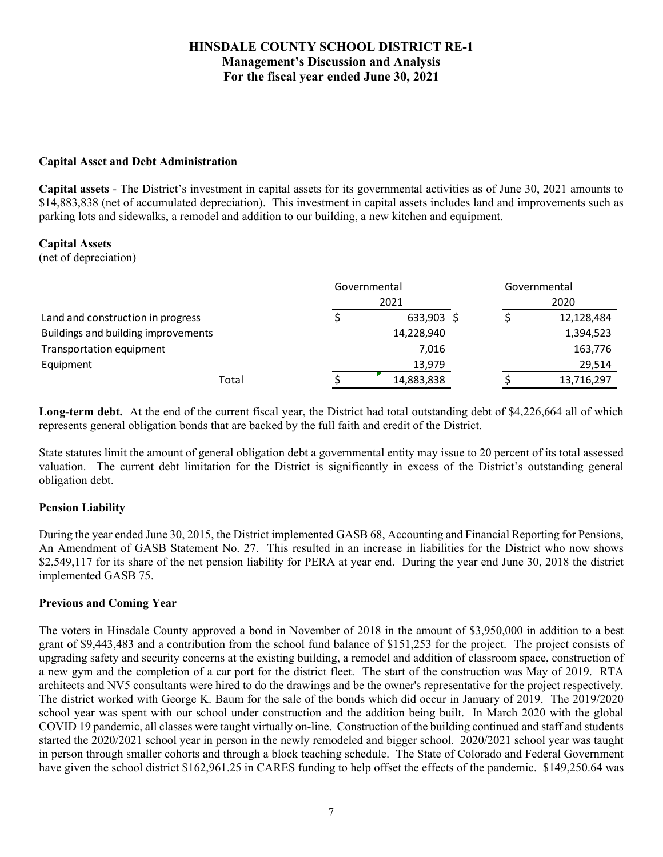#### **Capital Asset and Debt Administration**

**Capital assets** - The District's investment in capital assets for its governmental activities as of June 30, 2021 amounts to \$14,883,838 (net of accumulated depreciation). This investment in capital assets includes land and improvements such as parking lots and sidewalks, a remodel and addition to our building, a new kitchen and equipment.

#### **Capital Assets**

(net of depreciation)

|                                     | Governmental |            |      | Governmental |  |
|-------------------------------------|--------------|------------|------|--------------|--|
|                                     |              | 2021       | 2020 |              |  |
| Land and construction in progress   |              | 633,903 \$ |      | 12,128,484   |  |
| Buildings and building improvements |              | 14,228,940 |      | 1,394,523    |  |
| Transportation equipment            |              | 7,016      |      | 163,776      |  |
| Equipment                           |              | 13,979     |      | 29,514       |  |
| Total                               |              | 14,883,838 |      | 13,716,297   |  |

**Long-term debt.** At the end of the current fiscal year, the District had total outstanding debt of \$4,226,664 all of which represents general obligation bonds that are backed by the full faith and credit of the District.

State statutes limit the amount of general obligation debt a governmental entity may issue to 20 percent of its total assessed valuation. The current debt limitation for the District is significantly in excess of the District's outstanding general obligation debt.

#### **Pension Liability**

During the year ended June 30, 2015, the District implemented GASB 68, Accounting and Financial Reporting for Pensions, An Amendment of GASB Statement No. 27. This resulted in an increase in liabilities for the District who now shows \$2,549,117 for its share of the net pension liability for PERA at year end. During the year end June 30, 2018 the district implemented GASB 75.

#### **Previous and Coming Year**

The voters in Hinsdale County approved a bond in November of 2018 in the amount of \$3,950,000 in addition to a best grant of \$9,443,483 and a contribution from the school fund balance of \$151,253 for the project. The project consists of upgrading safety and security concerns at the existing building, a remodel and addition of classroom space, construction of a new gym and the completion of a car port for the district fleet. The start of the construction was May of 2019. RTA architects and NV5 consultants were hired to do the drawings and be the owner's representative for the project respectively. The district worked with George K. Baum for the sale of the bonds which did occur in January of 2019. The 2019/2020 school year was spent with our school under construction and the addition being built. In March 2020 with the global COVID 19 pandemic, all classes were taught virtually on-line. Construction of the building continued and staff and students started the 2020/2021 school year in person in the newly remodeled and bigger school. 2020/2021 school year was taught in person through smaller cohorts and through a block teaching schedule. The State of Colorado and Federal Government have given the school district \$162,961.25 in CARES funding to help offset the effects of the pandemic. \$149,250.64 was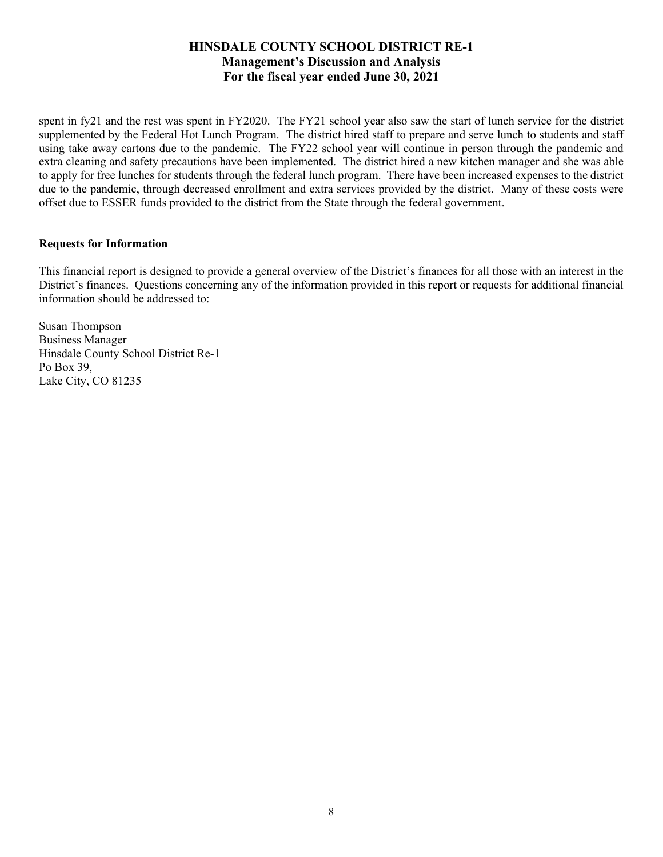spent in fy21 and the rest was spent in FY2020. The FY21 school year also saw the start of lunch service for the district supplemented by the Federal Hot Lunch Program. The district hired staff to prepare and serve lunch to students and staff using take away cartons due to the pandemic. The FY22 school year will continue in person through the pandemic and extra cleaning and safety precautions have been implemented. The district hired a new kitchen manager and she was able to apply for free lunches for students through the federal lunch program. There have been increased expenses to the district due to the pandemic, through decreased enrollment and extra services provided by the district. Many of these costs were offset due to ESSER funds provided to the district from the State through the federal government.

#### **Requests for Information**

This financial report is designed to provide a general overview of the District's finances for all those with an interest in the District's finances. Questions concerning any of the information provided in this report or requests for additional financial information should be addressed to:

Susan Thompson Business Manager Hinsdale County School District Re-1 Po Box 39, Lake City, CO 81235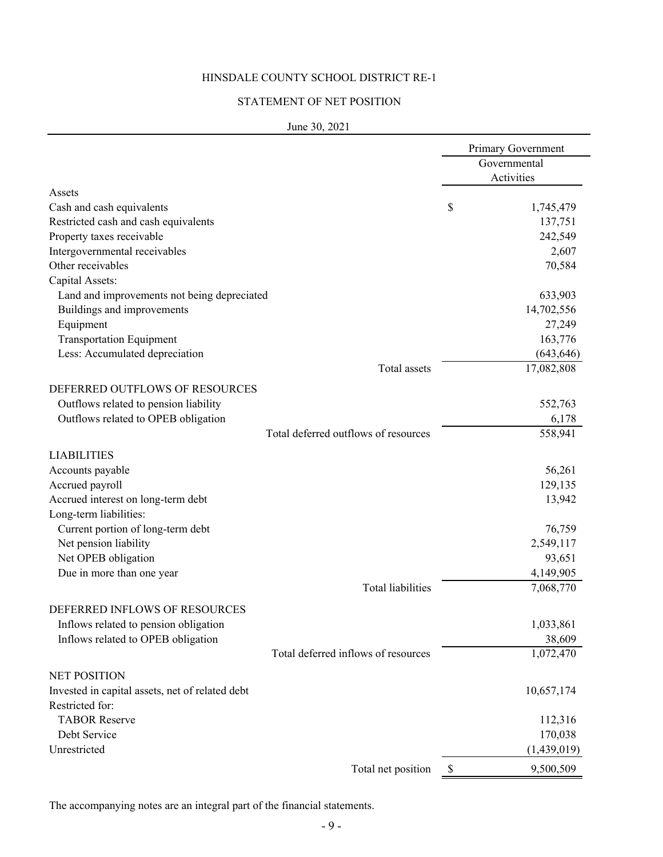#### STATEMENT OF NET POSITION

### June 30, 2021

|                                                 |                                      | Primary Government |
|-------------------------------------------------|--------------------------------------|--------------------|
|                                                 |                                      | Governmental       |
|                                                 |                                      | Activities         |
| Assets                                          |                                      |                    |
| Cash and cash equivalents                       |                                      | \$<br>1,745,479    |
| Restricted cash and cash equivalents            |                                      | 137,751            |
| Property taxes receivable                       |                                      | 242,549            |
| Intergovernmental receivables                   |                                      | 2,607              |
| Other receivables                               |                                      | 70,584             |
| Capital Assets:                                 |                                      |                    |
| Land and improvements not being depreciated     |                                      | 633,903            |
| Buildings and improvements                      |                                      | 14,702,556         |
| Equipment                                       |                                      | 27,249             |
| <b>Transportation Equipment</b>                 |                                      | 163,776            |
| Less: Accumulated depreciation                  |                                      | (643, 646)         |
|                                                 | <b>Total</b> assets                  | 17,082,808         |
| DEFERRED OUTFLOWS OF RESOURCES                  |                                      |                    |
| Outflows related to pension liability           |                                      | 552,763            |
| Outflows related to OPEB obligation             |                                      | 6,178              |
|                                                 | Total deferred outflows of resources | 558,941            |
| <b>LIABILITIES</b>                              |                                      |                    |
| Accounts payable                                |                                      | 56,261             |
| Accrued payroll                                 |                                      | 129,135            |
| Accrued interest on long-term debt              |                                      | 13,942             |
| Long-term liabilities:                          |                                      |                    |
| Current portion of long-term debt               |                                      | 76,759             |
| Net pension liability                           |                                      | 2,549,117          |
| Net OPEB obligation                             |                                      | 93,651             |
|                                                 |                                      | 4,149,905          |
| Due in more than one year                       | <b>Total liabilities</b>             |                    |
|                                                 |                                      | 7,068,770          |
| DEFERRED INFLOWS OF RESOURCES                   |                                      |                    |
| Inflows related to pension obligation           |                                      | 1,033,861          |
| Inflows related to OPEB obligation              |                                      | 38,609             |
|                                                 | Total deferred inflows of resources  | 1,072,470          |
| <b>NET POSITION</b>                             |                                      |                    |
| Invested in capital assets, net of related debt |                                      | 10,657,174         |
| Restricted for:                                 |                                      |                    |
| <b>TABOR Reserve</b>                            |                                      | 112,316            |
| Debt Service                                    |                                      | 170,038            |
| Unrestricted                                    |                                      | (1,439,019)        |
|                                                 |                                      |                    |
|                                                 | Total net position                   | \$<br>9,500,509    |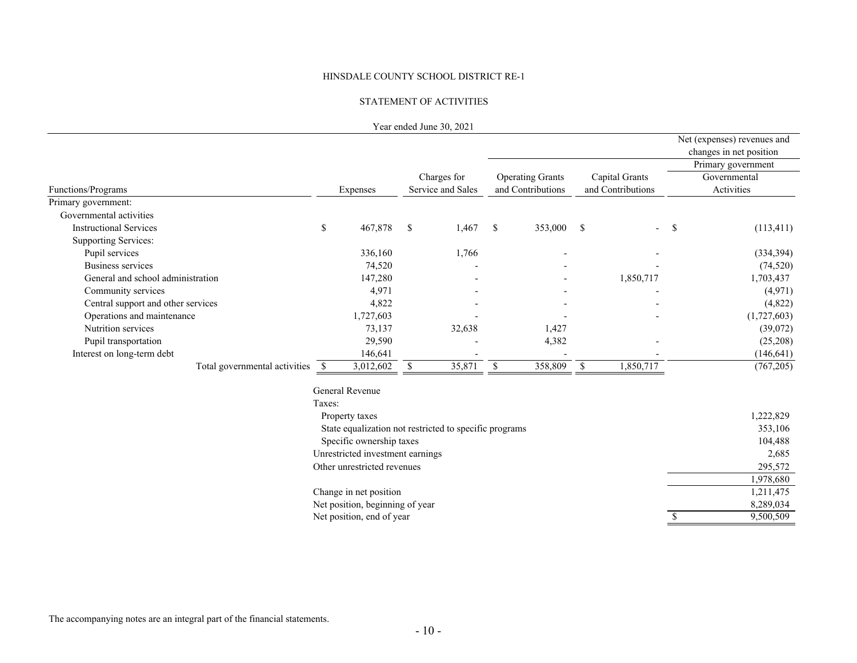#### STATEMENT OF ACTIVITIES

#### Year ended June 30, 2021

|                                    |               |                                                        |                          |    |                         |                   |   | Net (expenses) revenues and<br>changes in net position |
|------------------------------------|---------------|--------------------------------------------------------|--------------------------|----|-------------------------|-------------------|---|--------------------------------------------------------|
|                                    |               |                                                        |                          |    |                         |                   |   | Primary government                                     |
|                                    |               |                                                        | Charges for              |    | <b>Operating Grants</b> | Capital Grants    |   | Governmental                                           |
| Functions/Programs                 |               | Expenses                                               | Service and Sales        |    | and Contributions       | and Contributions |   | Activities                                             |
| Primary government:                |               |                                                        |                          |    |                         |                   |   |                                                        |
| Governmental activities            |               |                                                        |                          |    |                         |                   |   |                                                        |
| <b>Instructional Services</b>      | $\mathbb{S}$  | 467,878                                                | \$<br>1,467              | \$ | 353,000                 | \$<br>$\sim$      | S | (113, 411)                                             |
| <b>Supporting Services:</b>        |               |                                                        |                          |    |                         |                   |   |                                                        |
| Pupil services                     |               | 336,160                                                | 1,766                    |    |                         |                   |   | (334, 394)                                             |
| Business services                  |               | 74,520                                                 |                          |    |                         |                   |   | (74, 520)                                              |
| General and school administration  |               | 147,280                                                | $\overline{\phantom{0}}$ |    |                         | 1,850,717         |   | 1,703,437                                              |
| Community services                 |               | 4,971                                                  |                          |    |                         |                   |   | (4,971)                                                |
| Central support and other services |               | 4,822                                                  |                          |    |                         |                   |   | (4,822)                                                |
| Operations and maintenance         |               | 1,727,603                                              |                          |    |                         |                   |   | (1,727,603)                                            |
| Nutrition services                 |               | 73,137                                                 | 32,638                   |    | 1,427                   |                   |   | (39,072)                                               |
| Pupil transportation               |               | 29,590                                                 |                          |    | 4,382                   |                   |   | (25,208)                                               |
| Interest on long-term debt         |               | 146,641                                                |                          |    |                         |                   |   | (146, 641)                                             |
| Total governmental activities      | <sup>\$</sup> | 3,012,602                                              | \$<br>35,871             | S  | 358,809                 | \$<br>1,850,717   |   | (767, 205)                                             |
|                                    |               | General Revenue                                        |                          |    |                         |                   |   |                                                        |
|                                    | Taxes:        |                                                        |                          |    |                         |                   |   |                                                        |
|                                    |               | Property taxes                                         |                          |    |                         |                   |   | 1,222,829                                              |
|                                    |               | State equalization not restricted to specific programs |                          |    |                         |                   |   | 353,106                                                |
|                                    |               | Specific ownership taxes                               |                          |    |                         |                   |   | 104.488                                                |

| Specific ownership taxes         |  | 104.488   |
|----------------------------------|--|-----------|
| Unrestricted investment earnings |  | 2,685     |
| Other unrestricted revenues      |  | 295,572   |
|                                  |  | 1,978,680 |
| Change in net position           |  | 1,211,475 |
| Net position, beginning of year  |  | 8,289,034 |
| Net position, end of year        |  | 9,500,509 |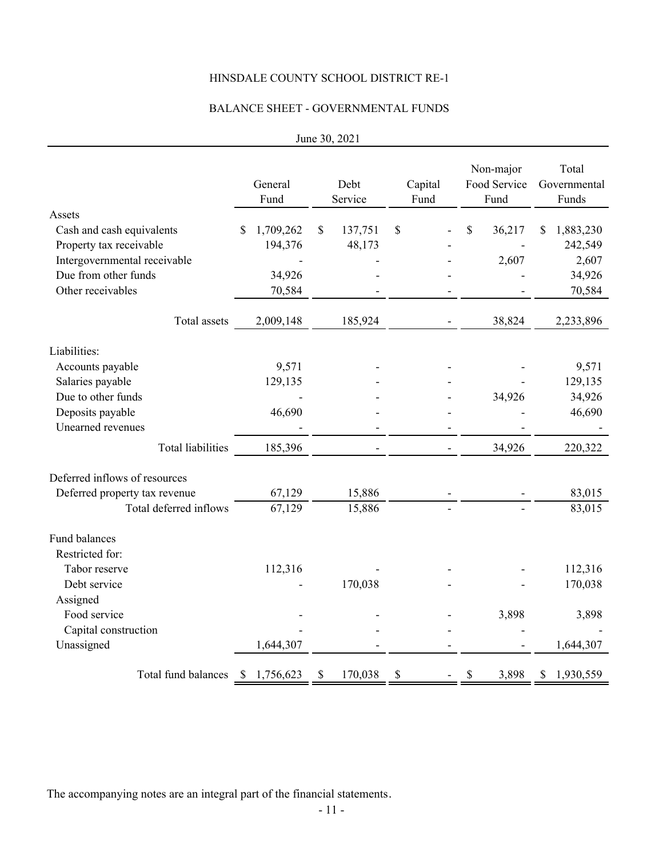## BALANCE SHEET - GOVERNMENTAL FUNDS

|                               | General<br>Fund | Debt<br>Service | Capital<br>Fund | Non-major<br>Food Service<br>Fund | Total<br>Governmental<br>Funds |
|-------------------------------|-----------------|-----------------|-----------------|-----------------------------------|--------------------------------|
| Assets                        |                 |                 |                 |                                   |                                |
| Cash and cash equivalents     | 1,709,262<br>S  | \$<br>137,751   | \$              | \$<br>36,217                      | 1,883,230<br>S                 |
| Property tax receivable       | 194,376         | 48,173          |                 |                                   | 242,549                        |
| Intergovernmental receivable  |                 |                 |                 | 2,607                             | 2,607                          |
| Due from other funds          | 34,926          |                 |                 |                                   | 34,926                         |
| Other receivables             | 70,584          |                 |                 |                                   | 70,584                         |
| Total assets                  | 2,009,148       | 185,924         |                 | 38,824                            | 2,233,896                      |
| Liabilities:                  |                 |                 |                 |                                   |                                |
| Accounts payable              | 9,571           |                 |                 |                                   | 9,571                          |
| Salaries payable              | 129,135         |                 |                 |                                   | 129,135                        |
| Due to other funds            |                 |                 |                 | 34,926                            | 34,926                         |
| Deposits payable              | 46,690          |                 |                 |                                   | 46,690                         |
| Unearned revenues             |                 |                 |                 |                                   |                                |
| Total liabilities             | 185,396         |                 |                 | 34,926                            | 220,322                        |
| Deferred inflows of resources |                 |                 |                 |                                   |                                |
| Deferred property tax revenue | 67,129          | 15,886          |                 |                                   | 83,015                         |
| Total deferred inflows        | 67,129          | 15,886          |                 |                                   | 83,015                         |
| Fund balances                 |                 |                 |                 |                                   |                                |
| Restricted for:               |                 |                 |                 |                                   |                                |
| Tabor reserve                 | 112,316         |                 |                 |                                   | 112,316                        |
| Debt service                  |                 | 170,038         |                 |                                   | 170,038                        |
| Assigned                      |                 |                 |                 |                                   |                                |
| Food service                  |                 |                 |                 | 3,898                             | 3,898                          |
| Capital construction          |                 |                 |                 |                                   |                                |
| Unassigned                    | 1,644,307       |                 |                 |                                   | 1,644,307                      |
| Total fund balances           | 1,756,623<br>S  | \$<br>170,038   | \$              | \$<br>3,898                       | 1,930,559<br>\$                |

June 30, 2021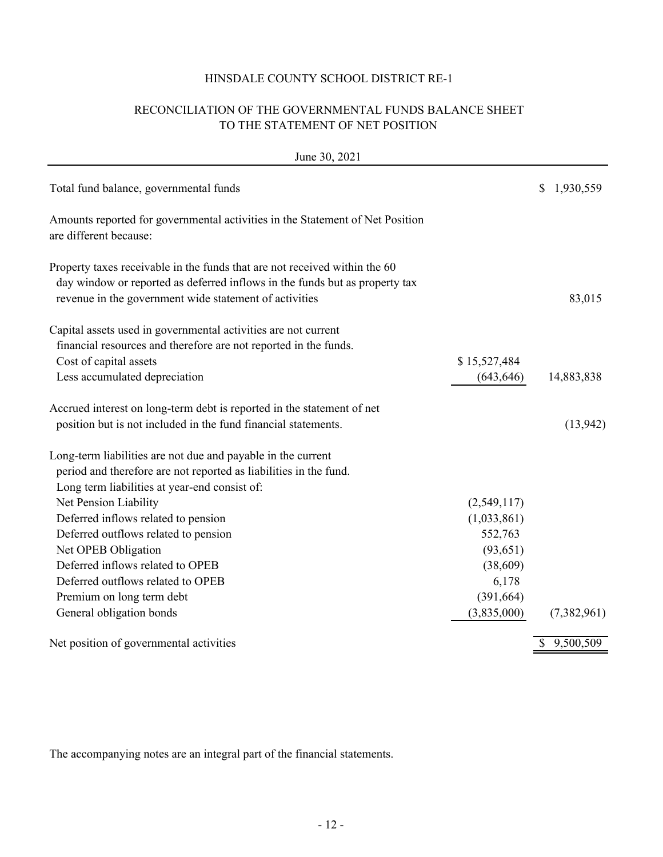## RECONCILIATION OF THE GOVERNMENTAL FUNDS BALANCE SHEET TO THE STATEMENT OF NET POSITION

| June 30, 2021                                                                                                                                                                                                       |                                              |                            |
|---------------------------------------------------------------------------------------------------------------------------------------------------------------------------------------------------------------------|----------------------------------------------|----------------------------|
| Total fund balance, governmental funds                                                                                                                                                                              |                                              | 1,930,559<br>\$            |
| Amounts reported for governmental activities in the Statement of Net Position<br>are different because:                                                                                                             |                                              |                            |
| Property taxes receivable in the funds that are not received within the 60<br>day window or reported as deferred inflows in the funds but as property tax<br>revenue in the government wide statement of activities |                                              | 83,015                     |
| Capital assets used in governmental activities are not current<br>financial resources and therefore are not reported in the funds.<br>Cost of capital assets<br>Less accumulated depreciation                       | \$15,527,484<br>(643, 646)                   | 14,883,838                 |
| Accrued interest on long-term debt is reported in the statement of net<br>position but is not included in the fund financial statements.                                                                            |                                              | (13,942)                   |
| Long-term liabilities are not due and payable in the current<br>period and therefore are not reported as liabilities in the fund.<br>Long term liabilities at year-end consist of:                                  |                                              |                            |
| Net Pension Liability<br>Deferred inflows related to pension<br>Deferred outflows related to pension                                                                                                                | (2,549,117)<br>(1,033,861)<br>552,763        |                            |
| Net OPEB Obligation<br>Deferred inflows related to OPEB<br>Deferred outflows related to OPEB<br>Premium on long term debt                                                                                           | (93, 651)<br>(38,609)<br>6,178<br>(391, 664) |                            |
| General obligation bonds<br>Net position of governmental activities                                                                                                                                                 | (3,835,000)                                  | (7,382,961)<br>\$9,500,509 |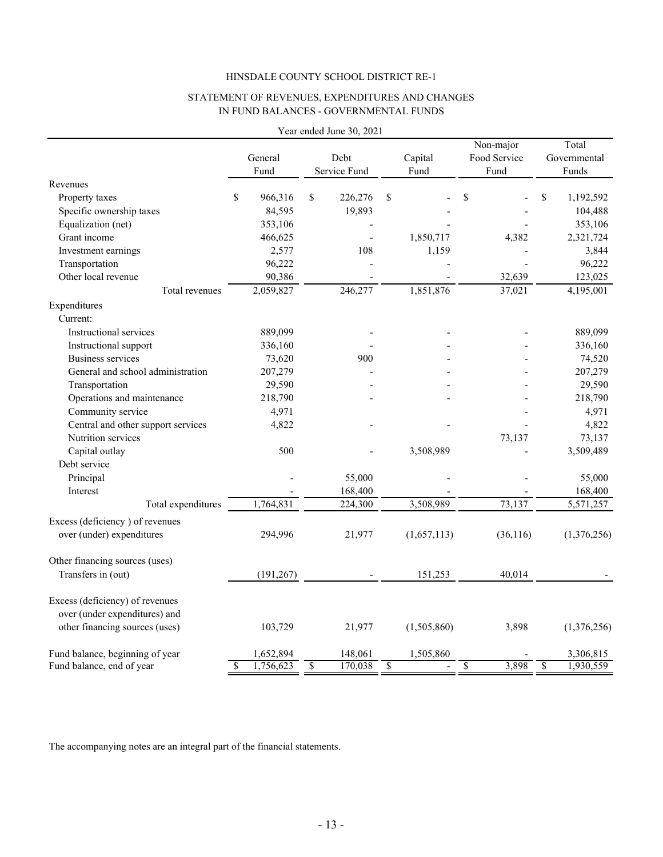#### STATEMENT OF REVENUES, EXPENDITURES AND CHANGES IN FUND BALANCES - GOVERNMENTAL FUNDS

|                                                                  |                                                            |            |                                   | Year ended June 30, 2021       |                          |             |                          |                          |             |
|------------------------------------------------------------------|------------------------------------------------------------|------------|-----------------------------------|--------------------------------|--------------------------|-------------|--------------------------|--------------------------|-------------|
|                                                                  | Debt<br>Capital<br>General<br>Fund<br>Fund<br>Service Fund |            | Non-major<br>Food Service<br>Fund | Total<br>Governmental<br>Funds |                          |             |                          |                          |             |
| Revenues                                                         |                                                            |            |                                   |                                |                          |             |                          |                          |             |
| Property taxes                                                   | \$                                                         | 966,316    | \$                                | 226,276                        | \$                       |             | \$                       | \$                       | 1,192,592   |
| Specific ownership taxes                                         |                                                            | 84,595     |                                   | 19,893                         |                          |             |                          |                          | 104,488     |
| Equalization (net)                                               |                                                            | 353,106    |                                   |                                |                          |             |                          |                          | 353,106     |
| Grant income                                                     |                                                            | 466,625    |                                   |                                |                          | 1,850,717   | 4,382                    |                          | 2,321,724   |
| Investment earnings                                              |                                                            | 2,577      |                                   | 108                            |                          | 1,159       |                          |                          | 3,844       |
| Transportation                                                   |                                                            | 96,222     |                                   |                                |                          |             |                          |                          | 96,222      |
| Other local revenue                                              |                                                            | 90,386     |                                   |                                |                          |             | 32,639                   |                          | 123,025     |
| Total revenues                                                   |                                                            | 2,059,827  |                                   | 246,277                        |                          | 1,851,876   | 37,021                   |                          | 4,195,001   |
| Expenditures                                                     |                                                            |            |                                   |                                |                          |             |                          |                          |             |
| Current:                                                         |                                                            |            |                                   |                                |                          |             |                          |                          |             |
| Instructional services                                           |                                                            | 889,099    |                                   |                                |                          |             |                          |                          | 889,099     |
| Instructional support                                            |                                                            | 336,160    |                                   |                                |                          |             |                          |                          | 336,160     |
| <b>Business services</b>                                         |                                                            | 73,620     |                                   | 900                            |                          |             |                          |                          | 74,520      |
| General and school administration                                |                                                            | 207,279    |                                   |                                |                          |             |                          |                          | 207,279     |
| Transportation                                                   |                                                            | 29,590     |                                   |                                |                          |             |                          |                          | 29,590      |
| Operations and maintenance                                       |                                                            | 218,790    |                                   |                                |                          |             |                          |                          | 218,790     |
| Community service                                                |                                                            | 4,971      |                                   |                                |                          |             |                          |                          | 4,971       |
| Central and other support services                               |                                                            | 4,822      |                                   |                                |                          |             |                          |                          | 4,822       |
| Nutrition services                                               |                                                            |            |                                   |                                |                          |             | 73,137                   |                          | 73,137      |
| Capital outlay                                                   |                                                            | 500        |                                   |                                |                          | 3,508,989   |                          |                          | 3,509,489   |
| Debt service                                                     |                                                            |            |                                   |                                |                          |             |                          |                          |             |
| Principal                                                        |                                                            |            |                                   | 55,000                         |                          |             |                          |                          | 55,000      |
| Interest                                                         |                                                            |            |                                   | 168,400                        |                          |             |                          |                          | 168,400     |
| Total expenditures                                               |                                                            | 1,764,831  |                                   | 224,300                        |                          | 3,508,989   | 73,137                   |                          | 5,571,257   |
| Excess (deficiency) of revenues                                  |                                                            |            |                                   |                                |                          |             |                          |                          |             |
| over (under) expenditures                                        |                                                            | 294,996    |                                   | 21,977                         |                          | (1,657,113) | (36, 116)                |                          | (1,376,256) |
| Other financing sources (uses)                                   |                                                            |            |                                   |                                |                          |             |                          |                          |             |
| Transfers in (out)                                               |                                                            | (191, 267) |                                   |                                |                          | 151,253     | 40,014                   |                          |             |
| Excess (deficiency) of revenues<br>over (under expenditures) and |                                                            |            |                                   |                                |                          |             |                          |                          |             |
| other financing sources (uses)                                   |                                                            | 103,729    |                                   | 21,977                         |                          | (1,505,860) | 3,898                    |                          | (1,376,256) |
| Fund balance, beginning of year                                  |                                                            | 1,652,894  |                                   | 148,061                        |                          | 1,505,860   |                          |                          | 3,306,815   |
| Fund balance, end of year                                        | $\overline{\mathcal{S}}$                                   | 1,756,623  | $\overline{\mathcal{S}}$          | 170,038                        | $\overline{\mathcal{S}}$ |             | $\overline{\$}$<br>3,898 | $\overline{\mathcal{S}}$ | 1,930,559   |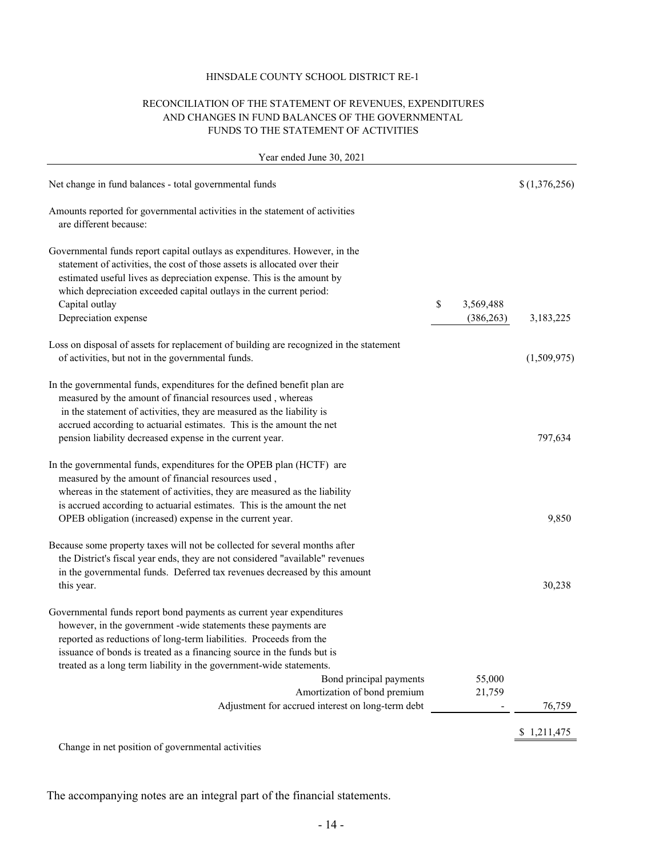#### RECONCILIATION OF THE STATEMENT OF REVENUES, EXPENDITURES AND CHANGES IN FUND BALANCES OF THE GOVERNMENTAL FUNDS TO THE STATEMENT OF ACTIVITIES

| Year ended June 30, 2021                                                                                                                                                                                                                                                                                                                                                                                                 |                               |               |
|--------------------------------------------------------------------------------------------------------------------------------------------------------------------------------------------------------------------------------------------------------------------------------------------------------------------------------------------------------------------------------------------------------------------------|-------------------------------|---------------|
| Net change in fund balances - total governmental funds                                                                                                                                                                                                                                                                                                                                                                   |                               | \$(1,376,256) |
| Amounts reported for governmental activities in the statement of activities<br>are different because:                                                                                                                                                                                                                                                                                                                    |                               |               |
| Governmental funds report capital outlays as expenditures. However, in the<br>statement of activities, the cost of those assets is allocated over their<br>estimated useful lives as depreciation expense. This is the amount by<br>which depreciation exceeded capital outlays in the current period:<br>Capital outlay<br>Depreciation expense                                                                         | \$<br>3,569,488<br>(386, 263) | 3,183,225     |
| Loss on disposal of assets for replacement of building are recognized in the statement<br>of activities, but not in the governmental funds.                                                                                                                                                                                                                                                                              |                               | (1,509,975)   |
| In the governmental funds, expenditures for the defined benefit plan are<br>measured by the amount of financial resources used, whereas<br>in the statement of activities, they are measured as the liability is<br>accrued according to actuarial estimates. This is the amount the net<br>pension liability decreased expense in the current year.                                                                     |                               | 797,634       |
| In the governmental funds, expenditures for the OPEB plan (HCTF) are<br>measured by the amount of financial resources used,<br>whereas in the statement of activities, they are measured as the liability<br>is accrued according to actuarial estimates. This is the amount the net<br>OPEB obligation (increased) expense in the current year.                                                                         |                               | 9,850         |
| Because some property taxes will not be collected for several months after<br>the District's fiscal year ends, they are not considered "available" revenues<br>in the governmental funds. Deferred tax revenues decreased by this amount<br>this year.                                                                                                                                                                   |                               | 30,238        |
| Governmental funds report bond payments as current year expenditures<br>however, in the government -wide statements these payments are<br>reported as reductions of long-term liabilities. Proceeds from the<br>issuance of bonds is treated as a financing source in the funds but is<br>treated as a long term liability in the government-wide statements.<br>Bond principal payments<br>Amortization of bond premium | 55,000<br>21,759              |               |
| Adjustment for accrued interest on long-term debt                                                                                                                                                                                                                                                                                                                                                                        |                               | 76,759        |
|                                                                                                                                                                                                                                                                                                                                                                                                                          |                               | \$1,211,475   |

Change in net position of governmental activities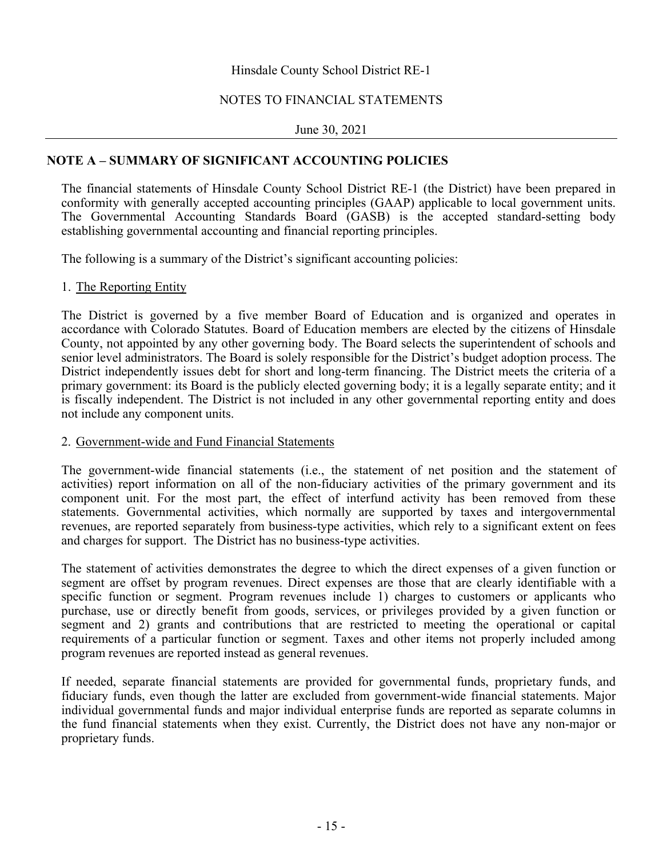#### NOTES TO FINANCIAL STATEMENTS

June 30, 2021

### **NOTE A – SUMMARY OF SIGNIFICANT ACCOUNTING POLICIES**

 The financial statements of Hinsdale County School District RE-1 (the District) have been prepared in conformity with generally accepted accounting principles (GAAP) applicable to local government units. The Governmental Accounting Standards Board (GASB) is the accepted standard-setting body establishing governmental accounting and financial reporting principles.

The following is a summary of the District's significant accounting policies:

#### 1. The Reporting Entity

 The District is governed by a five member Board of Education and is organized and operates in accordance with Colorado Statutes. Board of Education members are elected by the citizens of Hinsdale County, not appointed by any other governing body. The Board selects the superintendent of schools and senior level administrators. The Board is solely responsible for the District's budget adoption process. The District independently issues debt for short and long-term financing. The District meets the criteria of a primary government: its Board is the publicly elected governing body; it is a legally separate entity; and it is fiscally independent. The District is not included in any other governmental reporting entity and does not include any component units.

#### 2. Government-wide and Fund Financial Statements

The government-wide financial statements (i.e., the statement of net position and the statement of activities) report information on all of the non-fiduciary activities of the primary government and its component unit. For the most part, the effect of interfund activity has been removed from these statements. Governmental activities, which normally are supported by taxes and intergovernmental revenues, are reported separately from business-type activities, which rely to a significant extent on fees and charges for support. The District has no business-type activities.

The statement of activities demonstrates the degree to which the direct expenses of a given function or segment are offset by program revenues. Direct expenses are those that are clearly identifiable with a specific function or segment. Program revenues include 1) charges to customers or applicants who purchase, use or directly benefit from goods, services, or privileges provided by a given function or segment and 2) grants and contributions that are restricted to meeting the operational or capital requirements of a particular function or segment. Taxes and other items not properly included among program revenues are reported instead as general revenues.

If needed, separate financial statements are provided for governmental funds, proprietary funds, and fiduciary funds, even though the latter are excluded from government-wide financial statements. Major individual governmental funds and major individual enterprise funds are reported as separate columns in the fund financial statements when they exist. Currently, the District does not have any non-major or proprietary funds.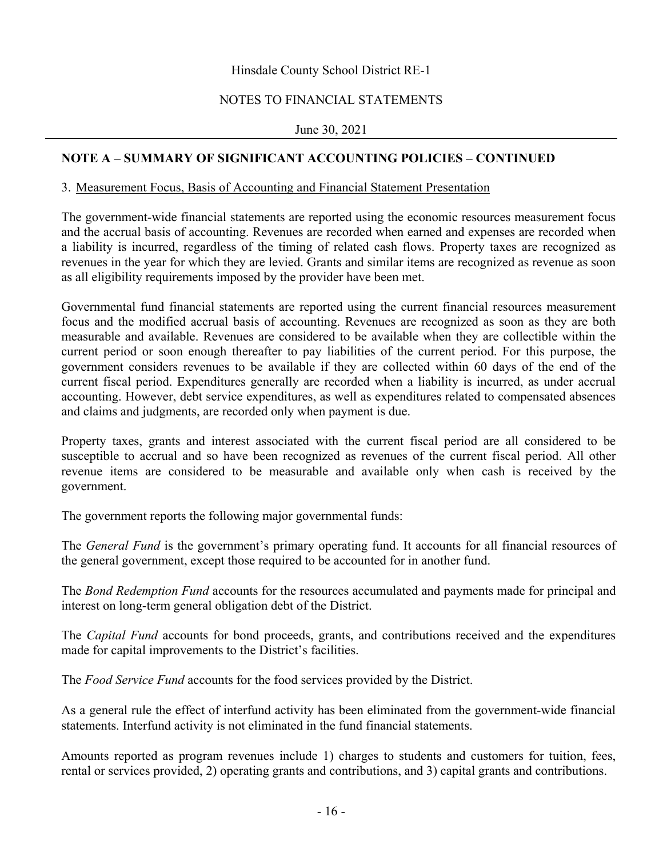## NOTES TO FINANCIAL STATEMENTS

June 30, 2021

## **NOTE A – SUMMARY OF SIGNIFICANT ACCOUNTING POLICIES – CONTINUED**

### 3. Measurement Focus, Basis of Accounting and Financial Statement Presentation

 The government-wide financial statements are reported using the economic resources measurement focus and the accrual basis of accounting. Revenues are recorded when earned and expenses are recorded when a liability is incurred, regardless of the timing of related cash flows. Property taxes are recognized as revenues in the year for which they are levied. Grants and similar items are recognized as revenue as soon as all eligibility requirements imposed by the provider have been met.

 Governmental fund financial statements are reported using the current financial resources measurement focus and the modified accrual basis of accounting. Revenues are recognized as soon as they are both measurable and available. Revenues are considered to be available when they are collectible within the current period or soon enough thereafter to pay liabilities of the current period. For this purpose, the government considers revenues to be available if they are collected within 60 days of the end of the current fiscal period. Expenditures generally are recorded when a liability is incurred, as under accrual accounting. However, debt service expenditures, as well as expenditures related to compensated absences and claims and judgments, are recorded only when payment is due.

 Property taxes, grants and interest associated with the current fiscal period are all considered to be susceptible to accrual and so have been recognized as revenues of the current fiscal period. All other revenue items are considered to be measurable and available only when cash is received by the government.

The government reports the following major governmental funds:

 The *General Fund* is the government's primary operating fund. It accounts for all financial resources of the general government, except those required to be accounted for in another fund.

 The *Bond Redemption Fund* accounts for the resources accumulated and payments made for principal and interest on long-term general obligation debt of the District.

 The *Capital Fund* accounts for bond proceeds, grants, and contributions received and the expenditures made for capital improvements to the District's facilities.

The *Food Service Fund* accounts for the food services provided by the District.

 As a general rule the effect of interfund activity has been eliminated from the government-wide financial statements. Interfund activity is not eliminated in the fund financial statements.

Amounts reported as program revenues include 1) charges to students and customers for tuition, fees, rental or services provided, 2) operating grants and contributions, and 3) capital grants and contributions.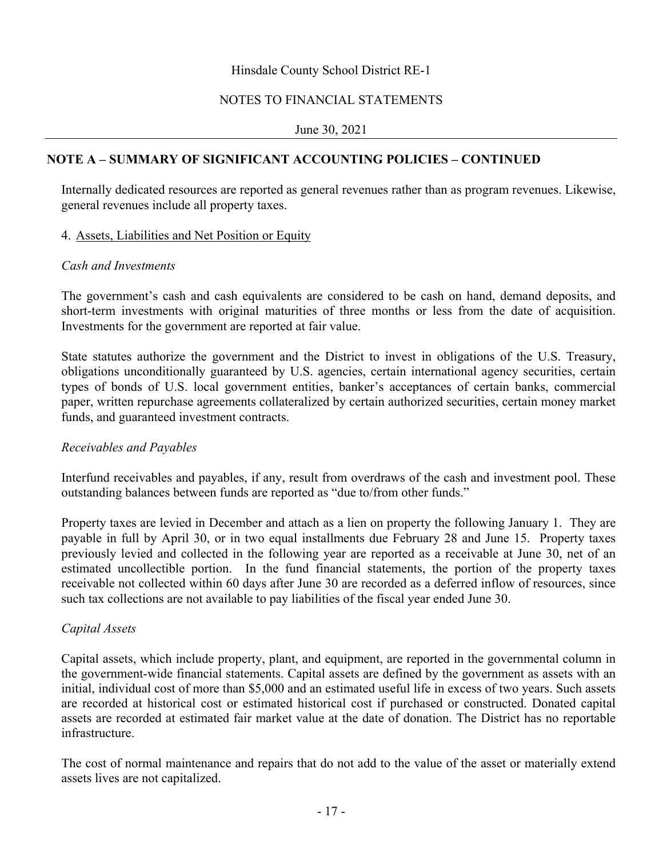#### NOTES TO FINANCIAL STATEMENTS

June 30, 2021

### **NOTE A – SUMMARY OF SIGNIFICANT ACCOUNTING POLICIES – CONTINUED**

 Internally dedicated resources are reported as general revenues rather than as program revenues. Likewise, general revenues include all property taxes.

#### 4. Assets, Liabilities and Net Position or Equity

#### *Cash and Investments*

The government's cash and cash equivalents are considered to be cash on hand, demand deposits, and short-term investments with original maturities of three months or less from the date of acquisition. Investments for the government are reported at fair value.

State statutes authorize the government and the District to invest in obligations of the U.S. Treasury, obligations unconditionally guaranteed by U.S. agencies, certain international agency securities, certain types of bonds of U.S. local government entities, banker's acceptances of certain banks, commercial paper, written repurchase agreements collateralized by certain authorized securities, certain money market funds, and guaranteed investment contracts.

#### *Receivables and Payables*

Interfund receivables and payables, if any, result from overdraws of the cash and investment pool. These outstanding balances between funds are reported as "due to/from other funds."

Property taxes are levied in December and attach as a lien on property the following January 1. They are payable in full by April 30, or in two equal installments due February 28 and June 15. Property taxes previously levied and collected in the following year are reported as a receivable at June 30, net of an estimated uncollectible portion. In the fund financial statements, the portion of the property taxes receivable not collected within 60 days after June 30 are recorded as a deferred inflow of resources, since such tax collections are not available to pay liabilities of the fiscal year ended June 30.

#### *Capital Assets*

Capital assets, which include property, plant, and equipment, are reported in the governmental column in the government-wide financial statements. Capital assets are defined by the government as assets with an initial, individual cost of more than \$5,000 and an estimated useful life in excess of two years. Such assets are recorded at historical cost or estimated historical cost if purchased or constructed. Donated capital assets are recorded at estimated fair market value at the date of donation. The District has no reportable infrastructure.

The cost of normal maintenance and repairs that do not add to the value of the asset or materially extend assets lives are not capitalized.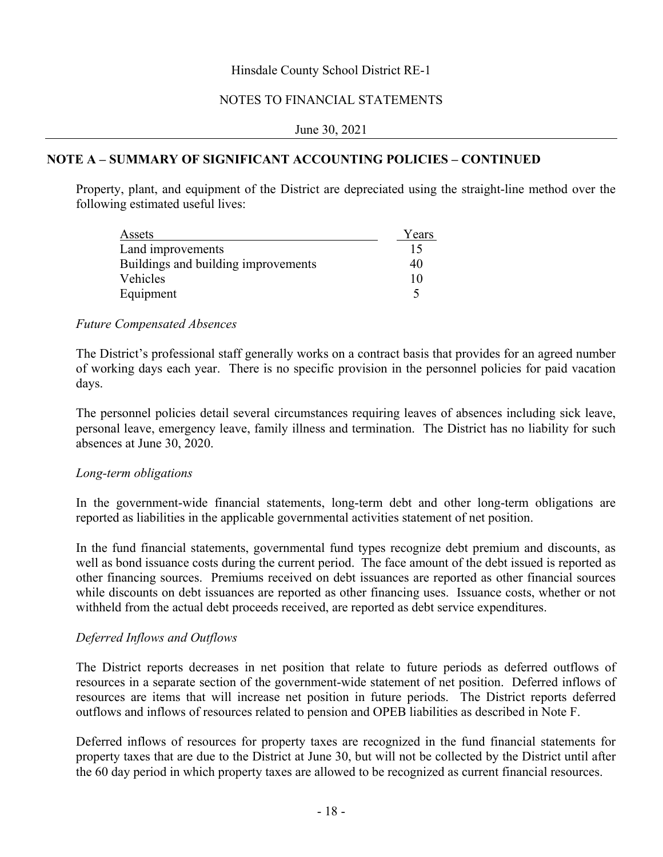#### NOTES TO FINANCIAL STATEMENTS

June 30, 2021

### **NOTE A – SUMMARY OF SIGNIFICANT ACCOUNTING POLICIES – CONTINUED**

Property, plant, and equipment of the District are depreciated using the straight-line method over the following estimated useful lives:

| Assets                              | Y ears |
|-------------------------------------|--------|
| Land improvements                   | 15     |
| Buildings and building improvements | 40     |
| Vehicles                            | 10     |
| Equipment                           |        |

#### *Future Compensated Absences*

 The District's professional staff generally works on a contract basis that provides for an agreed number of working days each year. There is no specific provision in the personnel policies for paid vacation days.

 The personnel policies detail several circumstances requiring leaves of absences including sick leave, personal leave, emergency leave, family illness and termination. The District has no liability for such absences at June 30, 2020.

#### *Long-term obligations*

 In the government-wide financial statements, long-term debt and other long-term obligations are reported as liabilities in the applicable governmental activities statement of net position.

 In the fund financial statements, governmental fund types recognize debt premium and discounts, as well as bond issuance costs during the current period. The face amount of the debt issued is reported as other financing sources. Premiums received on debt issuances are reported as other financial sources while discounts on debt issuances are reported as other financing uses. Issuance costs, whether or not withheld from the actual debt proceeds received, are reported as debt service expenditures.

#### *Deferred Inflows and Outflows*

The District reports decreases in net position that relate to future periods as deferred outflows of resources in a separate section of the government-wide statement of net position. Deferred inflows of resources are items that will increase net position in future periods. The District reports deferred outflows and inflows of resources related to pension and OPEB liabilities as described in Note F.

Deferred inflows of resources for property taxes are recognized in the fund financial statements for property taxes that are due to the District at June 30, but will not be collected by the District until after the 60 day period in which property taxes are allowed to be recognized as current financial resources.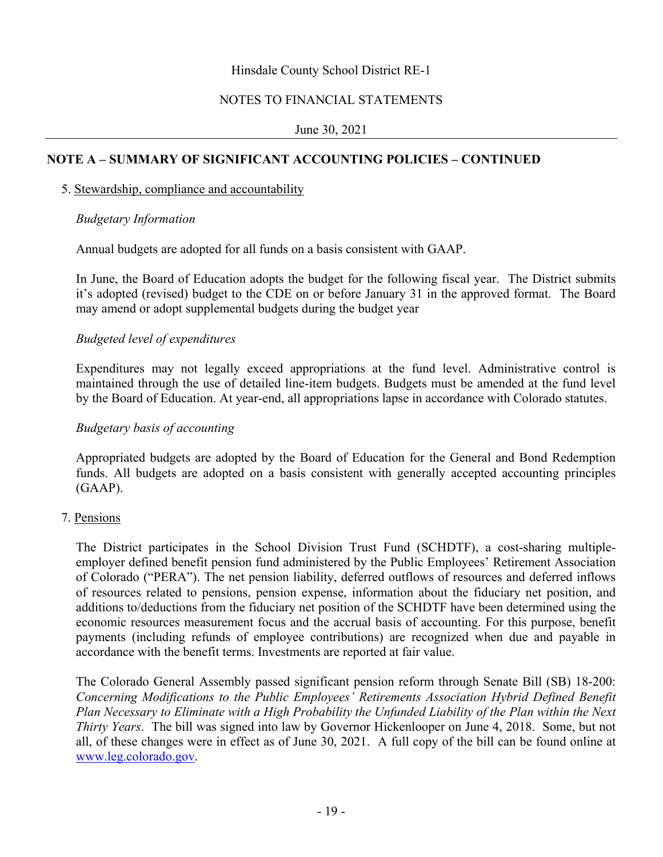### NOTES TO FINANCIAL STATEMENTS

June 30, 2021

## **NOTE A – SUMMARY OF SIGNIFICANT ACCOUNTING POLICIES – CONTINUED**

#### 5. Stewardship, compliance and accountability

### *Budgetary Information*

Annual budgets are adopted for all funds on a basis consistent with GAAP.

 In June, the Board of Education adopts the budget for the following fiscal year. The District submits it's adopted (revised) budget to the CDE on or before January 31 in the approved format. The Board may amend or adopt supplemental budgets during the budget year

## *Budgeted level of expenditures*

Expenditures may not legally exceed appropriations at the fund level. Administrative control is maintained through the use of detailed line-item budgets. Budgets must be amended at the fund level by the Board of Education. At year-end, all appropriations lapse in accordance with Colorado statutes.

### *Budgetary basis of accounting*

Appropriated budgets are adopted by the Board of Education for the General and Bond Redemption funds. All budgets are adopted on a basis consistent with generally accepted accounting principles (GAAP).

## 7. Pensions

The District participates in the School Division Trust Fund (SCHDTF), a cost-sharing multipleemployer defined benefit pension fund administered by the Public Employees' Retirement Association of Colorado ("PERA"). The net pension liability, deferred outflows of resources and deferred inflows of resources related to pensions, pension expense, information about the fiduciary net position, and additions to/deductions from the fiduciary net position of the SCHDTF have been determined using the economic resources measurement focus and the accrual basis of accounting. For this purpose, benefit payments (including refunds of employee contributions) are recognized when due and payable in accordance with the benefit terms. Investments are reported at fair value.

 The Colorado General Assembly passed significant pension reform through Senate Bill (SB) 18-200: *Concerning Modifications to the Public Employees' Retirements Association Hybrid Defined Benefit Plan Necessary to Eliminate with a High Probability the Unfunded Liability of the Plan within the Next Thirty Years*. The bill was signed into law by Governor Hickenlooper on June 4, 2018. Some, but not all, of these changes were in effect as of June 30, 2021. A full copy of the bill can be found online at www.leg.colorado.gov.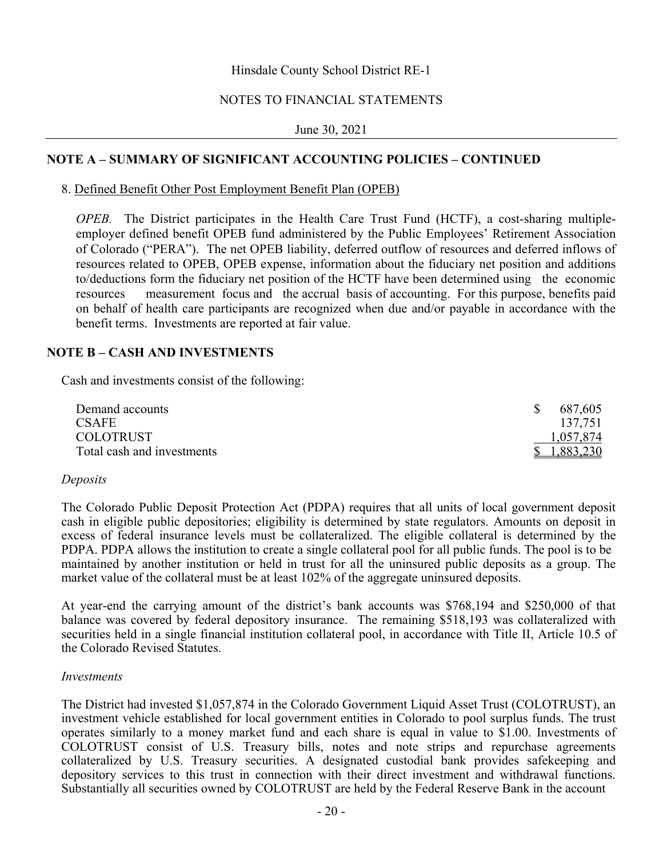#### NOTES TO FINANCIAL STATEMENTS

June 30, 2021

#### **NOTE A – SUMMARY OF SIGNIFICANT ACCOUNTING POLICIES – CONTINUED**

#### 8. Defined Benefit Other Post Employment Benefit Plan (OPEB)

 *OPEB.* The District participates in the Health Care Trust Fund (HCTF), a cost-sharing multipleemployer defined benefit OPEB fund administered by the Public Employees' Retirement Association of Colorado ("PERA"). The net OPEB liability, deferred outflow of resources and deferred inflows of resources related to OPEB, OPEB expense, information about the fiduciary net position and additions to/deductions form the fiduciary net position of the HCTF have been determined using the economic resources measurement focus and the accrual basis of accounting. For this purpose, benefits paid on behalf of health care participants are recognized when due and/or payable in accordance with the benefit terms. Investments are reported at fair value.

#### **NOTE B – CASH AND INVESTMENTS**

Cash and investments consist of the following:

| Demand accounts            | 687,605     |
|----------------------------|-------------|
| <b>CSAFE</b>               | 137,751     |
| <b>COLOTRUST</b>           | 1,057,874   |
| Total cash and investments | \$1,883,230 |

#### *Deposits*

 The Colorado Public Deposit Protection Act (PDPA) requires that all units of local government deposit cash in eligible public depositories; eligibility is determined by state regulators. Amounts on deposit in excess of federal insurance levels must be collateralized. The eligible collateral is determined by the PDPA. PDPA allows the institution to create a single collateral pool for all public funds. The pool is to be maintained by another institution or held in trust for all the uninsured public deposits as a group. The market value of the collateral must be at least 102% of the aggregate uninsured deposits.

 At year-end the carrying amount of the district's bank accounts was \$768,194 and \$250,000 of that balance was covered by federal depository insurance. The remaining \$518,193 was collateralized with securities held in a single financial institution collateral pool, in accordance with Title II, Article 10.5 of the Colorado Revised Statutes.

#### *Investments*

 The District had invested \$1,057,874 in the Colorado Government Liquid Asset Trust (COLOTRUST), an investment vehicle established for local government entities in Colorado to pool surplus funds. The trust operates similarly to a money market fund and each share is equal in value to \$1.00. Investments of COLOTRUST consist of U.S. Treasury bills, notes and note strips and repurchase agreements collateralized by U.S. Treasury securities. A designated custodial bank provides safekeeping and depository services to this trust in connection with their direct investment and withdrawal functions. Substantially all securities owned by COLOTRUST are held by the Federal Reserve Bank in the account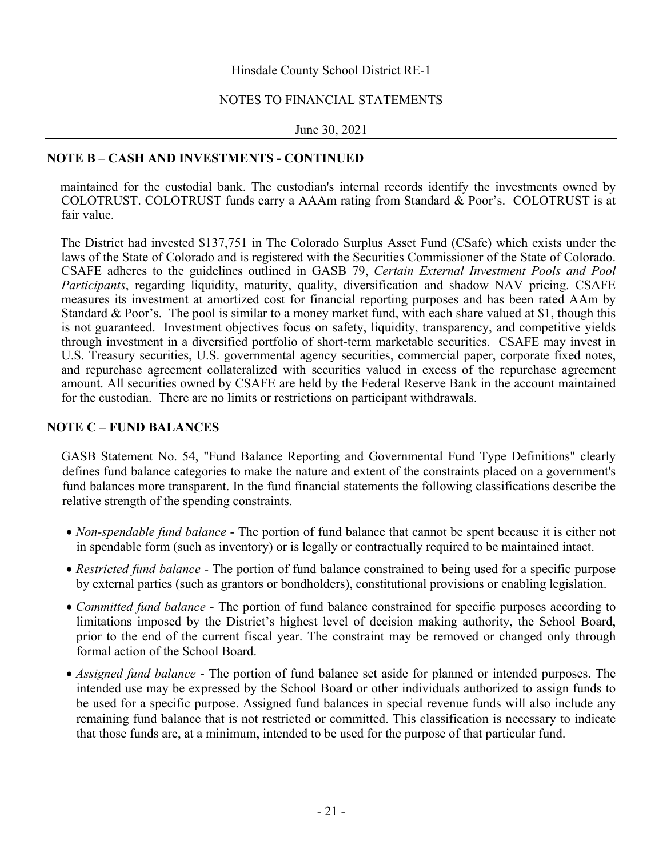### NOTES TO FINANCIAL STATEMENTS

June 30, 2021

### **NOTE B – CASH AND INVESTMENTS - CONTINUED**

maintained for the custodial bank. The custodian's internal records identify the investments owned by COLOTRUST. COLOTRUST funds carry a AAAm rating from Standard & Poor's. COLOTRUST is at fair value.

The District had invested \$137,751 in The Colorado Surplus Asset Fund (CSafe) which exists under the laws of the State of Colorado and is registered with the Securities Commissioner of the State of Colorado. CSAFE adheres to the guidelines outlined in GASB 79, *Certain External Investment Pools and Pool Participants*, regarding liquidity, maturity, quality, diversification and shadow NAV pricing. CSAFE measures its investment at amortized cost for financial reporting purposes and has been rated AAm by Standard & Poor's. The pool is similar to a money market fund, with each share valued at \$1, though this is not guaranteed. Investment objectives focus on safety, liquidity, transparency, and competitive yields through investment in a diversified portfolio of short-term marketable securities. CSAFE may invest in U.S. Treasury securities, U.S. governmental agency securities, commercial paper, corporate fixed notes, and repurchase agreement collateralized with securities valued in excess of the repurchase agreement amount. All securities owned by CSAFE are held by the Federal Reserve Bank in the account maintained for the custodian. There are no limits or restrictions on participant withdrawals.

## **NOTE C – FUND BALANCES**

 GASB Statement No. 54, "Fund Balance Reporting and Governmental Fund Type Definitions" clearly defines fund balance categories to make the nature and extent of the constraints placed on a government's fund balances more transparent. In the fund financial statements the following classifications describe the relative strength of the spending constraints.

- *Non-spendable fund balance* The portion of fund balance that cannot be spent because it is either not in spendable form (such as inventory) or is legally or contractually required to be maintained intact.
- *Restricted fund balance* The portion of fund balance constrained to being used for a specific purpose by external parties (such as grantors or bondholders), constitutional provisions or enabling legislation.
- *Committed fund balance* The portion of fund balance constrained for specific purposes according to limitations imposed by the District's highest level of decision making authority, the School Board, prior to the end of the current fiscal year. The constraint may be removed or changed only through formal action of the School Board.
- *Assigned fund balance* The portion of fund balance set aside for planned or intended purposes. The intended use may be expressed by the School Board or other individuals authorized to assign funds to be used for a specific purpose. Assigned fund balances in special revenue funds will also include any remaining fund balance that is not restricted or committed. This classification is necessary to indicate that those funds are, at a minimum, intended to be used for the purpose of that particular fund.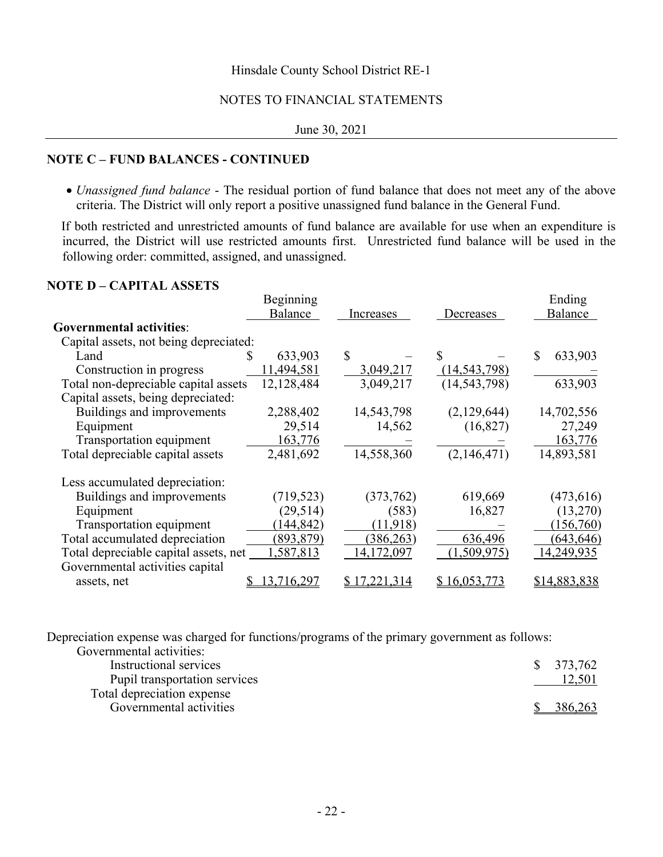### NOTES TO FINANCIAL STATEMENTS

June 30, 2021

### **NOTE C – FUND BALANCES - CONTINUED**

 *Unassigned fund balance* - The residual portion of fund balance that does not meet any of the above criteria. The District will only report a positive unassigned fund balance in the General Fund.

If both restricted and unrestricted amounts of fund balance are available for use when an expenditure is incurred, the District will use restricted amounts first. Unrestricted fund balance will be used in the following order: committed, assigned, and unassigned.

### **NOTE D – CAPITAL ASSETS**

|                                        | Beginning  |              |                | Ending        |
|----------------------------------------|------------|--------------|----------------|---------------|
|                                        | Balance    | Increases    | Decreases      | Balance       |
| <b>Governmental activities:</b>        |            |              |                |               |
| Capital assets, not being depreciated: |            |              |                |               |
| Land                                   | 633,903    | \$           | \$             | \$<br>633,903 |
| Construction in progress               | 11,494,581 | 3,049,217    | (14, 543, 798) |               |
| Total non-depreciable capital assets   | 12,128,484 | 3,049,217    | (14, 543, 798) | 633,903       |
| Capital assets, being depreciated:     |            |              |                |               |
| Buildings and improvements             | 2,288,402  | 14,543,798   | (2,129,644)    | 14,702,556    |
| Equipment                              | 29,514     | 14,562       | (16,827)       | 27,249        |
| Transportation equipment               | 163,776    |              |                | 163,776       |
| Total depreciable capital assets       | 2,481,692  | 14,558,360   | (2,146,471)    | 14,893,581    |
| Less accumulated depreciation:         |            |              |                |               |
| Buildings and improvements             | (719, 523) | (373,762)    | 619,669        | (473, 616)    |
| Equipment                              | (29, 514)  | (583)        | 16,827         | (13,270)      |
| Transportation equipment               | (144, 842) | (11, 918)    |                | (156,760)     |
| Total accumulated depreciation         | (893, 879) | (386, 263)   | 636,496        | (643, 646)    |
| Total depreciable capital assets, net  | 1,587,813  | 14,172,097   | 1,509,975      | 14,249,935    |
| Governmental activities capital        |            |              |                |               |
| assets, net                            | 13,716,297 | \$17,221,314 | \$16,053,773   | \$14,883,838  |

Depreciation expense was charged for functions/programs of the primary government as follows:

| Governmental activities:      |                         |
|-------------------------------|-------------------------|
| Instructional services        | 373,762<br><sup>S</sup> |
| Pupil transportation services |                         |
| Total depreciation expense    |                         |
| Governmental activities       |                         |
|                               |                         |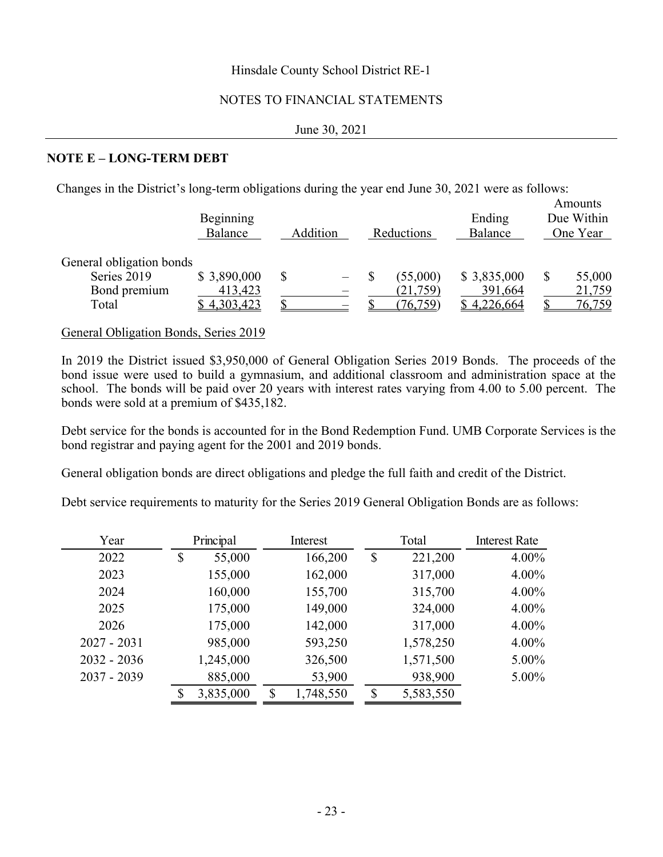#### NOTES TO FINANCIAL STATEMENTS

#### June 30, 2021

#### **NOTE E – LONG-TERM DEBT**

Changes in the District's long-term obligations during the year end June 30, 2021 were as follows:

|                          | Beginning<br>Balance | Addition | Reductions | Ending<br>Balance | Amounts<br>Due Within<br>One Year |
|--------------------------|----------------------|----------|------------|-------------------|-----------------------------------|
| General obligation bonds |                      |          |            |                   |                                   |
| Series 2019              | \$3,890,000          |          | (55,000)   | \$3,835,000       | 55,000                            |
| Bond premium             | 413,423              |          | (21, 759)  | 391,664           | 21,759                            |
| Total                    | \$4,303,423          |          | 76,759)    | 34,226,664        | 76,759                            |

#### General Obligation Bonds, Series 2019

In 2019 the District issued \$3,950,000 of General Obligation Series 2019 Bonds. The proceeds of the bond issue were used to build a gymnasium, and additional classroom and administration space at the school. The bonds will be paid over 20 years with interest rates varying from 4.00 to 5.00 percent. The bonds were sold at a premium of \$435,182.

Debt service for the bonds is accounted for in the Bond Redemption Fund. UMB Corporate Services is the bond registrar and paying agent for the 2001 and 2019 bonds.

General obligation bonds are direct obligations and pledge the full faith and credit of the District.

Debt service requirements to maturity for the Series 2019 General Obligation Bonds are as follows:

| Year          |    | Principal |   | Interest  | Total           | <b>Interest Rate</b> |
|---------------|----|-----------|---|-----------|-----------------|----------------------|
| 2022          | \$ | 55,000    |   | 166,200   | \$<br>221,200   | $4.00\%$             |
| 2023          |    | 155,000   |   | 162,000   | 317,000         | $4.00\%$             |
| 2024          |    | 160,000   |   | 155,700   | 315,700         | $4.00\%$             |
| 2025          |    | 175,000   |   | 149,000   | 324,000         | $4.00\%$             |
| 2026          |    | 175,000   |   | 142,000   | 317,000         | $4.00\%$             |
| $2027 - 2031$ |    | 985,000   |   | 593,250   | 1,578,250       | $4.00\%$             |
| $2032 - 2036$ |    | 1,245,000 |   | 326,500   | 1,571,500       | 5.00%                |
| $2037 - 2039$ |    | 885,000   |   | 53,900    | 938,900         | 5.00%                |
|               | S  | 3,835,000 | S | 1,748,550 | \$<br>5,583,550 |                      |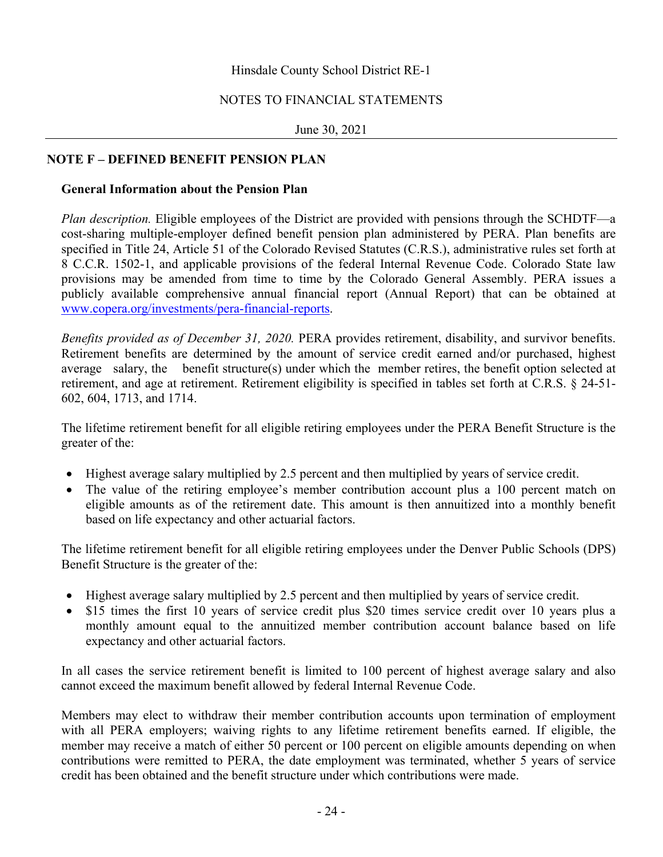### NOTES TO FINANCIAL STATEMENTS

June 30, 2021

### **NOTE F – DEFINED BENEFIT PENSION PLAN**

#### **General Information about the Pension Plan**

*Plan description.* Eligible employees of the District are provided with pensions through the SCHDTF—a cost-sharing multiple-employer defined benefit pension plan administered by PERA. Plan benefits are specified in Title 24, Article 51 of the Colorado Revised Statutes (C.R.S.), administrative rules set forth at 8 C.C.R. 1502-1, and applicable provisions of the federal Internal Revenue Code. Colorado State law provisions may be amended from time to time by the Colorado General Assembly. PERA issues a publicly available comprehensive annual financial report (Annual Report) that can be obtained at www.copera.org/investments/pera-financial-reports.

*Benefits provided as of December 31, 2020.* PERA provides retirement, disability, and survivor benefits. Retirement benefits are determined by the amount of service credit earned and/or purchased, highest average salary, the benefit structure(s) under which the member retires, the benefit option selected at retirement, and age at retirement. Retirement eligibility is specified in tables set forth at C.R.S. § 24-51- 602, 604, 1713, and 1714.

The lifetime retirement benefit for all eligible retiring employees under the PERA Benefit Structure is the greater of the:

- Highest average salary multiplied by 2.5 percent and then multiplied by years of service credit.
- The value of the retiring employee's member contribution account plus a 100 percent match on eligible amounts as of the retirement date. This amount is then annuitized into a monthly benefit based on life expectancy and other actuarial factors.

The lifetime retirement benefit for all eligible retiring employees under the Denver Public Schools (DPS) Benefit Structure is the greater of the:

- Highest average salary multiplied by 2.5 percent and then multiplied by years of service credit.
- \$15 times the first 10 years of service credit plus \$20 times service credit over 10 years plus a monthly amount equal to the annuitized member contribution account balance based on life expectancy and other actuarial factors.

In all cases the service retirement benefit is limited to 100 percent of highest average salary and also cannot exceed the maximum benefit allowed by federal Internal Revenue Code.

Members may elect to withdraw their member contribution accounts upon termination of employment with all PERA employers; waiving rights to any lifetime retirement benefits earned. If eligible, the member may receive a match of either 50 percent or 100 percent on eligible amounts depending on when contributions were remitted to PERA, the date employment was terminated, whether 5 years of service credit has been obtained and the benefit structure under which contributions were made.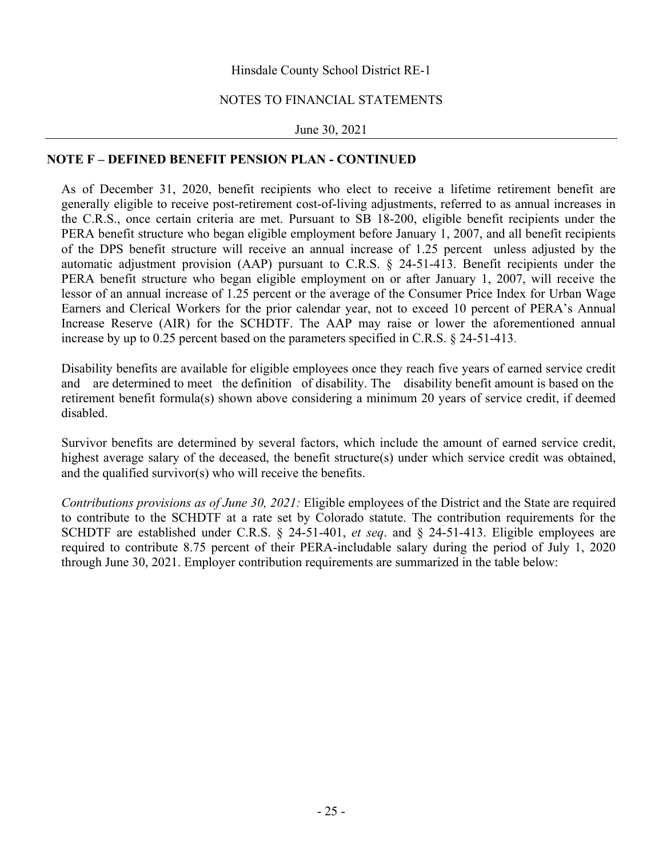### NOTES TO FINANCIAL STATEMENTS

#### June 30, 2021

#### **NOTE F – DEFINED BENEFIT PENSION PLAN - CONTINUED**

As of December 31, 2020, benefit recipients who elect to receive a lifetime retirement benefit are generally eligible to receive post-retirement cost-of-living adjustments, referred to as annual increases in the C.R.S., once certain criteria are met. Pursuant to SB 18-200, eligible benefit recipients under the PERA benefit structure who began eligible employment before January 1, 2007, and all benefit recipients of the DPS benefit structure will receive an annual increase of 1.25 percent unless adjusted by the automatic adjustment provision (AAP) pursuant to C.R.S. § 24-51-413. Benefit recipients under the PERA benefit structure who began eligible employment on or after January 1, 2007, will receive the lessor of an annual increase of 1.25 percent or the average of the Consumer Price Index for Urban Wage Earners and Clerical Workers for the prior calendar year, not to exceed 10 percent of PERA's Annual Increase Reserve (AIR) for the SCHDTF. The AAP may raise or lower the aforementioned annual increase by up to 0.25 percent based on the parameters specified in C.R.S. § 24-51-413.

Disability benefits are available for eligible employees once they reach five years of earned service credit and are determined to meet the definition of disability. The disability benefit amount is based on the retirement benefit formula(s) shown above considering a minimum 20 years of service credit, if deemed disabled.

Survivor benefits are determined by several factors, which include the amount of earned service credit, highest average salary of the deceased, the benefit structure(s) under which service credit was obtained, and the qualified survivor(s) who will receive the benefits.

*Contributions provisions as of June 30, 2021:* Eligible employees of the District and the State are required to contribute to the SCHDTF at a rate set by Colorado statute. The contribution requirements for the SCHDTF are established under C.R.S. § 24-51-401, *et seq*. and § 24-51-413. Eligible employees are required to contribute 8.75 percent of their PERA-includable salary during the period of July 1, 2020 through June 30, 2021. Employer contribution requirements are summarized in the table below: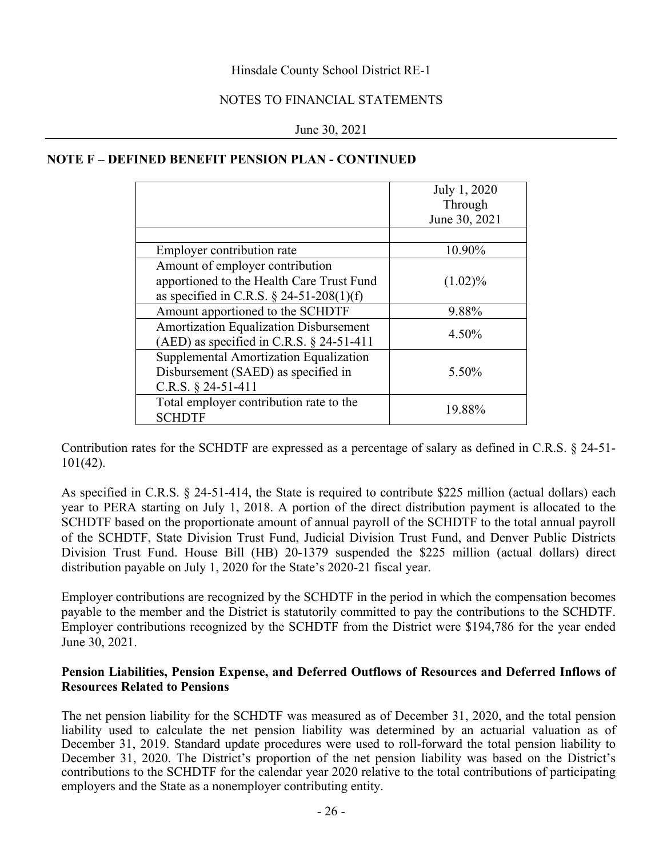## NOTES TO FINANCIAL STATEMENTS

#### June 30, 2021

## **NOTE F – DEFINED BENEFIT PENSION PLAN - CONTINUED**

|                                                                                                                             | July 1, 2020<br>Through<br>June 30, 2021 |
|-----------------------------------------------------------------------------------------------------------------------------|------------------------------------------|
|                                                                                                                             |                                          |
| Employer contribution rate                                                                                                  | 10.90%                                   |
| Amount of employer contribution<br>apportioned to the Health Care Trust Fund<br>as specified in C.R.S. $\S$ 24-51-208(1)(f) | $(1.02)\%$                               |
| Amount apportioned to the SCHDTF                                                                                            | 9.88%                                    |
| <b>Amortization Equalization Disbursement</b><br>(AED) as specified in C.R.S. $\S$ 24-51-411                                | 4.50%                                    |
| Supplemental Amortization Equalization<br>Disbursement (SAED) as specified in<br>C.R.S. $§$ 24-51-411                       | 5.50%                                    |
| Total employer contribution rate to the<br><b>SCHDTF</b>                                                                    | 19.88%                                   |

Contribution rates for the SCHDTF are expressed as a percentage of salary as defined in C.R.S. § 24-51- 101(42).

As specified in C.R.S. § 24-51-414, the State is required to contribute \$225 million (actual dollars) each year to PERA starting on July 1, 2018. A portion of the direct distribution payment is allocated to the SCHDTF based on the proportionate amount of annual payroll of the SCHDTF to the total annual payroll of the SCHDTF, State Division Trust Fund, Judicial Division Trust Fund, and Denver Public Districts Division Trust Fund. House Bill (HB) 20-1379 suspended the \$225 million (actual dollars) direct distribution payable on July 1, 2020 for the State's 2020-21 fiscal year.

Employer contributions are recognized by the SCHDTF in the period in which the compensation becomes payable to the member and the District is statutorily committed to pay the contributions to the SCHDTF. Employer contributions recognized by the SCHDTF from the District were \$194,786 for the year ended June 30, 2021.

### **Pension Liabilities, Pension Expense, and Deferred Outflows of Resources and Deferred Inflows of Resources Related to Pensions**

The net pension liability for the SCHDTF was measured as of December 31, 2020, and the total pension liability used to calculate the net pension liability was determined by an actuarial valuation as of December 31, 2019. Standard update procedures were used to roll-forward the total pension liability to December 31, 2020. The District's proportion of the net pension liability was based on the District's contributions to the SCHDTF for the calendar year 2020 relative to the total contributions of participating employers and the State as a nonemployer contributing entity.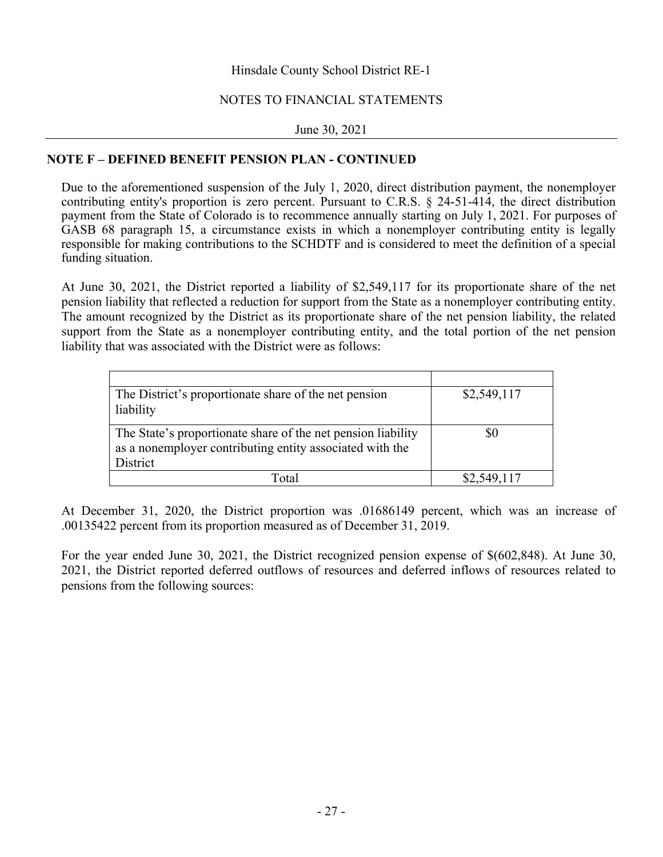### NOTES TO FINANCIAL STATEMENTS

June 30, 2021

### **NOTE F – DEFINED BENEFIT PENSION PLAN - CONTINUED**

Due to the aforementioned suspension of the July 1, 2020, direct distribution payment, the nonemployer contributing entity's proportion is zero percent. Pursuant to C.R.S. § 24-51-414, the direct distribution payment from the State of Colorado is to recommence annually starting on July 1, 2021. For purposes of GASB 68 paragraph 15, a circumstance exists in which a nonemployer contributing entity is legally responsible for making contributions to the SCHDTF and is considered to meet the definition of a special funding situation.

At June 30, 2021, the District reported a liability of \$2,549,117 for its proportionate share of the net pension liability that reflected a reduction for support from the State as a nonemployer contributing entity. The amount recognized by the District as its proportionate share of the net pension liability, the related support from the State as a nonemployer contributing entity, and the total portion of the net pension liability that was associated with the District were as follows:

| The District's proportionate share of the net pension        | \$2,549,117 |
|--------------------------------------------------------------|-------------|
| liability                                                    |             |
| The State's proportionate share of the net pension liability | \$0         |
| as a nonemployer contributing entity associated with the     |             |
| District                                                     |             |
| Total                                                        | \$2,549,117 |

At December 31, 2020, the District proportion was .01686149 percent, which was an increase of .00135422 percent from its proportion measured as of December 31, 2019.

For the year ended June 30, 2021, the District recognized pension expense of \$(602,848). At June 30, 2021, the District reported deferred outflows of resources and deferred inflows of resources related to pensions from the following sources: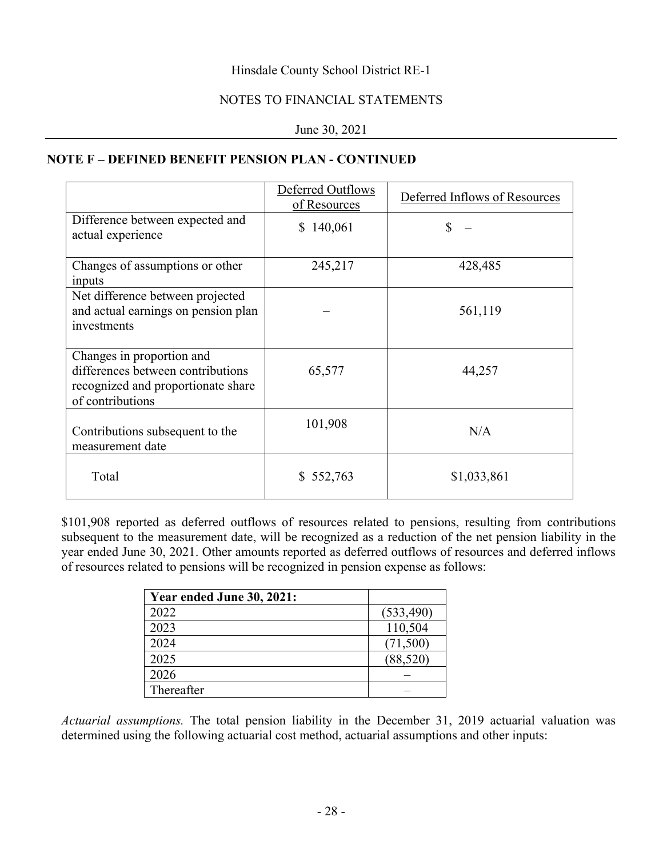## NOTES TO FINANCIAL STATEMENTS

#### June 30, 2021

## **NOTE F – DEFINED BENEFIT PENSION PLAN - CONTINUED**

|                                                                                                                          | Deferred Outflows<br>of Resources | Deferred Inflows of Resources |
|--------------------------------------------------------------------------------------------------------------------------|-----------------------------------|-------------------------------|
| Difference between expected and<br>actual experience                                                                     | \$140,061                         | \$                            |
| Changes of assumptions or other<br>inputs                                                                                | 245,217                           | 428,485                       |
| Net difference between projected<br>and actual earnings on pension plan<br>investments                                   |                                   | 561,119                       |
| Changes in proportion and<br>differences between contributions<br>recognized and proportionate share<br>of contributions | 65,577                            | 44,257                        |
| Contributions subsequent to the<br>measurement date                                                                      | 101,908                           | N/A                           |
| Total                                                                                                                    | \$552,763                         | \$1,033,861                   |

\$101,908 reported as deferred outflows of resources related to pensions, resulting from contributions subsequent to the measurement date, will be recognized as a reduction of the net pension liability in the year ended June 30, 2021. Other amounts reported as deferred outflows of resources and deferred inflows of resources related to pensions will be recognized in pension expense as follows:

| Year ended June 30, 2021: |            |
|---------------------------|------------|
| 2022                      | (533, 490) |
| 2023                      | 110,504    |
| 2024                      | (71,500)   |
| 2025                      | (88, 520)  |
| 2026                      |            |
| Thereafter                |            |

*Actuarial assumptions.* The total pension liability in the December 31, 2019 actuarial valuation was determined using the following actuarial cost method, actuarial assumptions and other inputs: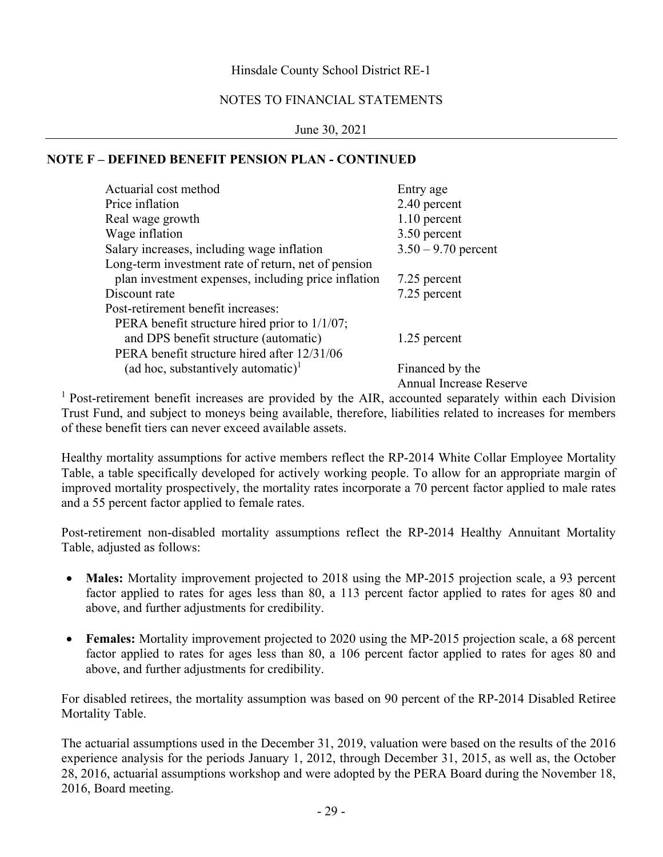## NOTES TO FINANCIAL STATEMENTS

June 30, 2021

## **NOTE F – DEFINED BENEFIT PENSION PLAN - CONTINUED**

| Actuarial cost method                                           | Entry age                      |
|-----------------------------------------------------------------|--------------------------------|
| Price inflation                                                 | 2.40 percent                   |
| Real wage growth                                                | $1.10$ percent                 |
| Wage inflation                                                  | 3.50 percent                   |
| Salary increases, including wage inflation                      | $3.50 - 9.70$ percent          |
| Long-term investment rate of return, net of pension             |                                |
| plan investment expenses, including price inflation             | 7.25 percent                   |
| Discount rate                                                   | 7.25 percent                   |
| Post-retirement benefit increases:                              |                                |
| PERA benefit structure hired prior to 1/1/07;                   |                                |
| and DPS benefit structure (automatic)                           | 1.25 percent                   |
| PERA benefit structure hired after 12/31/06                     |                                |
| (ad hoc, substantively automatic) <sup><math>\perp</math></sup> | Financed by the                |
|                                                                 | <b>Annual Increase Reserve</b> |

<sup>1</sup> Post-retirement benefit increases are provided by the AIR, accounted separately within each Division Trust Fund, and subject to moneys being available, therefore, liabilities related to increases for members of these benefit tiers can never exceed available assets.

Healthy mortality assumptions for active members reflect the RP-2014 White Collar Employee Mortality Table, a table specifically developed for actively working people. To allow for an appropriate margin of improved mortality prospectively, the mortality rates incorporate a 70 percent factor applied to male rates and a 55 percent factor applied to female rates.

Post-retirement non-disabled mortality assumptions reflect the RP-2014 Healthy Annuitant Mortality Table, adjusted as follows:

- Males: Mortality improvement projected to 2018 using the MP-2015 projection scale, a 93 percent factor applied to rates for ages less than 80, a 113 percent factor applied to rates for ages 80 and above, and further adjustments for credibility.
- **Females:** Mortality improvement projected to 2020 using the MP-2015 projection scale, a 68 percent factor applied to rates for ages less than 80, a 106 percent factor applied to rates for ages 80 and above, and further adjustments for credibility.

For disabled retirees, the mortality assumption was based on 90 percent of the RP-2014 Disabled Retiree Mortality Table.

The actuarial assumptions used in the December 31, 2019, valuation were based on the results of the 2016 experience analysis for the periods January 1, 2012, through December 31, 2015, as well as, the October 28, 2016, actuarial assumptions workshop and were adopted by the PERA Board during the November 18, 2016, Board meeting.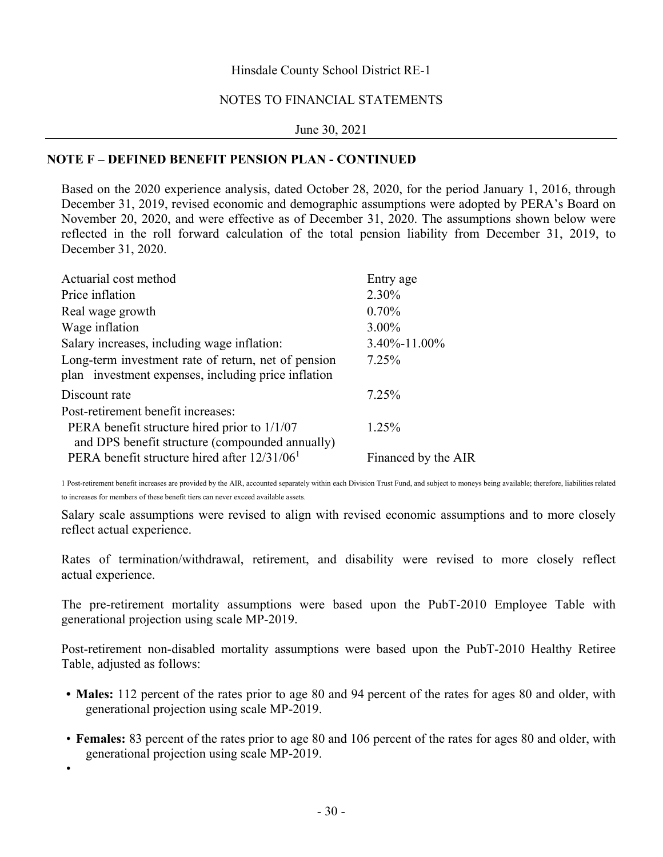#### NOTES TO FINANCIAL STATEMENTS

June 30, 2021

### **NOTE F – DEFINED BENEFIT PENSION PLAN - CONTINUED**

Based on the 2020 experience analysis, dated October 28, 2020, for the period January 1, 2016, through December 31, 2019, revised economic and demographic assumptions were adopted by PERA's Board on November 20, 2020, and were effective as of December 31, 2020. The assumptions shown below were reflected in the roll forward calculation of the total pension liability from December 31, 2019, to December 31, 2020.

| Actuarial cost method                                                                                      | Entry age           |
|------------------------------------------------------------------------------------------------------------|---------------------|
| Price inflation                                                                                            | 2.30%               |
| Real wage growth                                                                                           | 0.70%               |
| Wage inflation                                                                                             | $3.00\%$            |
| Salary increases, including wage inflation:                                                                | 3.40%-11.00%        |
| Long-term investment rate of return, net of pension<br>plan investment expenses, including price inflation | 7.25%               |
| Discount rate                                                                                              | 7.25%               |
| Post-retirement benefit increases:                                                                         |                     |
| PERA benefit structure hired prior to 1/1/07<br>and DPS benefit structure (compounded annually)            | 1.25%               |
| PERA benefit structure hired after 12/31/06 <sup>1</sup>                                                   | Financed by the AIR |

1 Post-retirement benefit increases are provided by the AIR, accounted separately within each Division Trust Fund, and subject to moneys being available; therefore, liabilities related to increases for members of these benefit tiers can never exceed available assets.

Salary scale assumptions were revised to align with revised economic assumptions and to more closely reflect actual experience.

Rates of termination/withdrawal, retirement, and disability were revised to more closely reflect actual experience.

The pre-retirement mortality assumptions were based upon the PubT-2010 Employee Table with generational projection using scale MP-2019.

Post-retirement non-disabled mortality assumptions were based upon the PubT-2010 Healthy Retiree Table, adjusted as follows:

- **Males:** 112 percent of the rates prior to age 80 and 94 percent of the rates for ages 80 and older, with generational projection using scale MP-2019.
- **Females:** 83 percent of the rates prior to age 80 and 106 percent of the rates for ages 80 and older, with generational projection using scale MP-2019.

•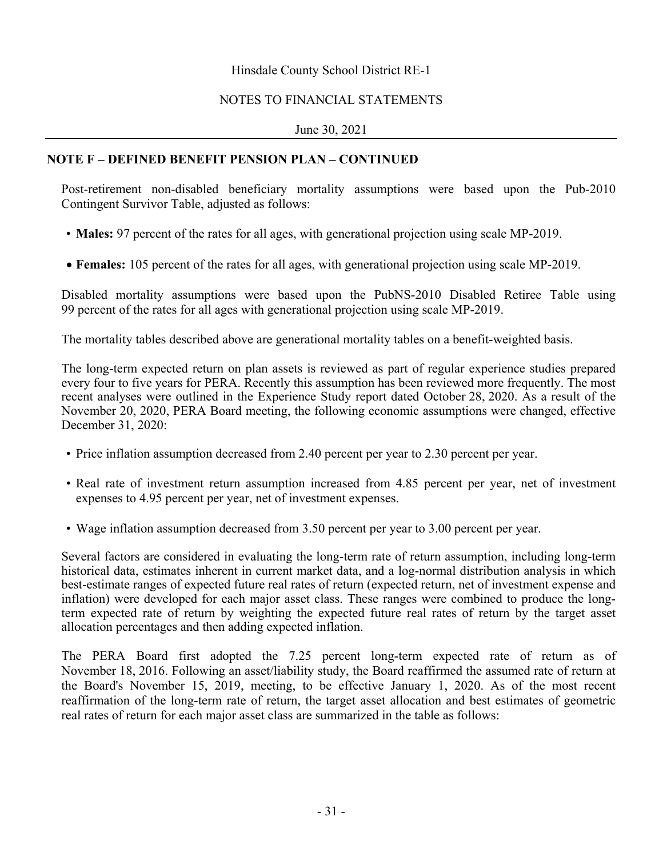#### NOTES TO FINANCIAL STATEMENTS

#### June 30, 2021

### **NOTE F – DEFINED BENEFIT PENSION PLAN – CONTINUED**

Post-retirement non-disabled beneficiary mortality assumptions were based upon the Pub-2010 Contingent Survivor Table, adjusted as follows:

- **Males:** 97 percent of the rates for all ages, with generational projection using scale MP-2019.
- **Females:** 105 percent of the rates for all ages, with generational projection using scale MP-2019.

Disabled mortality assumptions were based upon the PubNS-2010 Disabled Retiree Table using 99 percent of the rates for all ages with generational projection using scale MP-2019.

The mortality tables described above are generational mortality tables on a benefit-weighted basis.

The long-term expected return on plan assets is reviewed as part of regular experience studies prepared every four to five years for PERA. Recently this assumption has been reviewed more frequently. The most recent analyses were outlined in the Experience Study report dated October 28, 2020. As a result of the November 20, 2020, PERA Board meeting, the following economic assumptions were changed, effective December 31, 2020:

- Price inflation assumption decreased from 2.40 percent per year to 2.30 percent per year.
- Real rate of investment return assumption increased from 4.85 percent per year, net of investment expenses to 4.95 percent per year, net of investment expenses.
- Wage inflation assumption decreased from 3.50 percent per year to 3.00 percent per year.

Several factors are considered in evaluating the long-term rate of return assumption, including long-term historical data, estimates inherent in current market data, and a log-normal distribution analysis in which best-estimate ranges of expected future real rates of return (expected return, net of investment expense and inflation) were developed for each major asset class. These ranges were combined to produce the longterm expected rate of return by weighting the expected future real rates of return by the target asset allocation percentages and then adding expected inflation.

The PERA Board first adopted the 7.25 percent long-term expected rate of return as of November 18, 2016. Following an asset/liability study, the Board reaffirmed the assumed rate of return at the Board's November 15, 2019, meeting, to be effective January 1, 2020. As of the most recent reaffirmation of the long-term rate of return, the target asset allocation and best estimates of geometric real rates of return for each major asset class are summarized in the table as follows: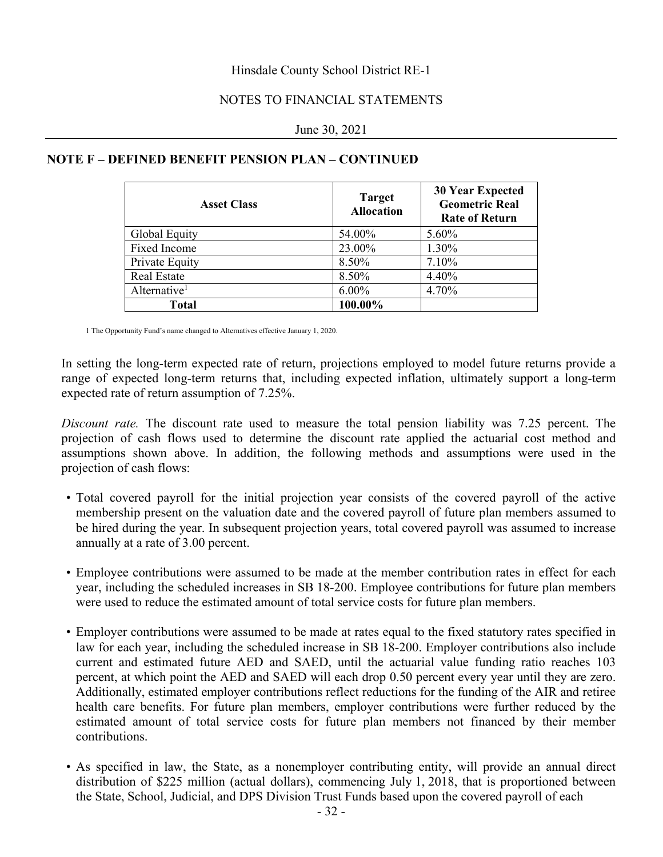#### NOTES TO FINANCIAL STATEMENTS

#### June 30, 2021

| <b>Asset Class</b>       | <b>Target</b><br><b>Allocation</b> | <b>30 Year Expected</b><br><b>Geometric Real</b><br><b>Rate of Return</b> |
|--------------------------|------------------------------------|---------------------------------------------------------------------------|
| Global Equity            | 54.00%                             | 5.60%                                                                     |
| Fixed Income             | 23.00%                             | 1.30%                                                                     |
| Private Equity           | 8.50%                              | 7.10%                                                                     |
| <b>Real Estate</b>       | 8.50%                              | 4.40%                                                                     |
| Alternative <sup>1</sup> | $6.00\%$                           | 4.70%                                                                     |
| <b>Total</b>             | 100.00%                            |                                                                           |

### **NOTE F – DEFINED BENEFIT PENSION PLAN – CONTINUED**

1 The Opportunity Fund's name changed to Alternatives effective January 1, 2020.

In setting the long-term expected rate of return, projections employed to model future returns provide a range of expected long-term returns that, including expected inflation, ultimately support a long-term expected rate of return assumption of 7.25%.

*Discount rate.* The discount rate used to measure the total pension liability was 7.25 percent. The projection of cash flows used to determine the discount rate applied the actuarial cost method and assumptions shown above. In addition, the following methods and assumptions were used in the projection of cash flows:

- Total covered payroll for the initial projection year consists of the covered payroll of the active membership present on the valuation date and the covered payroll of future plan members assumed to be hired during the year. In subsequent projection years, total covered payroll was assumed to increase annually at a rate of 3.00 percent.
- Employee contributions were assumed to be made at the member contribution rates in effect for each year, including the scheduled increases in SB 18-200. Employee contributions for future plan members were used to reduce the estimated amount of total service costs for future plan members.
- Employer contributions were assumed to be made at rates equal to the fixed statutory rates specified in law for each year, including the scheduled increase in SB 18-200. Employer contributions also include current and estimated future AED and SAED, until the actuarial value funding ratio reaches 103 percent, at which point the AED and SAED will each drop 0.50 percent every year until they are zero. Additionally, estimated employer contributions reflect reductions for the funding of the AIR and retiree health care benefits. For future plan members, employer contributions were further reduced by the estimated amount of total service costs for future plan members not financed by their member contributions.
- As specified in law, the State, as a nonemployer contributing entity, will provide an annual direct distribution of \$225 million (actual dollars), commencing July 1, 2018, that is proportioned between the State, School, Judicial, and DPS Division Trust Funds based upon the covered payroll of each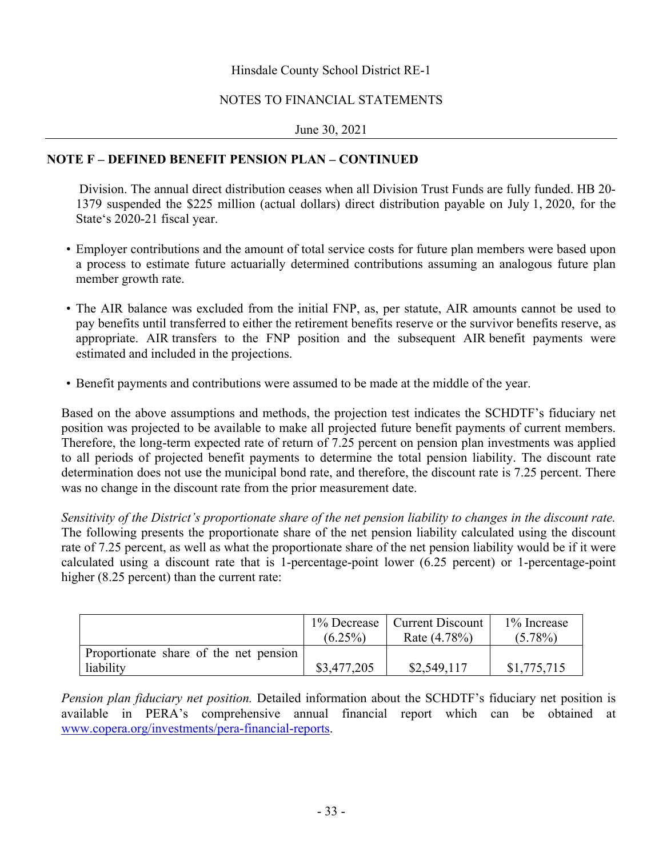### NOTES TO FINANCIAL STATEMENTS

June 30, 2021

## **NOTE F – DEFINED BENEFIT PENSION PLAN – CONTINUED**

 Division. The annual direct distribution ceases when all Division Trust Funds are fully funded. HB 20- 1379 suspended the \$225 million (actual dollars) direct distribution payable on July 1, 2020, for the State's 2020-21 fiscal year.

- Employer contributions and the amount of total service costs for future plan members were based upon a process to estimate future actuarially determined contributions assuming an analogous future plan member growth rate.
- The AIR balance was excluded from the initial FNP, as, per statute, AIR amounts cannot be used to pay benefits until transferred to either the retirement benefits reserve or the survivor benefits reserve, as appropriate. AIR transfers to the FNP position and the subsequent AIR benefit payments were estimated and included in the projections.
- Benefit payments and contributions were assumed to be made at the middle of the year.

Based on the above assumptions and methods, the projection test indicates the SCHDTF's fiduciary net position was projected to be available to make all projected future benefit payments of current members. Therefore, the long-term expected rate of return of 7.25 percent on pension plan investments was applied to all periods of projected benefit payments to determine the total pension liability. The discount rate determination does not use the municipal bond rate, and therefore, the discount rate is 7.25 percent. There was no change in the discount rate from the prior measurement date.

*Sensitivity of the District's proportionate share of the net pension liability to changes in the discount rate.*  The following presents the proportionate share of the net pension liability calculated using the discount rate of 7.25 percent, as well as what the proportionate share of the net pension liability would be if it were calculated using a discount rate that is 1-percentage-point lower (6.25 percent) or 1-percentage-point higher (8.25 percent) than the current rate:

|                                        | $(6.25\%)$  | 1% Decrease   Current Discount<br>Rate (4.78%) | 1% Increase<br>$(5.78\%)$ |
|----------------------------------------|-------------|------------------------------------------------|---------------------------|
| Proportionate share of the net pension |             |                                                |                           |
| liability                              | \$3,477,205 | \$2,549,117                                    | \$1,775,715               |

*Pension plan fiduciary net position.* Detailed information about the SCHDTF's fiduciary net position is available in PERA's comprehensive annual financial report which can be obtained at www.copera.org/investments/pera-financial-reports.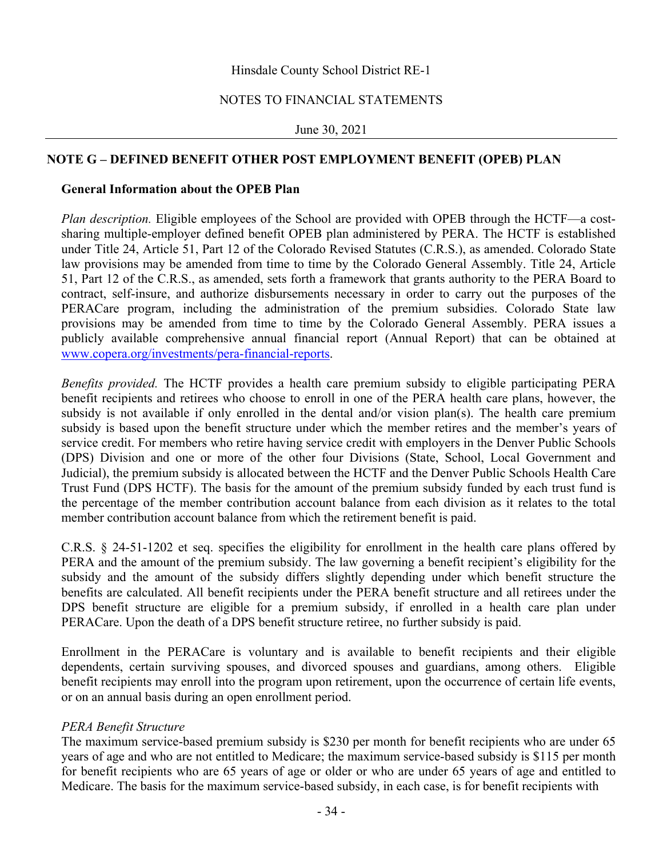#### NOTES TO FINANCIAL STATEMENTS

June 30, 2021

#### **NOTE G – DEFINED BENEFIT OTHER POST EMPLOYMENT BENEFIT (OPEB) PLAN**

#### **General Information about the OPEB Plan**

*Plan description.* Eligible employees of the School are provided with OPEB through the HCTF—a costsharing multiple-employer defined benefit OPEB plan administered by PERA. The HCTF is established under Title 24, Article 51, Part 12 of the Colorado Revised Statutes (C.R.S.), as amended. Colorado State law provisions may be amended from time to time by the Colorado General Assembly. Title 24, Article 51, Part 12 of the C.R.S., as amended, sets forth a framework that grants authority to the PERA Board to contract, self-insure, and authorize disbursements necessary in order to carry out the purposes of the PERACare program, including the administration of the premium subsidies. Colorado State law provisions may be amended from time to time by the Colorado General Assembly. PERA issues a publicly available comprehensive annual financial report (Annual Report) that can be obtained at www.copera.org/investments/pera-financial-reports.

*Benefits provided.* The HCTF provides a health care premium subsidy to eligible participating PERA benefit recipients and retirees who choose to enroll in one of the PERA health care plans, however, the subsidy is not available if only enrolled in the dental and/or vision plan(s). The health care premium subsidy is based upon the benefit structure under which the member retires and the member's years of service credit. For members who retire having service credit with employers in the Denver Public Schools (DPS) Division and one or more of the other four Divisions (State, School, Local Government and Judicial), the premium subsidy is allocated between the HCTF and the Denver Public Schools Health Care Trust Fund (DPS HCTF). The basis for the amount of the premium subsidy funded by each trust fund is the percentage of the member contribution account balance from each division as it relates to the total member contribution account balance from which the retirement benefit is paid.

C.R.S. § 24-51-1202 et seq. specifies the eligibility for enrollment in the health care plans offered by PERA and the amount of the premium subsidy. The law governing a benefit recipient's eligibility for the subsidy and the amount of the subsidy differs slightly depending under which benefit structure the benefits are calculated. All benefit recipients under the PERA benefit structure and all retirees under the DPS benefit structure are eligible for a premium subsidy, if enrolled in a health care plan under PERACare. Upon the death of a DPS benefit structure retiree, no further subsidy is paid.

Enrollment in the PERACare is voluntary and is available to benefit recipients and their eligible dependents, certain surviving spouses, and divorced spouses and guardians, among others. Eligible benefit recipients may enroll into the program upon retirement, upon the occurrence of certain life events, or on an annual basis during an open enrollment period.

#### *PERA Benefit Structure*

The maximum service-based premium subsidy is \$230 per month for benefit recipients who are under 65 years of age and who are not entitled to Medicare; the maximum service-based subsidy is \$115 per month for benefit recipients who are 65 years of age or older or who are under 65 years of age and entitled to Medicare. The basis for the maximum service-based subsidy, in each case, is for benefit recipients with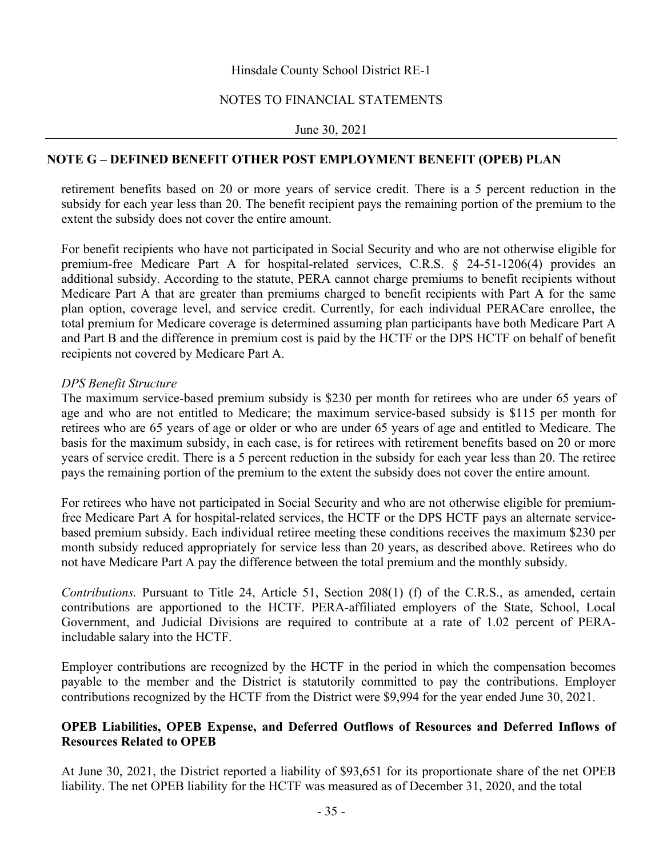#### NOTES TO FINANCIAL STATEMENTS

June 30, 2021

#### **NOTE G – DEFINED BENEFIT OTHER POST EMPLOYMENT BENEFIT (OPEB) PLAN**

retirement benefits based on 20 or more years of service credit. There is a 5 percent reduction in the subsidy for each year less than 20. The benefit recipient pays the remaining portion of the premium to the extent the subsidy does not cover the entire amount.

For benefit recipients who have not participated in Social Security and who are not otherwise eligible for premium-free Medicare Part A for hospital-related services, C.R.S. § 24-51-1206(4) provides an additional subsidy. According to the statute, PERA cannot charge premiums to benefit recipients without Medicare Part A that are greater than premiums charged to benefit recipients with Part A for the same plan option, coverage level, and service credit. Currently, for each individual PERACare enrollee, the total premium for Medicare coverage is determined assuming plan participants have both Medicare Part A and Part B and the difference in premium cost is paid by the HCTF or the DPS HCTF on behalf of benefit recipients not covered by Medicare Part A.

#### *DPS Benefit Structure*

The maximum service-based premium subsidy is \$230 per month for retirees who are under 65 years of age and who are not entitled to Medicare; the maximum service-based subsidy is \$115 per month for retirees who are 65 years of age or older or who are under 65 years of age and entitled to Medicare. The basis for the maximum subsidy, in each case, is for retirees with retirement benefits based on 20 or more years of service credit. There is a 5 percent reduction in the subsidy for each year less than 20. The retiree pays the remaining portion of the premium to the extent the subsidy does not cover the entire amount.

For retirees who have not participated in Social Security and who are not otherwise eligible for premiumfree Medicare Part A for hospital-related services, the HCTF or the DPS HCTF pays an alternate servicebased premium subsidy. Each individual retiree meeting these conditions receives the maximum \$230 per month subsidy reduced appropriately for service less than 20 years, as described above. Retirees who do not have Medicare Part A pay the difference between the total premium and the monthly subsidy.

*Contributions.* Pursuant to Title 24, Article 51, Section 208(1) (f) of the C.R.S., as amended, certain contributions are apportioned to the HCTF. PERA-affiliated employers of the State, School, Local Government, and Judicial Divisions are required to contribute at a rate of 1.02 percent of PERAincludable salary into the HCTF.

Employer contributions are recognized by the HCTF in the period in which the compensation becomes payable to the member and the District is statutorily committed to pay the contributions. Employer contributions recognized by the HCTF from the District were \$9,994 for the year ended June 30, 2021.

### **OPEB Liabilities, OPEB Expense, and Deferred Outflows of Resources and Deferred Inflows of Resources Related to OPEB**

At June 30, 2021, the District reported a liability of \$93,651 for its proportionate share of the net OPEB liability. The net OPEB liability for the HCTF was measured as of December 31, 2020, and the total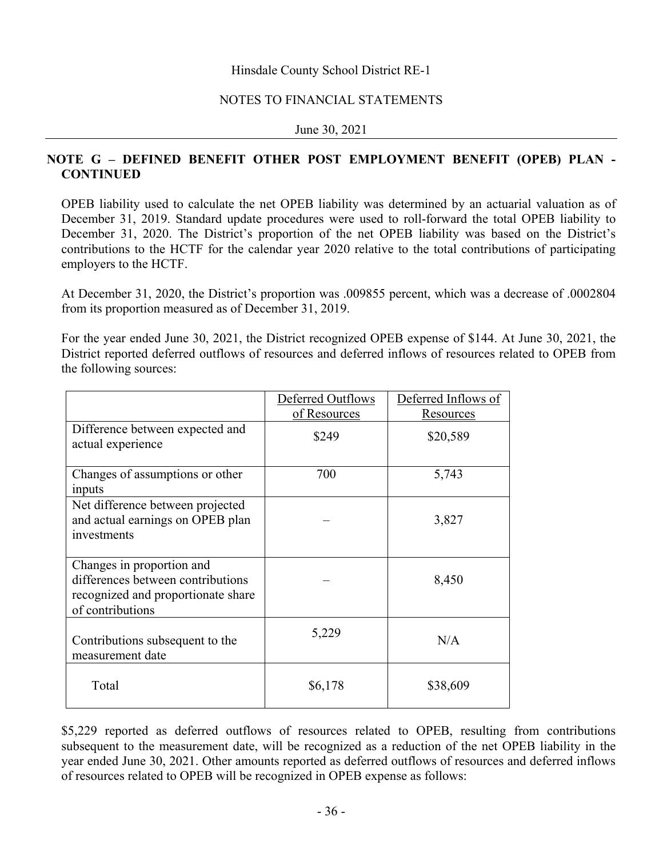#### NOTES TO FINANCIAL STATEMENTS

June 30, 2021

## **NOTE G – DEFINED BENEFIT OTHER POST EMPLOYMENT BENEFIT (OPEB) PLAN - CONTINUED**

OPEB liability used to calculate the net OPEB liability was determined by an actuarial valuation as of December 31, 2019. Standard update procedures were used to roll-forward the total OPEB liability to December 31, 2020. The District's proportion of the net OPEB liability was based on the District's contributions to the HCTF for the calendar year 2020 relative to the total contributions of participating employers to the HCTF.

At December 31, 2020, the District's proportion was .009855 percent, which was a decrease of .0002804 from its proportion measured as of December 31, 2019.

For the year ended June 30, 2021, the District recognized OPEB expense of \$144. At June 30, 2021, the District reported deferred outflows of resources and deferred inflows of resources related to OPEB from the following sources:

|                                                                                                                          | Deferred Outflows<br>of Resources | Deferred Inflows of<br>Resources |
|--------------------------------------------------------------------------------------------------------------------------|-----------------------------------|----------------------------------|
| Difference between expected and<br>actual experience                                                                     | \$249                             | \$20,589                         |
| Changes of assumptions or other<br>inputs                                                                                | 700                               | 5,743                            |
| Net difference between projected<br>and actual earnings on OPEB plan<br>investments                                      |                                   | 3,827                            |
| Changes in proportion and<br>differences between contributions<br>recognized and proportionate share<br>of contributions |                                   | 8,450                            |
| Contributions subsequent to the<br>measurement date                                                                      | 5,229                             | N/A                              |
| Total                                                                                                                    | \$6,178                           | \$38,609                         |

\$5,229 reported as deferred outflows of resources related to OPEB, resulting from contributions subsequent to the measurement date, will be recognized as a reduction of the net OPEB liability in the year ended June 30, 2021. Other amounts reported as deferred outflows of resources and deferred inflows of resources related to OPEB will be recognized in OPEB expense as follows: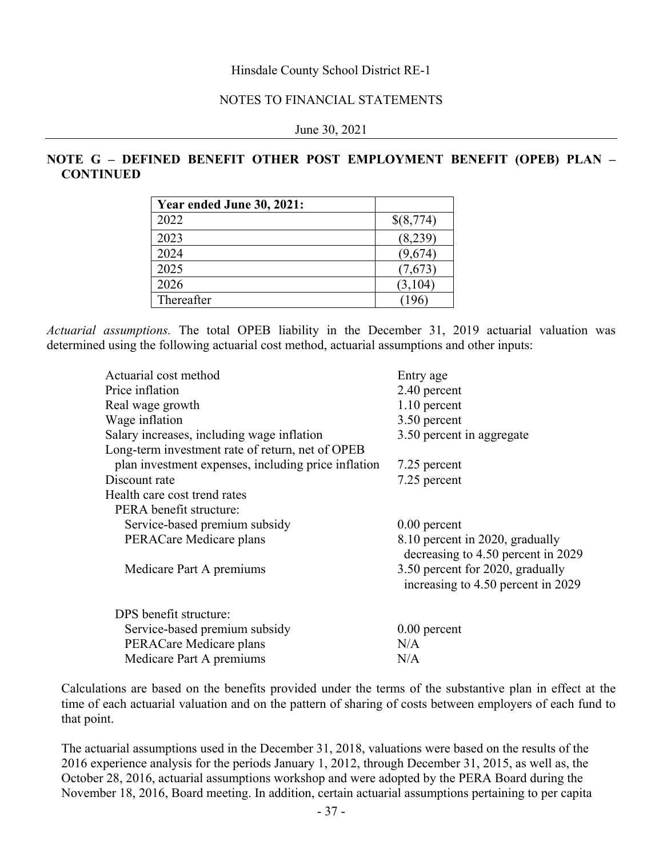#### NOTES TO FINANCIAL STATEMENTS

June 30, 2021

### **NOTE G – DEFINED BENEFIT OTHER POST EMPLOYMENT BENEFIT (OPEB) PLAN – CONTINUED**

| Year ended June 30, 2021: |           |
|---------------------------|-----------|
| 2022                      | \$(8,774) |
| 2023                      | (8,239)   |
| 2024                      | (9,674)   |
| 2025                      | (7,673)   |
| 2026                      | (3,104)   |
| Thereafter                |           |

*Actuarial assumptions.* The total OPEB liability in the December 31, 2019 actuarial valuation was determined using the following actuarial cost method, actuarial assumptions and other inputs:

| Actuarial cost method                               | Entry age                                                              |
|-----------------------------------------------------|------------------------------------------------------------------------|
| Price inflation                                     | 2.40 percent                                                           |
| Real wage growth                                    | 1.10 percent                                                           |
| Wage inflation                                      | 3.50 percent                                                           |
| Salary increases, including wage inflation          | 3.50 percent in aggregate                                              |
| Long-term investment rate of return, net of OPEB    |                                                                        |
| plan investment expenses, including price inflation | 7.25 percent                                                           |
| Discount rate                                       | 7.25 percent                                                           |
| Health care cost trend rates                        |                                                                        |
| PERA benefit structure:                             |                                                                        |
| Service-based premium subsidy                       | $0.00$ percent                                                         |
| PERACare Medicare plans                             | 8.10 percent in 2020, gradually                                        |
|                                                     | decreasing to 4.50 percent in 2029                                     |
| Medicare Part A premiums                            | 3.50 percent for 2020, gradually<br>increasing to 4.50 percent in 2029 |
| DPS benefit structure:                              |                                                                        |
| Service-based premium subsidy                       | $0.00$ percent                                                         |
| PERACare Medicare plans                             | N/A                                                                    |
| Medicare Part A premiums                            | N/A                                                                    |

Calculations are based on the benefits provided under the terms of the substantive plan in effect at the time of each actuarial valuation and on the pattern of sharing of costs between employers of each fund to that point.

The actuarial assumptions used in the December 31, 2018, valuations were based on the results of the 2016 experience analysis for the periods January 1, 2012, through December 31, 2015, as well as, the October 28, 2016, actuarial assumptions workshop and were adopted by the PERA Board during the November 18, 2016, Board meeting. In addition, certain actuarial assumptions pertaining to per capita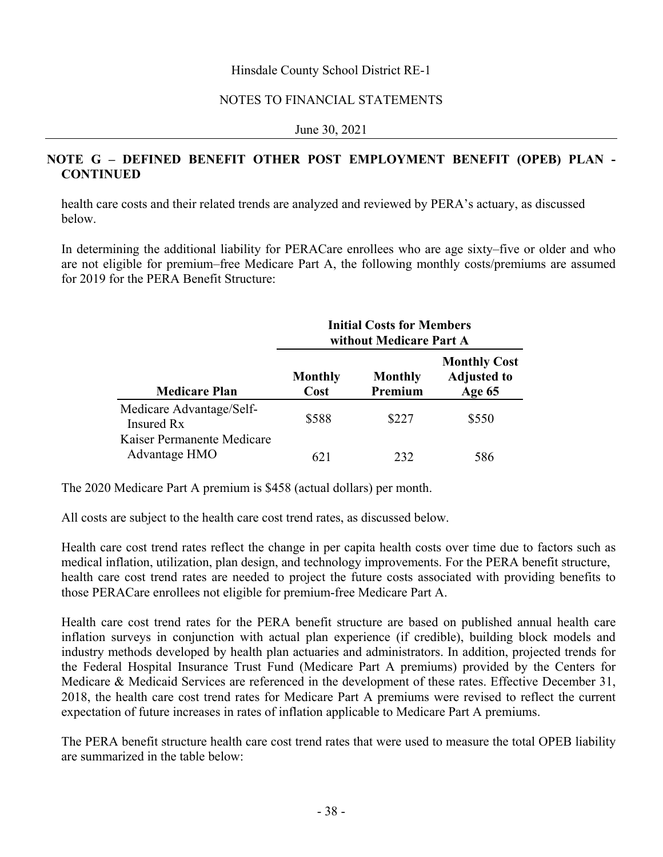#### NOTES TO FINANCIAL STATEMENTS

June 30, 2021

### **NOTE G – DEFINED BENEFIT OTHER POST EMPLOYMENT BENEFIT (OPEB) PLAN - CONTINUED**

health care costs and their related trends are analyzed and reviewed by PERA's actuary, as discussed below.

In determining the additional liability for PERACare enrollees who are age sixty–five or older and who are not eligible for premium–free Medicare Part A, the following monthly costs/premiums are assumed for 2019 for the PERA Benefit Structure:

|                                               | <b>Initial Costs for Members</b><br>without Medicare Part A |                           |                                                     |  |  |  |
|-----------------------------------------------|-------------------------------------------------------------|---------------------------|-----------------------------------------------------|--|--|--|
| <b>Medicare Plan</b>                          | <b>Monthly</b><br>Cost                                      | <b>Monthly</b><br>Premium | <b>Monthly Cost</b><br><b>Adjusted to</b><br>Age 65 |  |  |  |
| Medicare Advantage/Self-<br><b>Insured Rx</b> | \$588                                                       | \$227                     | \$550                                               |  |  |  |
| Kaiser Permanente Medicare<br>Advantage HMO   | 621                                                         | 232                       | 586                                                 |  |  |  |

The 2020 Medicare Part A premium is \$458 (actual dollars) per month.

All costs are subject to the health care cost trend rates, as discussed below.

Health care cost trend rates reflect the change in per capita health costs over time due to factors such as medical inflation, utilization, plan design, and technology improvements. For the PERA benefit structure, health care cost trend rates are needed to project the future costs associated with providing benefits to those PERACare enrollees not eligible for premium-free Medicare Part A.

Health care cost trend rates for the PERA benefit structure are based on published annual health care inflation surveys in conjunction with actual plan experience (if credible), building block models and industry methods developed by health plan actuaries and administrators. In addition, projected trends for the Federal Hospital Insurance Trust Fund (Medicare Part A premiums) provided by the Centers for Medicare & Medicaid Services are referenced in the development of these rates. Effective December 31, 2018, the health care cost trend rates for Medicare Part A premiums were revised to reflect the current expectation of future increases in rates of inflation applicable to Medicare Part A premiums.

The PERA benefit structure health care cost trend rates that were used to measure the total OPEB liability are summarized in the table below: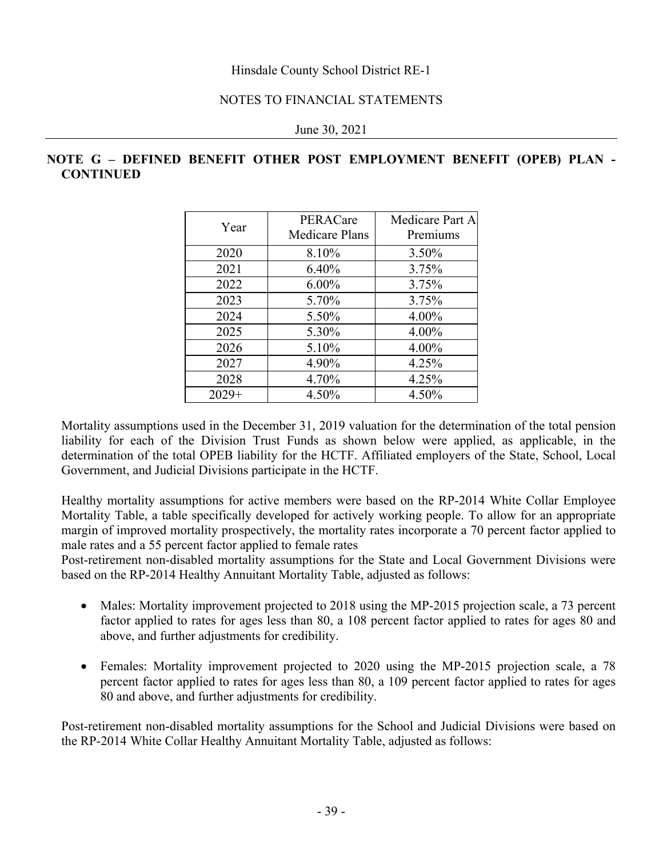#### NOTES TO FINANCIAL STATEMENTS

June 30, 2021

## **NOTE G – DEFINED BENEFIT OTHER POST EMPLOYMENT BENEFIT (OPEB) PLAN - CONTINUED**

| Year    | PERACare<br>Medicare Plans | Medicare Part A<br>Premiums |
|---------|----------------------------|-----------------------------|
| 2020    | 8.10%                      | 3.50%                       |
| 2021    | 6.40%                      | 3.75%                       |
| 2022    | $6.00\%$                   | 3.75%                       |
| 2023    | 5.70%                      | 3.75%                       |
| 2024    | 5.50%                      | 4.00%                       |
| 2025    | 5.30%                      | 4.00%                       |
| 2026    | 5.10%                      | 4.00%                       |
| 2027    | 4.90%                      | 4.25%                       |
| 2028    | 4.70%                      | 4.25%                       |
| $2029+$ | 4.50%                      | 4.50%                       |

Mortality assumptions used in the December 31, 2019 valuation for the determination of the total pension liability for each of the Division Trust Funds as shown below were applied, as applicable, in the determination of the total OPEB liability for the HCTF. Affiliated employers of the State, School, Local Government, and Judicial Divisions participate in the HCTF.

Healthy mortality assumptions for active members were based on the RP-2014 White Collar Employee Mortality Table, a table specifically developed for actively working people. To allow for an appropriate margin of improved mortality prospectively, the mortality rates incorporate a 70 percent factor applied to male rates and a 55 percent factor applied to female rates

Post-retirement non-disabled mortality assumptions for the State and Local Government Divisions were based on the RP-2014 Healthy Annuitant Mortality Table, adjusted as follows:

- Males: Mortality improvement projected to 2018 using the MP-2015 projection scale, a 73 percent factor applied to rates for ages less than 80, a 108 percent factor applied to rates for ages 80 and above, and further adjustments for credibility.
- Females: Mortality improvement projected to 2020 using the MP-2015 projection scale, a 78 percent factor applied to rates for ages less than 80, a 109 percent factor applied to rates for ages 80 and above, and further adjustments for credibility.

Post-retirement non-disabled mortality assumptions for the School and Judicial Divisions were based on the RP-2014 White Collar Healthy Annuitant Mortality Table, adjusted as follows: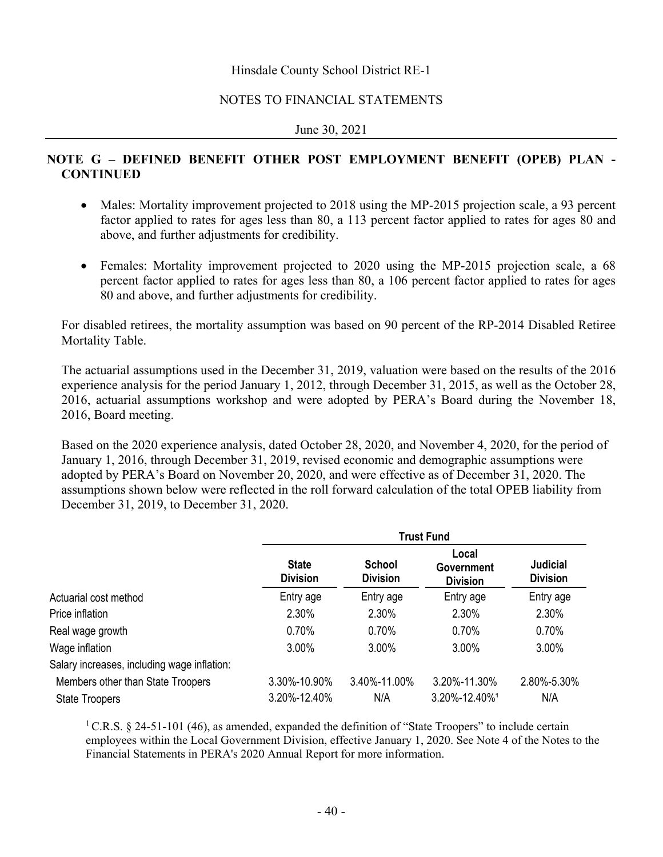#### NOTES TO FINANCIAL STATEMENTS

June 30, 2021

## **NOTE G – DEFINED BENEFIT OTHER POST EMPLOYMENT BENEFIT (OPEB) PLAN - CONTINUED**

- Males: Mortality improvement projected to 2018 using the MP-2015 projection scale, a 93 percent factor applied to rates for ages less than 80, a 113 percent factor applied to rates for ages 80 and above, and further adjustments for credibility.
- Females: Mortality improvement projected to 2020 using the MP-2015 projection scale, a 68 percent factor applied to rates for ages less than 80, a 106 percent factor applied to rates for ages 80 and above, and further adjustments for credibility.

For disabled retirees, the mortality assumption was based on 90 percent of the RP-2014 Disabled Retiree Mortality Table.

The actuarial assumptions used in the December 31, 2019, valuation were based on the results of the 2016 experience analysis for the period January 1, 2012, through December 31, 2015, as well as the October 28, 2016, actuarial assumptions workshop and were adopted by PERA's Board during the November 18, 2016, Board meeting.

Based on the 2020 experience analysis, dated October 28, 2020, and November 4, 2020, for the period of January 1, 2016, through December 31, 2019, revised economic and demographic assumptions were adopted by PERA's Board on November 20, 2020, and were effective as of December 31, 2020. The assumptions shown below were reflected in the roll forward calculation of the total OPEB liability from December 31, 2019, to December 31, 2020.

|                                             | <b>Trust Fund</b>               |                                  |                                        |                                    |  |  |
|---------------------------------------------|---------------------------------|----------------------------------|----------------------------------------|------------------------------------|--|--|
|                                             | <b>State</b><br><b>Division</b> | <b>School</b><br><b>Division</b> | Local<br>Government<br><b>Division</b> | <b>Judicial</b><br><b>Division</b> |  |  |
| Actuarial cost method                       | Entry age                       | Entry age                        | Entry age                              | Entry age                          |  |  |
| Price inflation                             | 2.30%                           | 2.30%                            | 2.30%                                  | 2.30%                              |  |  |
| Real wage growth                            | 0.70%                           | 0.70%                            | 0.70%                                  | 0.70%                              |  |  |
| Wage inflation                              | $3.00\%$                        | $3.00\%$                         | 3.00%                                  | 3.00%                              |  |  |
| Salary increases, including wage inflation: |                                 |                                  |                                        |                                    |  |  |
| Members other than State Troopers           | 3.30%-10.90%                    | 3.40%-11.00%                     | 3.20%-11.30%                           | 2.80%-5.30%                        |  |  |
| <b>State Troopers</b>                       | 3.20%-12.40%                    | N/A                              | 3.20%-12.40%1                          | N/A                                |  |  |

<sup>1</sup> C.R.S. § 24-51-101 (46), as amended, expanded the definition of "State Troopers" to include certain employees within the Local Government Division, effective January 1, 2020. See Note 4 of the Notes to the Financial Statements in PERA's 2020 Annual Report for more information.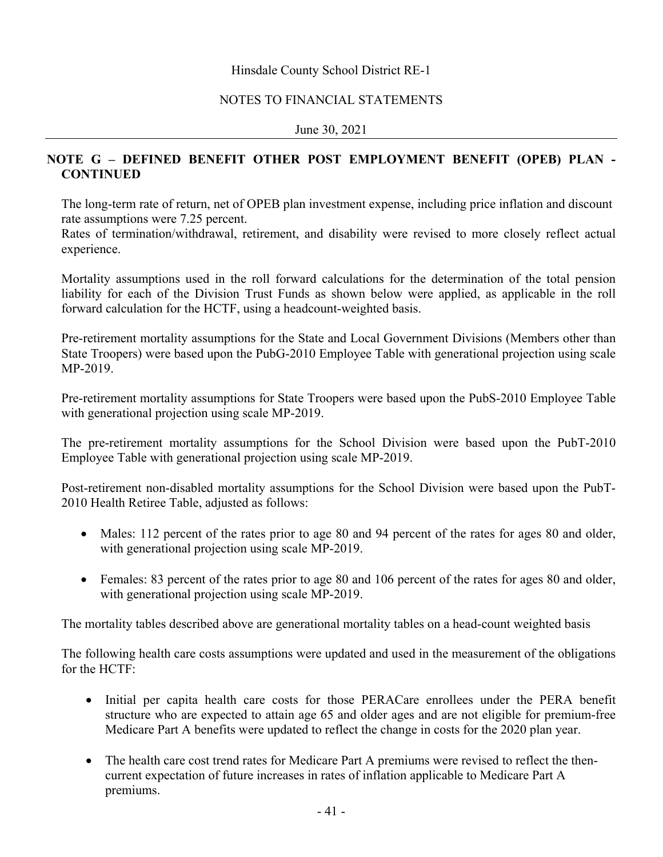## NOTES TO FINANCIAL STATEMENTS

June 30, 2021

## **NOTE G – DEFINED BENEFIT OTHER POST EMPLOYMENT BENEFIT (OPEB) PLAN - CONTINUED**

The long-term rate of return, net of OPEB plan investment expense, including price inflation and discount rate assumptions were 7.25 percent.

Rates of termination/withdrawal, retirement, and disability were revised to more closely reflect actual experience.

Mortality assumptions used in the roll forward calculations for the determination of the total pension liability for each of the Division Trust Funds as shown below were applied, as applicable in the roll forward calculation for the HCTF, using a headcount-weighted basis.

Pre-retirement mortality assumptions for the State and Local Government Divisions (Members other than State Troopers) were based upon the PubG-2010 Employee Table with generational projection using scale MP-2019.

Pre-retirement mortality assumptions for State Troopers were based upon the PubS-2010 Employee Table with generational projection using scale MP-2019.

The pre-retirement mortality assumptions for the School Division were based upon the PubT-2010 Employee Table with generational projection using scale MP-2019.

Post-retirement non-disabled mortality assumptions for the School Division were based upon the PubT-2010 Health Retiree Table, adjusted as follows:

- Males: 112 percent of the rates prior to age 80 and 94 percent of the rates for ages 80 and older, with generational projection using scale MP-2019.
- Females: 83 percent of the rates prior to age 80 and 106 percent of the rates for ages 80 and older, with generational projection using scale MP-2019.

The mortality tables described above are generational mortality tables on a head-count weighted basis

The following health care costs assumptions were updated and used in the measurement of the obligations for the HCTF:

- Initial per capita health care costs for those PERACare enrollees under the PERA benefit structure who are expected to attain age 65 and older ages and are not eligible for premium-free Medicare Part A benefits were updated to reflect the change in costs for the 2020 plan year.
- The health care cost trend rates for Medicare Part A premiums were revised to reflect the thencurrent expectation of future increases in rates of inflation applicable to Medicare Part A premiums.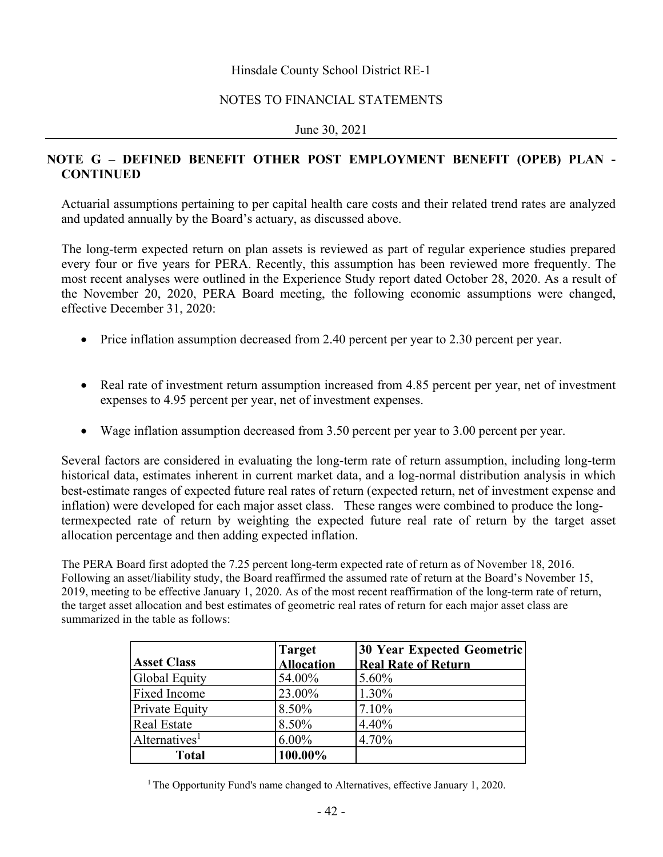### NOTES TO FINANCIAL STATEMENTS

June 30, 2021

## **NOTE G – DEFINED BENEFIT OTHER POST EMPLOYMENT BENEFIT (OPEB) PLAN - CONTINUED**

Actuarial assumptions pertaining to per capital health care costs and their related trend rates are analyzed and updated annually by the Board's actuary, as discussed above.

The long-term expected return on plan assets is reviewed as part of regular experience studies prepared every four or five years for PERA. Recently, this assumption has been reviewed more frequently. The most recent analyses were outlined in the Experience Study report dated October 28, 2020. As a result of the November 20, 2020, PERA Board meeting, the following economic assumptions were changed, effective December 31, 2020:

- Price inflation assumption decreased from 2.40 percent per year to 2.30 percent per year.
- Real rate of investment return assumption increased from 4.85 percent per year, net of investment expenses to 4.95 percent per year, net of investment expenses.
- Wage inflation assumption decreased from 3.50 percent per year to 3.00 percent per year.

Several factors are considered in evaluating the long-term rate of return assumption, including long-term historical data, estimates inherent in current market data, and a log-normal distribution analysis in which best-estimate ranges of expected future real rates of return (expected return, net of investment expense and inflation) were developed for each major asset class. These ranges were combined to produce the longtermexpected rate of return by weighting the expected future real rate of return by the target asset allocation percentage and then adding expected inflation.

The PERA Board first adopted the 7.25 percent long-term expected rate of return as of November 18, 2016. Following an asset/liability study, the Board reaffirmed the assumed rate of return at the Board's November 15, 2019, meeting to be effective January 1, 2020. As of the most recent reaffirmation of the long-term rate of return, the target asset allocation and best estimates of geometric real rates of return for each major asset class are summarized in the table as follows:

|                           | <b>Target</b>     | <b>30 Year Expected Geometric</b> |
|---------------------------|-------------------|-----------------------------------|
| <b>Asset Class</b>        | <b>Allocation</b> | <b>Real Rate of Return</b>        |
| Global Equity             | 54.00%            | 5.60%                             |
| <b>Fixed Income</b>       | 23.00%            | 1.30%                             |
| Private Equity            | 8.50%             | 7.10%                             |
| <b>Real Estate</b>        | 8.50%             | 4.40%                             |
| Alternatives <sup>1</sup> | $6.00\%$          | 4.70%                             |
| <b>Total</b>              | 100.00%           |                                   |

<sup>1</sup> The Opportunity Fund's name changed to Alternatives, effective January 1, 2020.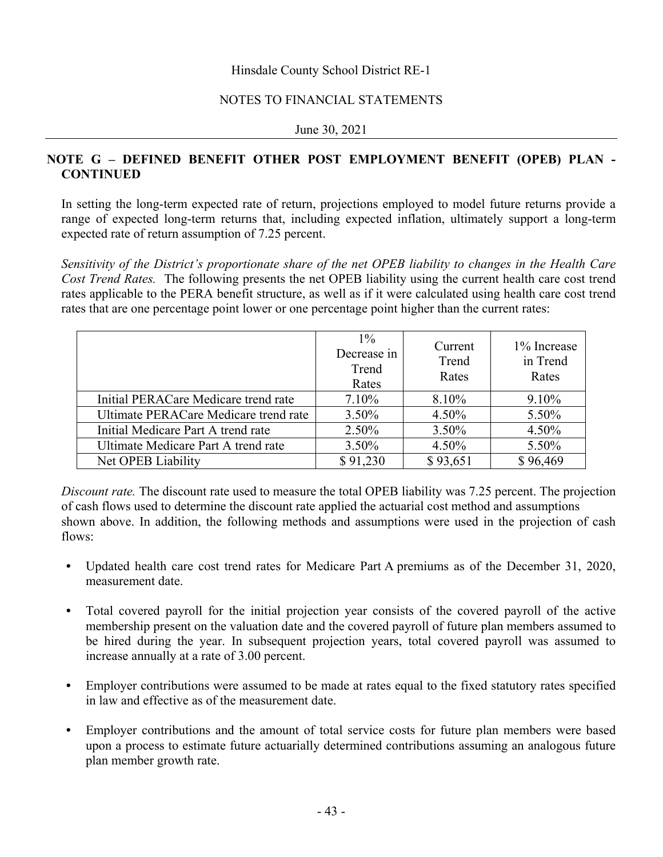### NOTES TO FINANCIAL STATEMENTS

June 30, 2021

## **NOTE G – DEFINED BENEFIT OTHER POST EMPLOYMENT BENEFIT (OPEB) PLAN - CONTINUED**

In setting the long-term expected rate of return, projections employed to model future returns provide a range of expected long-term returns that, including expected inflation, ultimately support a long-term expected rate of return assumption of 7.25 percent.

*Sensitivity of the District's proportionate share of the net OPEB liability to changes in the Health Care Cost Trend Rates.* The following presents the net OPEB liability using the current health care cost trend rates applicable to the PERA benefit structure, as well as if it were calculated using health care cost trend rates that are one percentage point lower or one percentage point higher than the current rates:

|                                       | $1\%$<br>Decrease in<br>Trend<br>Rates | Current<br>Trend<br>Rates | 1% Increase<br>in Trend<br>Rates |
|---------------------------------------|----------------------------------------|---------------------------|----------------------------------|
| Initial PERACare Medicare trend rate  | 7.10%                                  | 8.10%                     | 9.10%                            |
| Ultimate PERACare Medicare trend rate | $3.50\%$                               | $4.50\%$                  | 5.50%                            |
| Initial Medicare Part A trend rate    | $2.50\%$                               | $3.50\%$                  | 4.50%                            |
| Ultimate Medicare Part A trend rate   | $3.50\%$                               | 4.50%                     | 5.50%                            |
| Net OPEB Liability                    | \$91,230                               | \$93,651                  | \$96,469                         |

*Discount rate.* The discount rate used to measure the total OPEB liability was 7.25 percent. The projection of cash flows used to determine the discount rate applied the actuarial cost method and assumptions shown above. In addition, the following methods and assumptions were used in the projection of cash flows:

- **•** Updated health care cost trend rates for Medicare Part A premiums as of the December 31, 2020, measurement date.
- **•** Total covered payroll for the initial projection year consists of the covered payroll of the active membership present on the valuation date and the covered payroll of future plan members assumed to be hired during the year. In subsequent projection years, total covered payroll was assumed to increase annually at a rate of 3.00 percent.
- **•** Employer contributions were assumed to be made at rates equal to the fixed statutory rates specified in law and effective as of the measurement date.
- **•** Employer contributions and the amount of total service costs for future plan members were based upon a process to estimate future actuarially determined contributions assuming an analogous future plan member growth rate.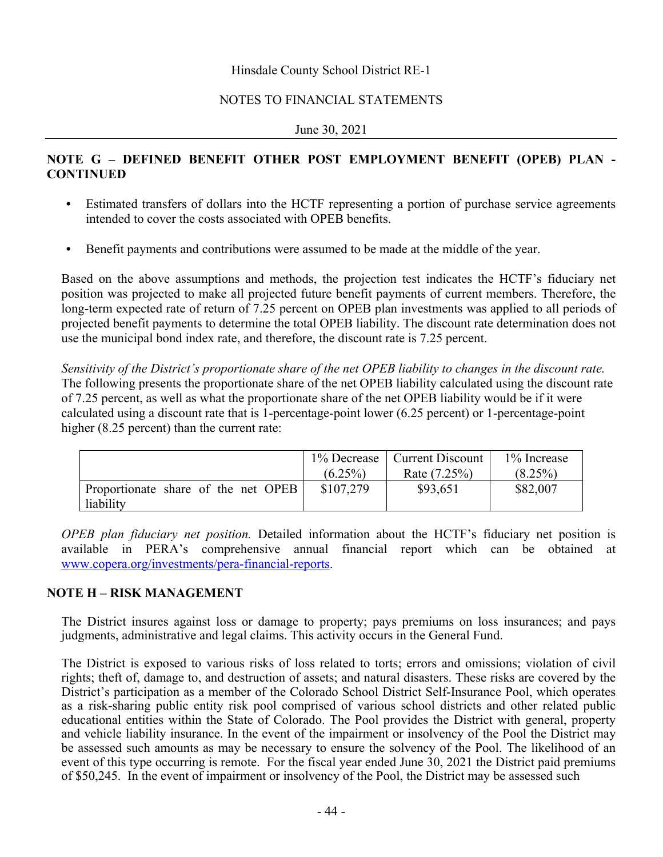## NOTES TO FINANCIAL STATEMENTS

June 30, 2021

## **NOTE G – DEFINED BENEFIT OTHER POST EMPLOYMENT BENEFIT (OPEB) PLAN - CONTINUED**

- **•** Estimated transfers of dollars into the HCTF representing a portion of purchase service agreements intended to cover the costs associated with OPEB benefits.
- **•** Benefit payments and contributions were assumed to be made at the middle of the year.

Based on the above assumptions and methods, the projection test indicates the HCTF's fiduciary net position was projected to make all projected future benefit payments of current members. Therefore, the long-term expected rate of return of 7.25 percent on OPEB plan investments was applied to all periods of projected benefit payments to determine the total OPEB liability. The discount rate determination does not use the municipal bond index rate, and therefore, the discount rate is 7.25 percent.

*Sensitivity of the District's proportionate share of the net OPEB liability to changes in the discount rate.*  The following presents the proportionate share of the net OPEB liability calculated using the discount rate of 7.25 percent, as well as what the proportionate share of the net OPEB liability would be if it were calculated using a discount rate that is 1-percentage-point lower (6.25 percent) or 1-percentage-point higher (8.25 percent) than the current rate:

|                                                  | 1% Decrease | <b>Current Discount</b> | 1% Increase |
|--------------------------------------------------|-------------|-------------------------|-------------|
|                                                  | $(6.25\%)$  | Rate (7.25%)            | $(8.25\%)$  |
| Proportionate share of the net OPEB<br>liability | \$107,279   | \$93,651                | \$82,007    |

*OPEB plan fiduciary net position.* Detailed information about the HCTF's fiduciary net position is available in PERA's comprehensive annual financial report which can be obtained at www.copera.org/investments/pera-financial-reports.

## **NOTE H – RISK MANAGEMENT**

 The District insures against loss or damage to property; pays premiums on loss insurances; and pays judgments, administrative and legal claims. This activity occurs in the General Fund.

 The District is exposed to various risks of loss related to torts; errors and omissions; violation of civil rights; theft of, damage to, and destruction of assets; and natural disasters. These risks are covered by the District's participation as a member of the Colorado School District Self-Insurance Pool, which operates as a risk-sharing public entity risk pool comprised of various school districts and other related public educational entities within the State of Colorado. The Pool provides the District with general, property and vehicle liability insurance. In the event of the impairment or insolvency of the Pool the District may be assessed such amounts as may be necessary to ensure the solvency of the Pool. The likelihood of an event of this type occurring is remote. For the fiscal year ended June 30, 2021 the District paid premiums of \$50,245. In the event of impairment or insolvency of the Pool, the District may be assessed such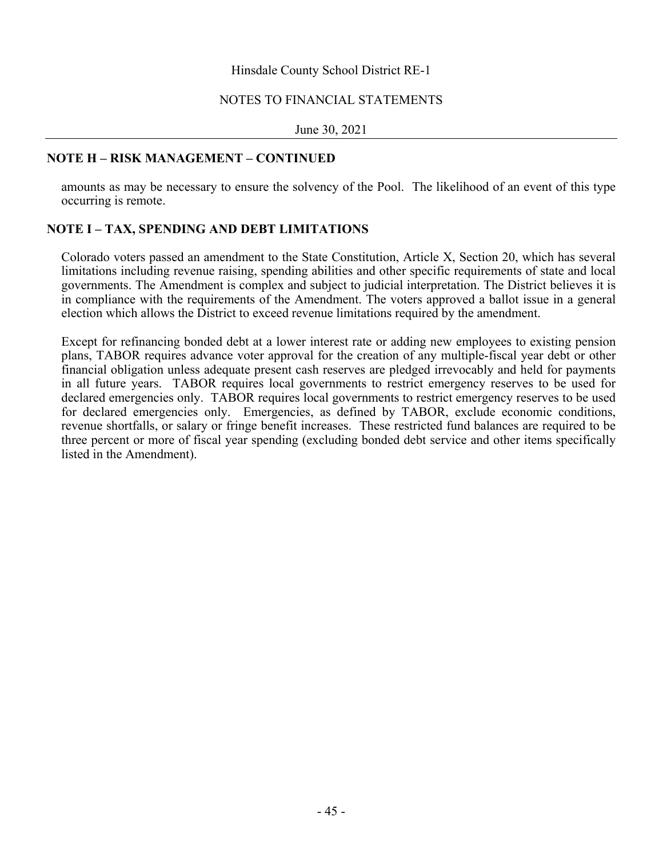#### NOTES TO FINANCIAL STATEMENTS

June 30, 2021

### **NOTE H – RISK MANAGEMENT – CONTINUED**

 amounts as may be necessary to ensure the solvency of the Pool. The likelihood of an event of this type occurring is remote.

## **NOTE I – TAX, SPENDING AND DEBT LIMITATIONS**

 Colorado voters passed an amendment to the State Constitution, Article X, Section 20, which has several limitations including revenue raising, spending abilities and other specific requirements of state and local governments. The Amendment is complex and subject to judicial interpretation. The District believes it is in compliance with the requirements of the Amendment. The voters approved a ballot issue in a general election which allows the District to exceed revenue limitations required by the amendment.

 Except for refinancing bonded debt at a lower interest rate or adding new employees to existing pension plans, TABOR requires advance voter approval for the creation of any multiple-fiscal year debt or other financial obligation unless adequate present cash reserves are pledged irrevocably and held for payments in all future years. TABOR requires local governments to restrict emergency reserves to be used for declared emergencies only. TABOR requires local governments to restrict emergency reserves to be used for declared emergencies only. Emergencies, as defined by TABOR, exclude economic conditions, revenue shortfalls, or salary or fringe benefit increases. These restricted fund balances are required to be three percent or more of fiscal year spending (excluding bonded debt service and other items specifically listed in the Amendment).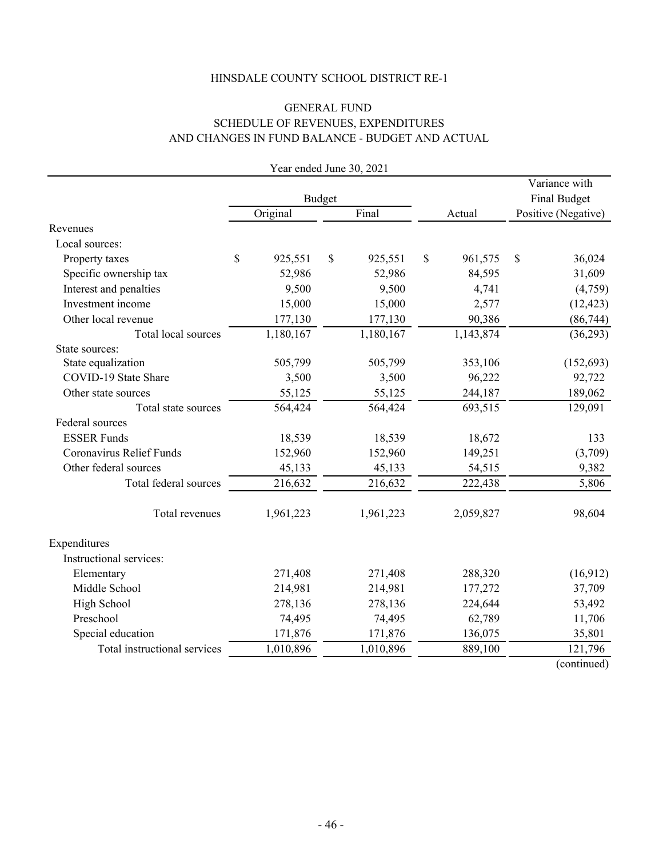## GENERAL FUND SCHEDULE OF REVENUES, EXPENDITURES AND CHANGES IN FUND BALANCE - BUDGET AND ACTUAL

|                              |    | Year ended June 30, 2021 |    |           |               |               |                     |
|------------------------------|----|--------------------------|----|-----------|---------------|---------------|---------------------|
|                              |    |                          |    |           |               | Variance with |                     |
|                              |    | <b>Budget</b>            |    |           | Final Budget  |               |                     |
|                              |    | Original                 |    | Final     | Actual        |               | Positive (Negative) |
| Revenues                     |    |                          |    |           |               |               |                     |
| Local sources:               |    |                          |    |           |               |               |                     |
| Property taxes               | \$ | 925,551                  | \$ | 925,551   | \$<br>961,575 | \$            | 36,024              |
| Specific ownership tax       |    | 52,986                   |    | 52,986    | 84,595        |               | 31,609              |
| Interest and penalties       |    | 9,500                    |    | 9,500     | 4,741         |               | (4,759)             |
| Investment income            |    | 15,000                   |    | 15,000    | 2,577         |               | (12, 423)           |
| Other local revenue          |    | 177,130                  |    | 177,130   | 90,386        |               | (86, 744)           |
| Total local sources          |    | 1,180,167                |    | 1,180,167 | 1,143,874     |               | (36,293)            |
| State sources:               |    |                          |    |           |               |               |                     |
| State equalization           |    | 505,799                  |    | 505,799   | 353,106       |               | (152, 693)          |
| COVID-19 State Share         |    | 3,500                    |    | 3,500     | 96,222        |               | 92,722              |
| Other state sources          |    | 55,125                   |    | 55,125    | 244,187       |               | 189,062             |
| Total state sources          |    | 564,424                  |    | 564,424   | 693,515       |               | 129,091             |
| Federal sources              |    |                          |    |           |               |               |                     |
| <b>ESSER Funds</b>           |    | 18,539                   |    | 18,539    | 18,672        |               | 133                 |
| Coronavirus Relief Funds     |    | 152,960                  |    | 152,960   | 149,251       |               | (3,709)             |
| Other federal sources        |    | 45,133                   |    | 45,133    | 54,515        |               | 9,382               |
| Total federal sources        |    | 216,632                  |    | 216,632   | 222,438       |               | 5,806               |
| Total revenues               |    | 1,961,223                |    | 1,961,223 | 2,059,827     |               | 98,604              |
| Expenditures                 |    |                          |    |           |               |               |                     |
| Instructional services:      |    |                          |    |           |               |               |                     |
| Elementary                   |    | 271,408                  |    | 271,408   | 288,320       |               | (16, 912)           |
| Middle School                |    | 214,981                  |    | 214,981   | 177,272       |               | 37,709              |
| High School                  |    | 278,136                  |    | 278,136   | 224,644       |               | 53,492              |
| Preschool                    |    | 74,495                   |    | 74,495    | 62,789        |               | 11,706              |
| Special education            |    | 171,876                  |    | 171,876   | 136,075       |               | 35,801              |
| Total instructional services |    | 1,010,896                |    | 1,010,896 | 889,100       |               | 121,796             |
|                              |    |                          |    |           |               |               |                     |

(continued)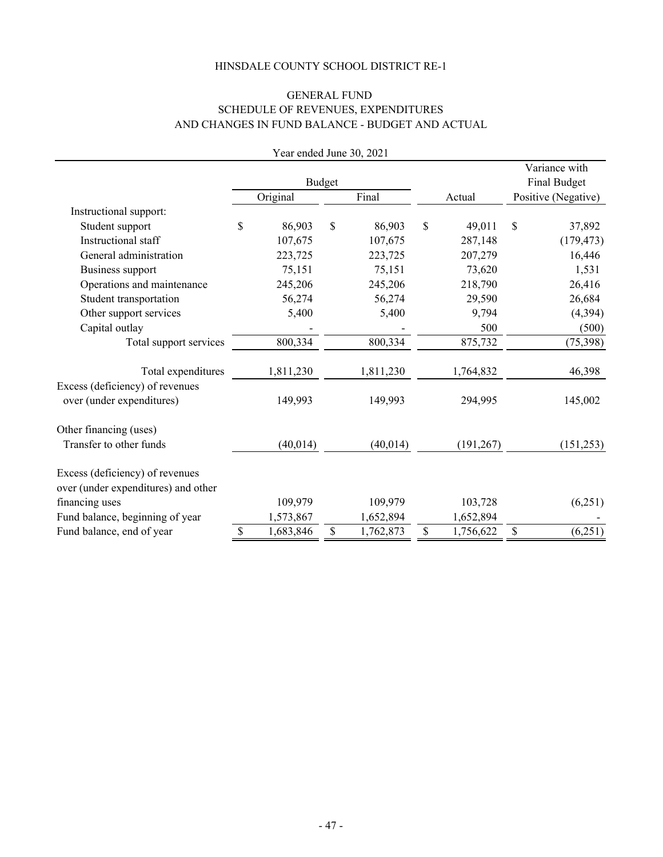#### GENERAL FUND SCHEDULE OF REVENUES, EXPENDITURES AND CHANGES IN FUND BALANCE - BUDGET AND ACTUAL

|                                                                        | Year ended June 30, 2021 |               |           |              |            |                     |               |
|------------------------------------------------------------------------|--------------------------|---------------|-----------|--------------|------------|---------------------|---------------|
|                                                                        |                          |               |           |              |            |                     | Variance with |
|                                                                        |                          | <b>Budget</b> |           |              |            | Final Budget        |               |
|                                                                        | Original                 | Final         |           |              | Actual     | Positive (Negative) |               |
| Instructional support:                                                 |                          |               |           |              |            |                     |               |
| Student support                                                        | \$<br>86,903             | \$            | 86,903    | $\mathbb{S}$ | 49,011     | $\mathcal{S}$       | 37,892        |
| Instructional staff                                                    | 107,675                  |               | 107,675   |              | 287,148    |                     | (179, 473)    |
| General administration                                                 | 223,725                  |               | 223,725   |              | 207,279    |                     | 16,446        |
| Business support                                                       | 75,151                   |               | 75,151    |              | 73,620     |                     | 1,531         |
| Operations and maintenance                                             | 245,206                  |               | 245,206   |              | 218,790    |                     | 26,416        |
| Student transportation                                                 | 56,274                   |               | 56,274    |              | 29,590     |                     | 26,684        |
| Other support services                                                 | 5,400                    |               | 5,400     |              | 9,794      |                     | (4,394)       |
| Capital outlay                                                         |                          |               |           |              | 500        |                     | (500)         |
| Total support services                                                 | 800,334                  |               | 800,334   |              | 875,732    |                     | (75, 398)     |
| Total expenditures                                                     | 1,811,230                |               | 1,811,230 |              | 1,764,832  |                     | 46,398        |
| Excess (deficiency) of revenues                                        |                          |               |           |              |            |                     |               |
| over (under expenditures)                                              | 149,993                  |               | 149,993   |              | 294,995    |                     | 145,002       |
| Other financing (uses)                                                 |                          |               |           |              |            |                     |               |
| Transfer to other funds                                                | (40, 014)                |               | (40, 014) |              | (191, 267) |                     | (151, 253)    |
| Excess (deficiency) of revenues<br>over (under expenditures) and other |                          |               |           |              |            |                     |               |
| financing uses                                                         | 109,979                  |               | 109,979   |              | 103,728    |                     | (6,251)       |
| Fund balance, beginning of year                                        | 1,573,867                |               | 1,652,894 |              | 1,652,894  |                     |               |
| Fund balance, end of year                                              | \$<br>1,683,846          | \$            | 1,762,873 | \$           | 1,756,622  | \$                  | (6,251)       |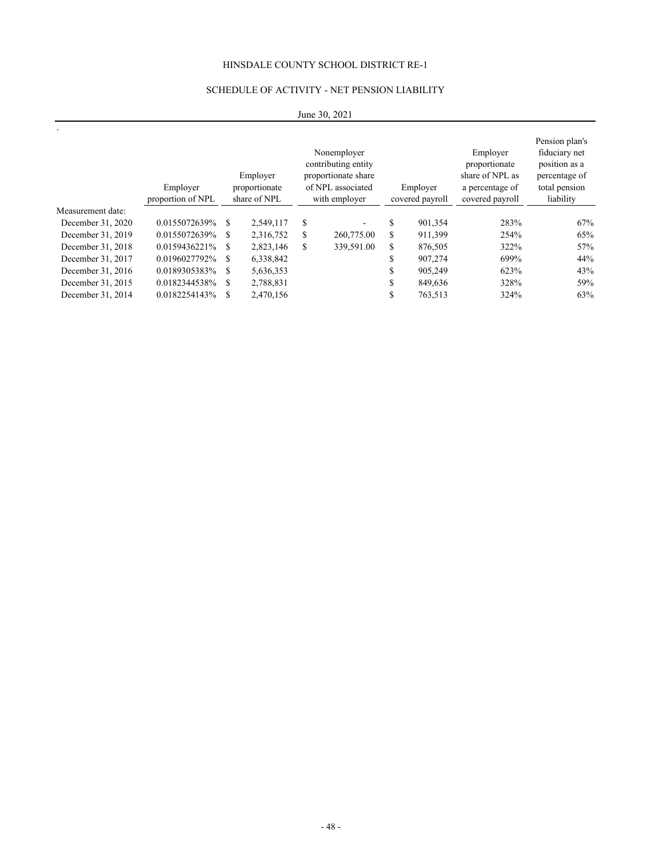#### SCHEDULE OF ACTIVITY - NET PENSION LIABILITY

| June 30, 2021     |                               |                                           |           |                                                                                                             |            |    |                                                                                                       |      |                                                                                                 |  |  |
|-------------------|-------------------------------|-------------------------------------------|-----------|-------------------------------------------------------------------------------------------------------------|------------|----|-------------------------------------------------------------------------------------------------------|------|-------------------------------------------------------------------------------------------------|--|--|
|                   | Employer<br>proportion of NPL | Employer<br>proportionate<br>share of NPL |           | Nonemployer<br>contributing entity<br>proportionate share<br>of NPL associated<br>Employer<br>with employer |            |    | Employer<br>proportionate<br>share of NPL as<br>a percentage of<br>covered payroll<br>covered payroll |      | Pension plan's<br>fiduciary net<br>position as a<br>percentage of<br>total pension<br>liability |  |  |
| Measurement date: |                               |                                           |           |                                                                                                             |            |    |                                                                                                       |      |                                                                                                 |  |  |
| December 31, 2020 | 0.0155072639%                 | -S                                        | 2,549,117 | \$                                                                                                          |            | \$ | 901,354                                                                                               | 283% | 67%                                                                                             |  |  |
| December 31, 2019 | 0.0155072639%                 | -S                                        | 2,316,752 | \$                                                                                                          | 260,775.00 | \$ | 911,399                                                                                               | 254% | 65%                                                                                             |  |  |
| December 31, 2018 | 0.0159436221%                 | -S                                        | 2,823,146 | \$                                                                                                          | 339,591.00 | \$ | 876,505                                                                                               | 322% | 57%                                                                                             |  |  |
| December 31, 2017 | 0.0196027792%                 | \$.                                       | 6,338,842 |                                                                                                             |            | \$ | 907,274                                                                                               | 699% | 44%                                                                                             |  |  |
| December 31, 2016 | 0.0189305383%                 | -S                                        | 5,636,353 |                                                                                                             |            | \$ | 905.249                                                                                               | 623% | 43%                                                                                             |  |  |
| December 31, 2015 | 0.0182344538%                 | -S                                        | 2,788,831 |                                                                                                             |            | \$ | 849,636                                                                                               | 328% | 59%                                                                                             |  |  |
| December 31, 2014 | 0.0182254143%                 | S                                         | 2,470,156 |                                                                                                             |            | \$ | 763,513                                                                                               | 324% | 63%                                                                                             |  |  |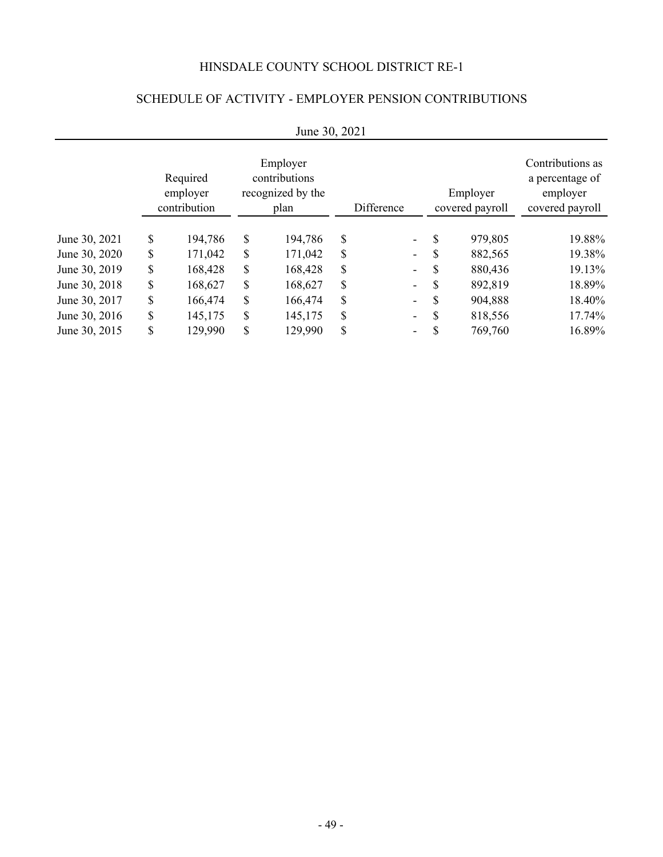# SCHEDULE OF ACTIVITY - EMPLOYER PENSION CONTRIBUTIONS

|               |              | Required<br>employer<br>contribution |    | Employer<br>contributions<br>recognized by the<br>plan |    | Difference               |    | Employer<br>covered payroll | Contributions as<br>a percentage of<br>employer<br>covered payroll |
|---------------|--------------|--------------------------------------|----|--------------------------------------------------------|----|--------------------------|----|-----------------------------|--------------------------------------------------------------------|
| June 30, 2021 | \$           | 194,786                              | \$ | 194,786                                                | \$ | $\overline{\phantom{0}}$ | S  | 979,805                     | 19.88%                                                             |
| June 30, 2020 | \$           | 171,042                              | \$ | 171,042                                                | \$ | $\overline{\phantom{a}}$ | S  | 882,565                     | 19.38%                                                             |
| June 30, 2019 | \$           | 168,428                              | \$ | 168,428                                                | \$ | $\overline{\phantom{a}}$ | S  | 880,436                     | 19.13%                                                             |
| June 30, 2018 | $\mathbb{S}$ | 168,627                              | \$ | 168,627                                                | \$ | $\overline{\phantom{0}}$ | \$ | 892,819                     | 18.89%                                                             |
| June 30, 2017 | \$           | 166,474                              | \$ | 166,474                                                | \$ | $\overline{\phantom{a}}$ | \$ | 904,888                     | 18.40%                                                             |
| June 30, 2016 | \$           | 145,175                              | \$ | 145,175                                                | \$ | $\overline{\phantom{a}}$ | S  | 818,556                     | 17.74%                                                             |
| June 30, 2015 | \$.          | 129,990                              | \$ | 129,990                                                | \$ | -                        |    | 769,760                     | 16.89%                                                             |

June 30, 2021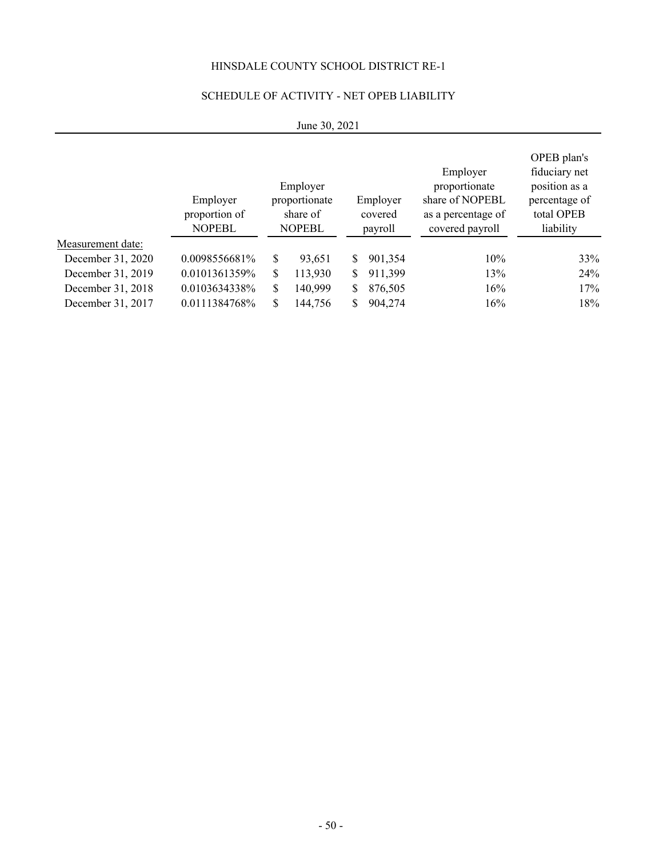## SCHEDULE OF ACTIVITY - NET OPEB LIABILITY

|                   | Employer<br>proportion of<br><b>NOPEBL</b> | Employer<br>proportionate<br>share of<br><b>NOPEBL</b> | Employer<br>covered<br>payroll | Employer<br>proportionate<br>share of NOPEBL<br>as a percentage of<br>covered payroll | OPEB plan's<br>fiduciary net<br>position as a<br>percentage of<br>total OPEB<br>liability |
|-------------------|--------------------------------------------|--------------------------------------------------------|--------------------------------|---------------------------------------------------------------------------------------|-------------------------------------------------------------------------------------------|
| Measurement date: |                                            |                                                        |                                |                                                                                       |                                                                                           |
| December 31, 2020 | 0.0098556681%                              | \$<br>93,651                                           | \$<br>901,354                  | 10%                                                                                   | 33%                                                                                       |
| December 31, 2019 | 0.0101361359%                              | \$<br>113,930                                          | \$<br>911,399                  | 13%                                                                                   | 24%                                                                                       |
| December 31, 2018 | 0.0103634338%                              | \$<br>140,999                                          | \$<br>876,505                  | 16%                                                                                   | 17%                                                                                       |
| December 31, 2017 | 0.0111384768%                              | \$<br>144,756                                          | \$<br>904,274                  | 16%                                                                                   | 18%                                                                                       |

### June 30, 2021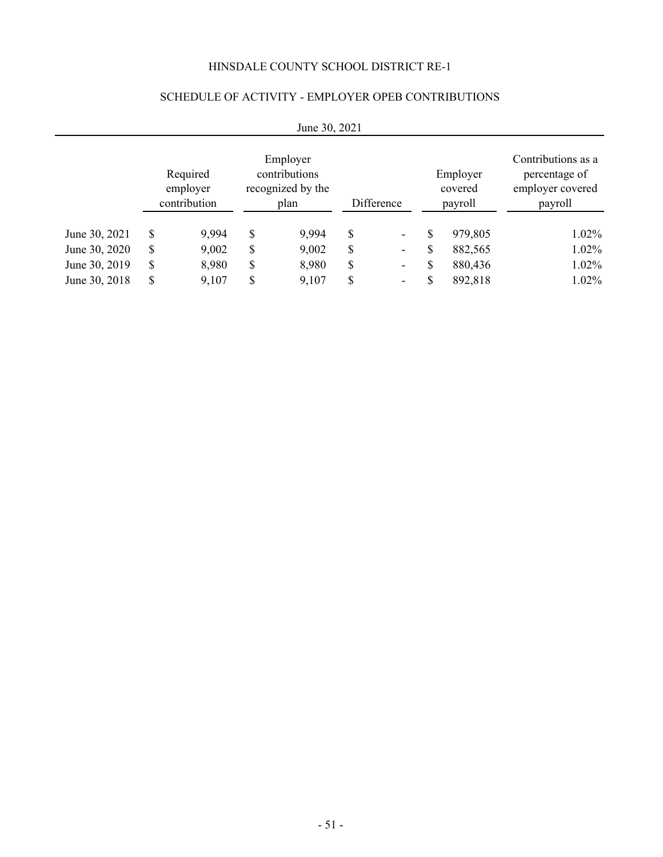| June 30, 2021 |                                      |       |                                                        |       |            |                          |                                |         |                                                                    |  |  |
|---------------|--------------------------------------|-------|--------------------------------------------------------|-------|------------|--------------------------|--------------------------------|---------|--------------------------------------------------------------------|--|--|
|               | Required<br>employer<br>contribution |       | Employer<br>contributions<br>recognized by the<br>plan |       | Difference |                          | Employer<br>covered<br>payroll |         | Contributions as a<br>percentage of<br>employer covered<br>payroll |  |  |
| June 30, 2021 | S                                    | 9,994 | \$                                                     | 9,994 | \$         | $\overline{\phantom{a}}$ | \$                             | 979,805 | 1.02%                                                              |  |  |
| June 30, 2020 | \$                                   | 9,002 | \$                                                     | 9,002 | \$         | $\overline{\phantom{a}}$ | \$                             | 882,565 | 1.02%                                                              |  |  |
| June 30, 2019 | \$                                   | 8,980 | \$                                                     | 8,980 | \$         | $\overline{\phantom{a}}$ | \$                             | 880,436 | 1.02%                                                              |  |  |
| June 30, 2018 | \$                                   | 9,107 | \$                                                     | 9,107 | \$         | $\overline{\phantom{a}}$ |                                | 892,818 | 1.02%                                                              |  |  |

## SCHEDULE OF ACTIVITY - EMPLOYER OPEB CONTRIBUTIONS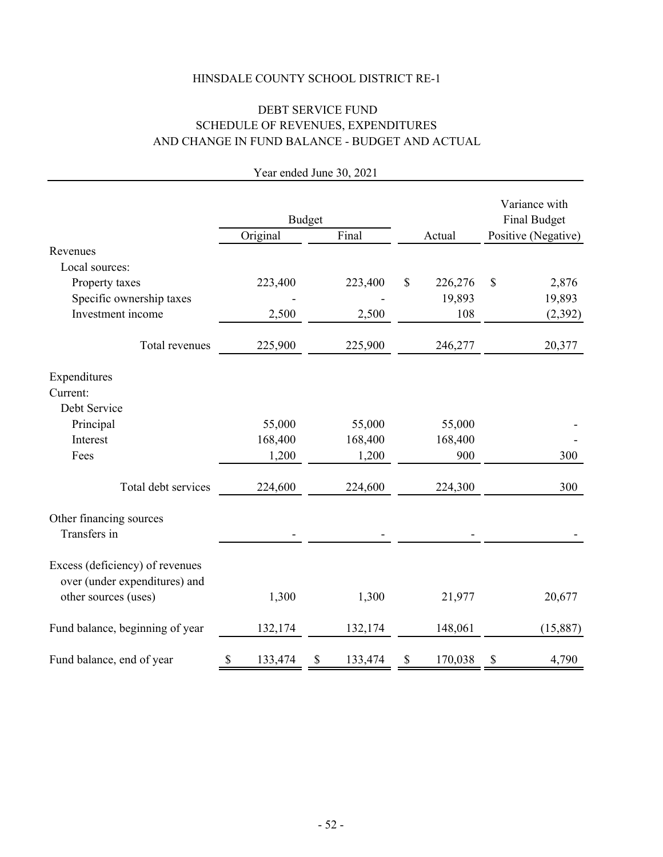## DEBT SERVICE FUND SCHEDULE OF REVENUES, EXPENDITURES AND CHANGE IN FUND BALANCE - BUDGET AND ACTUAL

|                                                                  |               | Year ended June 30, 2021 |               |                                      |  |
|------------------------------------------------------------------|---------------|--------------------------|---------------|--------------------------------------|--|
|                                                                  | <b>Budget</b> |                          |               | Variance with<br><b>Final Budget</b> |  |
|                                                                  | Original      | Final                    | Actual        | Positive (Negative)                  |  |
| Revenues                                                         |               |                          |               |                                      |  |
| Local sources:                                                   |               |                          |               |                                      |  |
| Property taxes                                                   | 223,400       | 223,400                  | \$<br>226,276 | \$<br>2,876                          |  |
| Specific ownership taxes                                         |               |                          | 19,893        | 19,893                               |  |
| Investment income                                                | 2,500         | 2,500                    | 108           | (2, 392)                             |  |
| Total revenues                                                   | 225,900       | 225,900                  | 246,277       | 20,377                               |  |
| Expenditures                                                     |               |                          |               |                                      |  |
| Current:                                                         |               |                          |               |                                      |  |
| Debt Service                                                     |               |                          |               |                                      |  |
| Principal                                                        | 55,000        | 55,000                   | 55,000        |                                      |  |
| Interest                                                         | 168,400       | 168,400                  | 168,400       |                                      |  |
| Fees                                                             | 1,200         | 1,200                    | 900           | 300                                  |  |
| Total debt services                                              | 224,600       | 224,600                  | 224,300       | 300                                  |  |
| Other financing sources<br>Transfers in                          |               |                          |               |                                      |  |
|                                                                  |               |                          |               |                                      |  |
| Excess (deficiency) of revenues<br>over (under expenditures) and |               |                          |               |                                      |  |
| other sources (uses)                                             | 1,300         | 1,300                    | 21,977        | 20,677                               |  |
| Fund balance, beginning of year                                  | 132,174       | 132,174                  | 148,061       | (15,887)                             |  |
| Fund balance, end of year                                        | 133,474<br>\$ | 133,474<br>\$            | 170,038<br>\$ | 4,790<br>\$                          |  |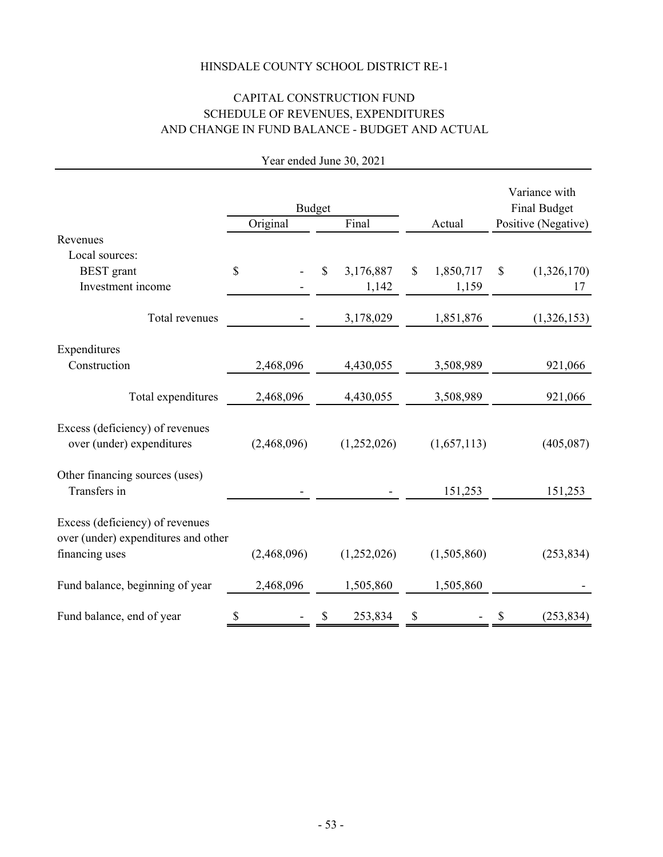## CAPITAL CONSTRUCTION FUND SCHEDULE OF REVENUES, EXPENDITURES AND CHANGE IN FUND BALANCE - BUDGET AND ACTUAL

|                                                                        |             | <b>Budget</b>             |                           | Variance with<br><b>Final Budget</b>     |  |  |
|------------------------------------------------------------------------|-------------|---------------------------|---------------------------|------------------------------------------|--|--|
|                                                                        | Original    | Final                     | Actual                    | Positive (Negative)                      |  |  |
| Revenues<br>Local sources:<br><b>BEST</b> grant                        | \$          | $\mathbb{S}$<br>3,176,887 | $\mathbb{S}$<br>1,850,717 | $\boldsymbol{\mathsf{S}}$<br>(1,326,170) |  |  |
| Investment income                                                      |             | 1,142                     | 1,159                     | 17                                       |  |  |
| Total revenues                                                         |             | 3,178,029                 | 1,851,876                 | (1,326,153)                              |  |  |
| Expenditures                                                           |             |                           |                           |                                          |  |  |
| Construction                                                           | 2,468,096   | 4,430,055                 | 3,508,989                 | 921,066                                  |  |  |
| Total expenditures                                                     | 2,468,096   | 4,430,055                 | 3,508,989                 | 921,066                                  |  |  |
| Excess (deficiency) of revenues<br>over (under) expenditures           | (2,468,096) | (1,252,026)               | (1,657,113)               | (405, 087)                               |  |  |
| Other financing sources (uses)<br>Transfers in                         |             |                           | 151,253                   | 151,253                                  |  |  |
| Excess (deficiency) of revenues<br>over (under) expenditures and other |             |                           |                           |                                          |  |  |
| financing uses                                                         | (2,468,096) | (1,252,026)               | (1,505,860)               | (253, 834)                               |  |  |
| Fund balance, beginning of year                                        | 2,468,096   | 1,505,860                 | 1,505,860                 |                                          |  |  |
| Fund balance, end of year                                              | \$          | 253,834<br>\$             | \$                        | (253, 834)<br>\$                         |  |  |

Year ended June 30, 2021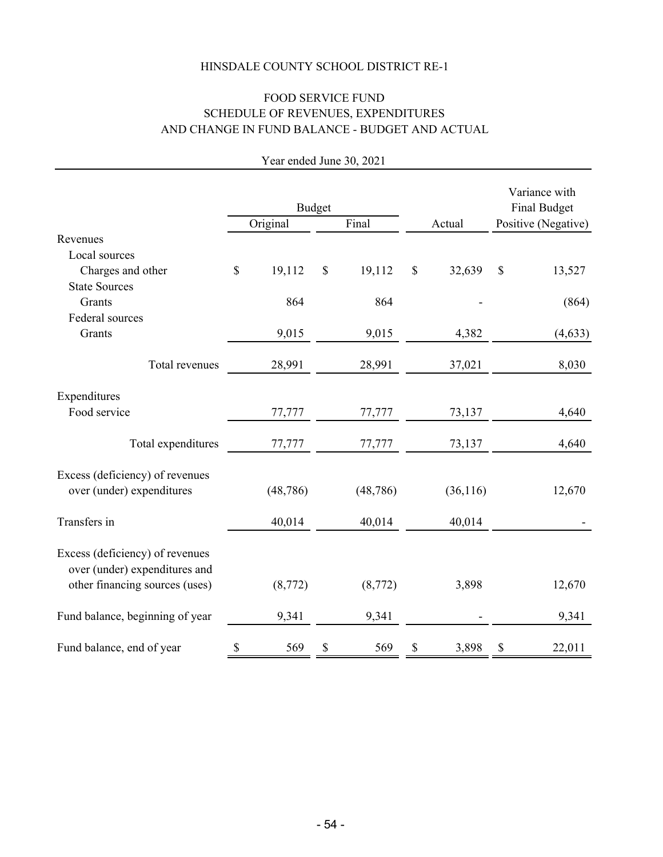## FOOD SERVICE FUND SCHEDULE OF REVENUES, EXPENDITURES AND CHANGE IN FUND BALANCE - BUDGET AND ACTUAL

|                                                                  |               | <b>Budget</b> |              |              | Variance with<br>Final Budget |          |  |
|------------------------------------------------------------------|---------------|---------------|--------------|--------------|-------------------------------|----------|--|
|                                                                  | Original      |               | Final        | Actual       | Positive (Negative)           |          |  |
| Revenues                                                         |               |               |              |              |                               |          |  |
| Local sources                                                    |               |               |              |              |                               |          |  |
| Charges and other                                                | $\mathsf{\$}$ | 19,112        | \$<br>19,112 | \$<br>32,639 | $\mathcal{S}$                 | 13,527   |  |
| <b>State Sources</b>                                             |               |               |              |              |                               |          |  |
| Grants                                                           |               | 864           | 864          |              |                               | (864)    |  |
| Federal sources                                                  |               |               |              |              |                               |          |  |
| Grants                                                           |               | 9,015         | 9,015        | 4,382        |                               | (4, 633) |  |
| Total revenues                                                   |               | 28,991        | 28,991       | 37,021       |                               | 8,030    |  |
| Expenditures                                                     |               |               |              |              |                               |          |  |
| Food service                                                     |               | 77,777        | 77,777       | 73,137       |                               | 4,640    |  |
| Total expenditures                                               |               | 77,777        | 77,777       | 73,137       |                               | 4,640    |  |
| Excess (deficiency) of revenues<br>over (under) expenditures     |               | (48, 786)     | (48, 786)    | (36,116)     |                               | 12,670   |  |
| Transfers in                                                     |               | 40,014        | 40,014       | 40,014       |                               |          |  |
| Excess (deficiency) of revenues<br>over (under) expenditures and |               |               |              |              |                               |          |  |
| other financing sources (uses)                                   |               | (8,772)       | (8,772)      | 3,898        |                               | 12,670   |  |
| Fund balance, beginning of year                                  |               | 9,341         | 9,341        |              |                               | 9,341    |  |
| Fund balance, end of year                                        | \$            | 569           | \$<br>569    | \$<br>3,898  | \$                            | 22,011   |  |

Year ended June 30, 2021